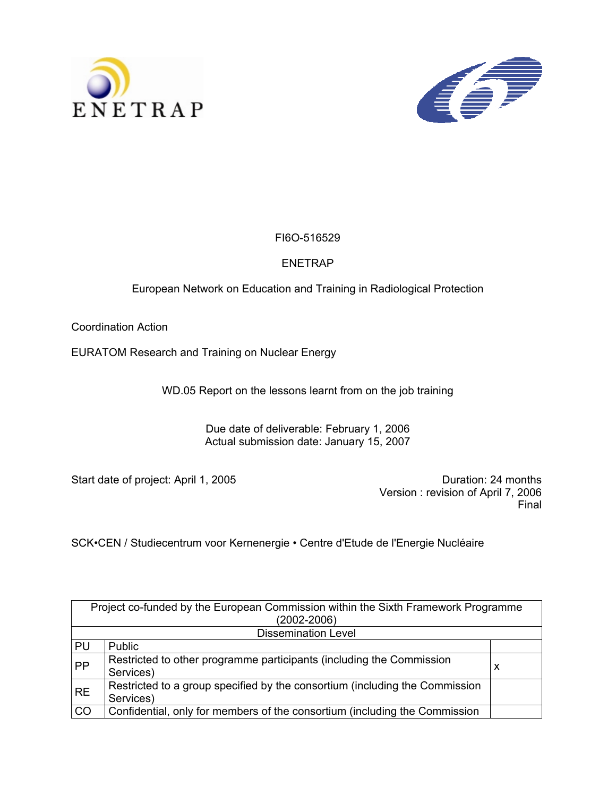



## FI6O-516529

## ENETRAP

## European Network on Education and Training in Radiological Protection

Coordination Action

EURATOM Research and Training on Nuclear Energy

WD.05 Report on the lessons learnt from on the job training

Due date of deliverable: February 1, 2006 Actual submission date: January 15, 2007

Start date of project: April 1, 2005 Case Control of the Control of Duration: 24 months

 Version : revision of April 7, 2006 Final

SCK•CEN / Studiecentrum voor Kernenergie • Centre d'Etude de l'Energie Nucléaire

|           | Project co-funded by the European Commission within the Sixth Framework Programme |   |  |  |  |
|-----------|-----------------------------------------------------------------------------------|---|--|--|--|
|           | $(2002 - 2006)$                                                                   |   |  |  |  |
|           | <b>Dissemination Level</b>                                                        |   |  |  |  |
| PU        | Public                                                                            |   |  |  |  |
| PP        | Restricted to other programme participants (including the Commission              | x |  |  |  |
|           | Services)                                                                         |   |  |  |  |
| <b>RE</b> | Restricted to a group specified by the consortium (including the Commission       |   |  |  |  |
|           | Services)                                                                         |   |  |  |  |
| CO        | Confidential, only for members of the consortium (including the Commission        |   |  |  |  |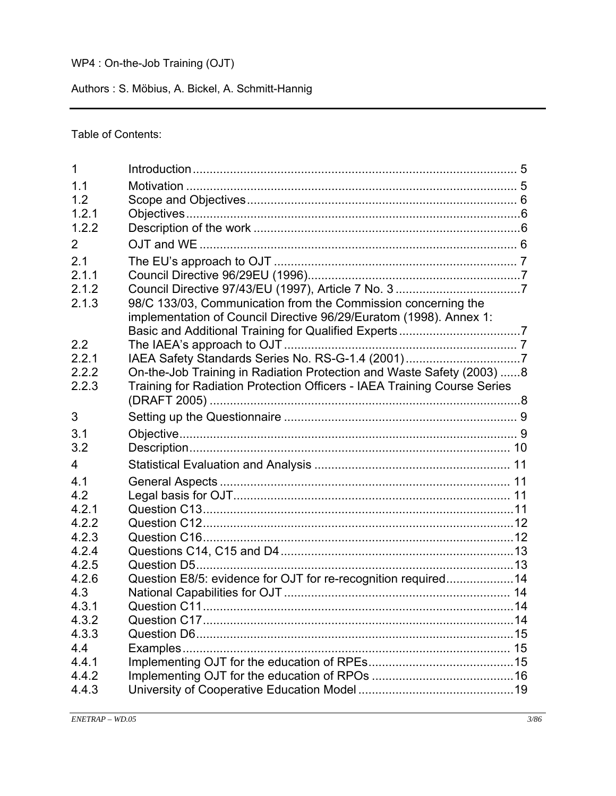## WP4 : On-the-Job Training (OJT)

Authors : S. Möbius, A. Bickel, A. Schmitt-Hannig

Table of Contents:

| 1     |                                                                          |  |
|-------|--------------------------------------------------------------------------|--|
| 1.1   |                                                                          |  |
| 1.2   |                                                                          |  |
| 1.2.1 |                                                                          |  |
| 1.2.2 |                                                                          |  |
| 2     |                                                                          |  |
| 2.1   |                                                                          |  |
| 2.1.1 |                                                                          |  |
| 2.1.2 |                                                                          |  |
| 2.1.3 | 98/C 133/03, Communication from the Commission concerning the            |  |
|       | implementation of Council Directive 96/29/Euratom (1998). Annex 1:       |  |
|       |                                                                          |  |
| 2.2   |                                                                          |  |
| 2.2.1 | IAEA Safety Standards Series No. RS-G-1.4 (2001)7                        |  |
| 2.2.2 | On-the-Job Training in Radiation Protection and Waste Safety (2003) 8    |  |
| 2.2.3 | Training for Radiation Protection Officers - IAEA Training Course Series |  |
|       |                                                                          |  |
| 3     |                                                                          |  |
| 3.1   |                                                                          |  |
| 3.2   |                                                                          |  |
| 4     |                                                                          |  |
| 4.1   |                                                                          |  |
| 4.2   |                                                                          |  |
| 4.2.1 |                                                                          |  |
| 4.2.2 |                                                                          |  |
| 4.2.3 |                                                                          |  |
| 4.2.4 |                                                                          |  |
| 4.2.5 |                                                                          |  |
| 4.2.6 | Question E8/5: evidence for OJT for re-recognition required14            |  |
| 4.3   |                                                                          |  |
| 4.3.1 |                                                                          |  |
| 4.3.2 |                                                                          |  |
| 4.3.3 |                                                                          |  |
| 4.4   |                                                                          |  |
| 4.4.1 |                                                                          |  |
| 4.4.2 |                                                                          |  |
| 4.4.3 |                                                                          |  |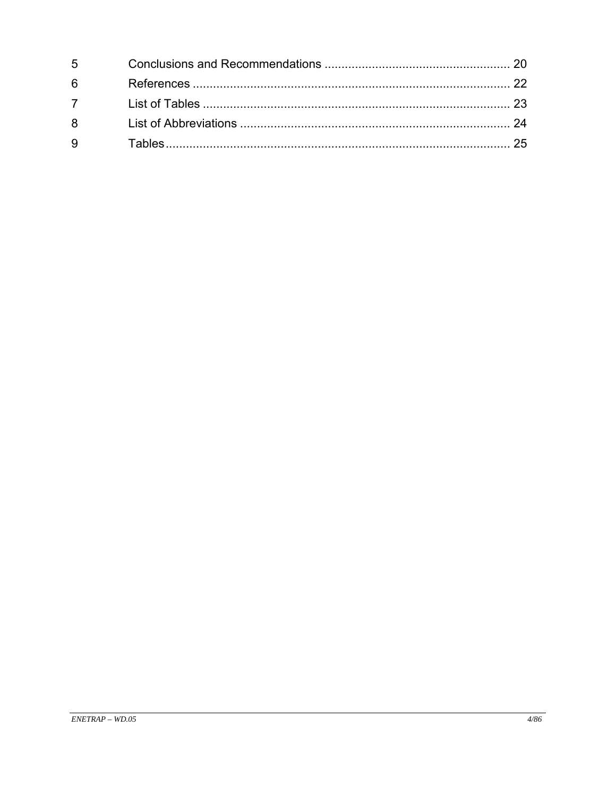| $5^{\circ}$ |  |
|-------------|--|
| 6           |  |
| $7^{\circ}$ |  |
| 8           |  |
| 9           |  |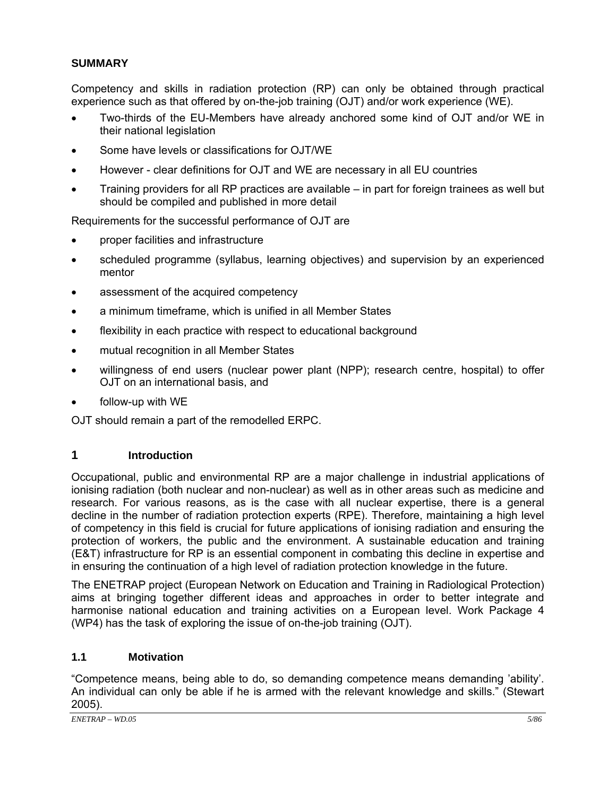### **SUMMARY**

Competency and skills in radiation protection (RP) can only be obtained through practical experience such as that offered by on-the-job training (OJT) and/or work experience (WE).

- Two-thirds of the EU-Members have already anchored some kind of OJT and/or WE in their national legislation
- Some have levels or classifications for OJT/WE
- However clear definitions for OJT and WE are necessary in all EU countries
- Training providers for all RP practices are available in part for foreign trainees as well but should be compiled and published in more detail

Requirements for the successful performance of OJT are

- proper facilities and infrastructure
- scheduled programme (syllabus, learning objectives) and supervision by an experienced mentor
- assessment of the acquired competency
- a minimum timeframe, which is unified in all Member States
- flexibility in each practice with respect to educational background
- mutual recognition in all Member States
- willingness of end users (nuclear power plant (NPP); research centre, hospital) to offer OJT on an international basis, and
- follow-up with WE

OJT should remain a part of the remodelled ERPC.

## **1 Introduction**

Occupational, public and environmental RP are a major challenge in industrial applications of ionising radiation (both nuclear and non-nuclear) as well as in other areas such as medicine and research. For various reasons, as is the case with all nuclear expertise, there is a general decline in the number of radiation protection experts (RPE). Therefore, maintaining a high level of competency in this field is crucial for future applications of ionising radiation and ensuring the protection of workers, the public and the environment. A sustainable education and training (E&T) infrastructure for RP is an essential component in combating this decline in expertise and in ensuring the continuation of a high level of radiation protection knowledge in the future.

The ENETRAP project (European Network on Education and Training in Radiological Protection) aims at bringing together different ideas and approaches in order to better integrate and harmonise national education and training activities on a European level. Work Package 4 (WP4) has the task of exploring the issue of on-the-job training (OJT).

### **1.1 Motivation**

"Competence means, being able to do, so demanding competence means demanding 'ability'. An individual can only be able if he is armed with the relevant knowledge and skills." (Stewart 2005).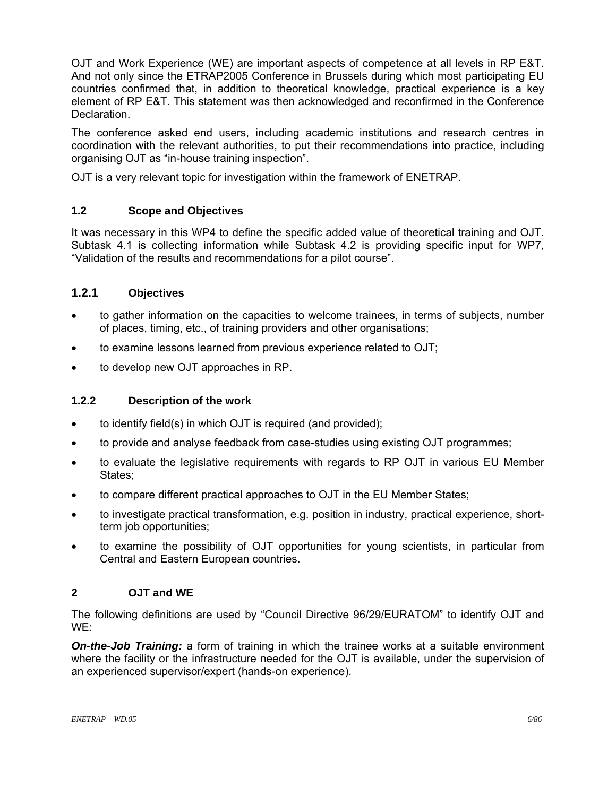OJT and Work Experience (WE) are important aspects of competence at all levels in RP E&T. And not only since the ETRAP2005 Conference in Brussels during which most participating EU countries confirmed that, in addition to theoretical knowledge, practical experience is a key element of RP E&T. This statement was then acknowledged and reconfirmed in the Conference Declaration.

The conference asked end users, including academic institutions and research centres in coordination with the relevant authorities, to put their recommendations into practice, including organising OJT as "in-house training inspection".

OJT is a very relevant topic for investigation within the framework of ENETRAP.

#### **1.2 Scope and Objectives**

It was necessary in this WP4 to define the specific added value of theoretical training and OJT. Subtask 4.1 is collecting information while Subtask 4.2 is providing specific input for WP7, "Validation of the results and recommendations for a pilot course".

### **1.2.1 Objectives**

- to gather information on the capacities to welcome trainees, in terms of subjects, number of places, timing, etc., of training providers and other organisations;
- to examine lessons learned from previous experience related to OJT;
- to develop new OJT approaches in RP.

### **1.2.2 Description of the work**

- to identify field(s) in which OJT is required (and provided);
- to provide and analyse feedback from case-studies using existing OJT programmes;
- to evaluate the legislative requirements with regards to RP OJT in various EU Member States:
- to compare different practical approaches to OJT in the EU Member States;
- to investigate practical transformation, e.g. position in industry, practical experience, shortterm job opportunities;
- to examine the possibility of OJT opportunities for young scientists, in particular from Central and Eastern European countries.

#### **2 OJT and WE**

The following definitions are used by "Council Directive 96/29/EURATOM" to identify OJT and WE:

**On-the-Job Training:** a form of training in which the trainee works at a suitable environment where the facility or the infrastructure needed for the OJT is available, under the supervision of an experienced supervisor/expert (hands-on experience).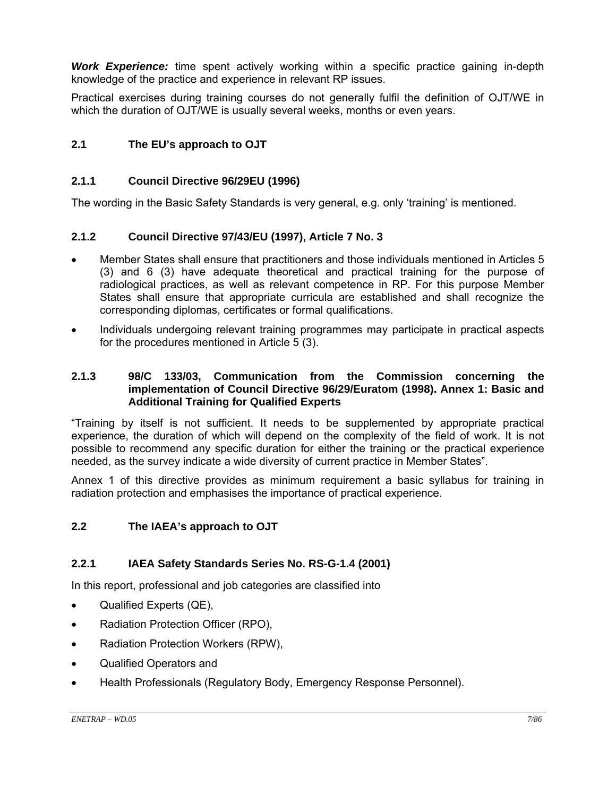*Work Experience:* time spent actively working within a specific practice gaining in-depth knowledge of the practice and experience in relevant RP issues.

Practical exercises during training courses do not generally fulfil the definition of OJT/WE in which the duration of OJT/WE is usually several weeks, months or even years.

### **2.1 The EU's approach to OJT**

#### **2.1.1 Council Directive 96/29EU (1996)**

The wording in the Basic Safety Standards is very general, e.g. only 'training' is mentioned.

#### **2.1.2 Council Directive 97/43/EU (1997), Article 7 No. 3**

- Member States shall ensure that practitioners and those individuals mentioned in Articles 5 (3) and 6 (3) have adequate theoretical and practical training for the purpose of radiological practices, as well as relevant competence in RP. For this purpose Member States shall ensure that appropriate curricula are established and shall recognize the corresponding diplomas, certificates or formal qualifications.
- Individuals undergoing relevant training programmes may participate in practical aspects for the procedures mentioned in Article 5 (3).

#### **2.1.3 98/C 133/03, Communication from the Commission concerning the implementation of Council Directive 96/29/Euratom (1998). Annex 1: Basic and Additional Training for Qualified Experts**

"Training by itself is not sufficient. It needs to be supplemented by appropriate practical experience, the duration of which will depend on the complexity of the field of work. It is not possible to recommend any specific duration for either the training or the practical experience needed, as the survey indicate a wide diversity of current practice in Member States".

Annex 1 of this directive provides as minimum requirement a basic syllabus for training in radiation protection and emphasises the importance of practical experience.

#### **2.2 The IAEA's approach to OJT**

### **2.2.1 IAEA Safety Standards Series No. RS-G-1.4 (2001)**

In this report, professional and job categories are classified into

- Qualified Experts (QE),
- Radiation Protection Officer (RPO),
- Radiation Protection Workers (RPW),
- Qualified Operators and
- Health Professionals (Regulatory Body, Emergency Response Personnel).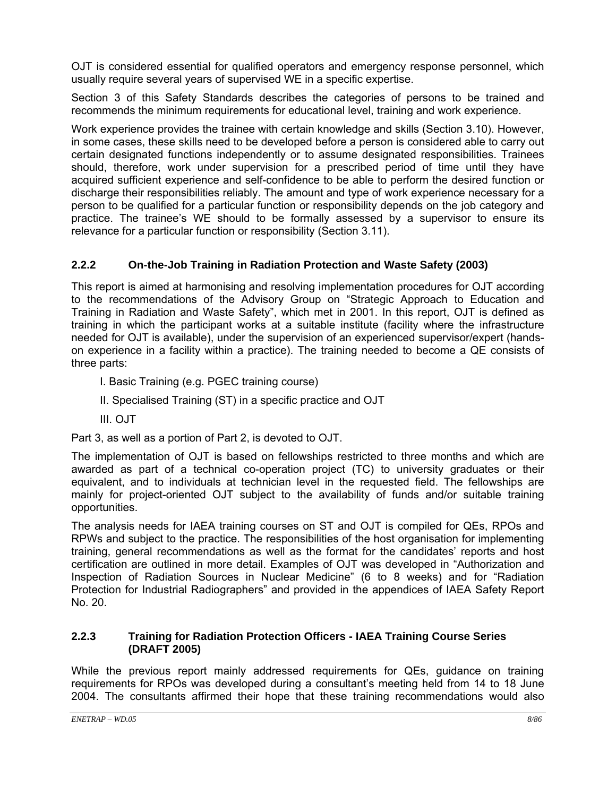OJT is considered essential for qualified operators and emergency response personnel, which usually require several years of supervised WE in a specific expertise.

Section 3 of this Safety Standards describes the categories of persons to be trained and recommends the minimum requirements for educational level, training and work experience.

Work experience provides the trainee with certain knowledge and skills (Section 3.10). However, in some cases, these skills need to be developed before a person is considered able to carry out certain designated functions independently or to assume designated responsibilities. Trainees should, therefore, work under supervision for a prescribed period of time until they have acquired sufficient experience and self-confidence to be able to perform the desired function or discharge their responsibilities reliably. The amount and type of work experience necessary for a person to be qualified for a particular function or responsibility depends on the job category and practice. The trainee's WE should to be formally assessed by a supervisor to ensure its relevance for a particular function or responsibility (Section 3.11).

## **2.2.2 On-the-Job Training in Radiation Protection and Waste Safety (2003)**

This report is aimed at harmonising and resolving implementation procedures for OJT according to the recommendations of the Advisory Group on "Strategic Approach to Education and Training in Radiation and Waste Safety", which met in 2001. In this report, OJT is defined as training in which the participant works at a suitable institute (facility where the infrastructure needed for OJT is available), under the supervision of an experienced supervisor/expert (handson experience in a facility within a practice). The training needed to become a QE consists of three parts:

I. Basic Training (e.g. PGEC training course)

- II. Specialised Training (ST) in a specific practice and OJT
- III. OJT

Part 3, as well as a portion of Part 2, is devoted to OJT.

The implementation of OJT is based on fellowships restricted to three months and which are awarded as part of a technical co-operation project (TC) to university graduates or their equivalent, and to individuals at technician level in the requested field. The fellowships are mainly for project-oriented OJT subject to the availability of funds and/or suitable training opportunities.

The analysis needs for IAEA training courses on ST and OJT is compiled for QEs, RPOs and RPWs and subject to the practice. The responsibilities of the host organisation for implementing training, general recommendations as well as the format for the candidates' reports and host certification are outlined in more detail. Examples of OJT was developed in "Authorization and Inspection of Radiation Sources in Nuclear Medicine" (6 to 8 weeks) and for "Radiation Protection for Industrial Radiographers" and provided in the appendices of IAEA Safety Report No. 20.

#### **2.2.3 Training for Radiation Protection Officers - IAEA Training Course Series (DRAFT 2005)**

While the previous report mainly addressed requirements for QEs, guidance on training requirements for RPOs was developed during a consultant's meeting held from 14 to 18 June 2004. The consultants affirmed their hope that these training recommendations would also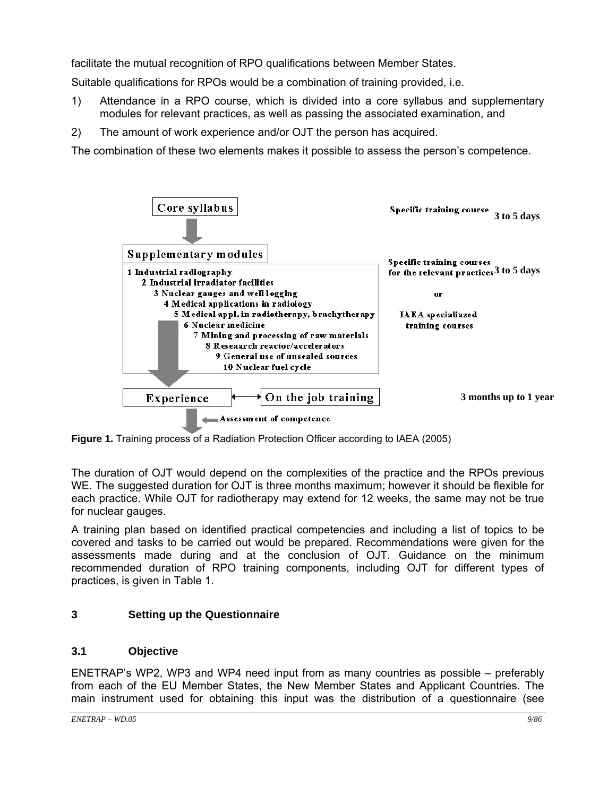facilitate the mutual recognition of RPO qualifications between Member States.

Suitable qualifications for RPOs would be a combination of training provided, i.e.

- 1) Attendance in a RPO course, which is divided into a core syllabus and supplementary modules for relevant practices, as well as passing the associated examination, and
- 2) The amount of work experience and/or OJT the person has acquired.

The combination of these two elements makes it possible to assess the person's competence.



**Figure 1.** Training process of a Radiation Protection Officer according to IAEA (2005)

The duration of OJT would depend on the complexities of the practice and the RPOs previous WE. The suggested duration for OJT is three months maximum; however it should be flexible for each practice. While OJT for radiotherapy may extend for 12 weeks, the same may not be true for nuclear gauges.

A training plan based on identified practical competencies and including a list of topics to be covered and tasks to be carried out would be prepared. Recommendations were given for the assessments made during and at the conclusion of OJT. Guidance on the minimum recommended duration of RPO training components, including OJT for different types of practices, is given in Table 1.

### **3 Setting up the Questionnaire**

### **3.1 Objective**

ENETRAP's WP2, WP3 and WP4 need input from as many countries as possible – preferably from each of the EU Member States, the New Member States and Applicant Countries. The main instrument used for obtaining this input was the distribution of a questionnaire (see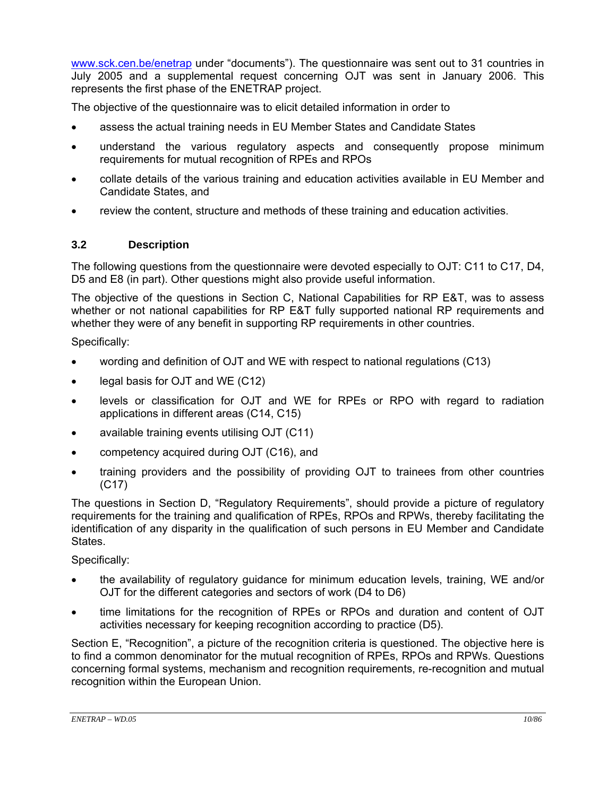www.sck.cen.be/enetrap under "documents"). The questionnaire was sent out to 31 countries in July 2005 and a supplemental request concerning OJT was sent in January 2006. This represents the first phase of the ENETRAP project.

The objective of the questionnaire was to elicit detailed information in order to

- assess the actual training needs in EU Member States and Candidate States
- understand the various regulatory aspects and consequently propose minimum requirements for mutual recognition of RPEs and RPOs
- collate details of the various training and education activities available in EU Member and Candidate States, and
- review the content, structure and methods of these training and education activities.

#### **3.2 Description**

The following questions from the questionnaire were devoted especially to OJT: C11 to C17, D4, D5 and E8 (in part). Other questions might also provide useful information.

The objective of the questions in Section C, National Capabilities for RP E&T, was to assess whether or not national capabilities for RP E&T fully supported national RP requirements and whether they were of any benefit in supporting RP requirements in other countries.

Specifically:

- wording and definition of OJT and WE with respect to national regulations (C13)
- legal basis for OJT and WE (C12)
- levels or classification for OJT and WE for RPEs or RPO with regard to radiation applications in different areas (C14, C15)
- available training events utilising OJT (C11)
- competency acquired during OJT (C16), and
- training providers and the possibility of providing OJT to trainees from other countries (C17)

The questions in Section D, "Regulatory Requirements", should provide a picture of regulatory requirements for the training and qualification of RPEs, RPOs and RPWs, thereby facilitating the identification of any disparity in the qualification of such persons in EU Member and Candidate States.

#### Specifically:

- the availability of regulatory guidance for minimum education levels, training, WE and/or OJT for the different categories and sectors of work (D4 to D6)
- time limitations for the recognition of RPEs or RPOs and duration and content of OJT activities necessary for keeping recognition according to practice (D5).

Section E, "Recognition", a picture of the recognition criteria is questioned. The objective here is to find a common denominator for the mutual recognition of RPEs, RPOs and RPWs. Questions concerning formal systems, mechanism and recognition requirements, re-recognition and mutual recognition within the European Union.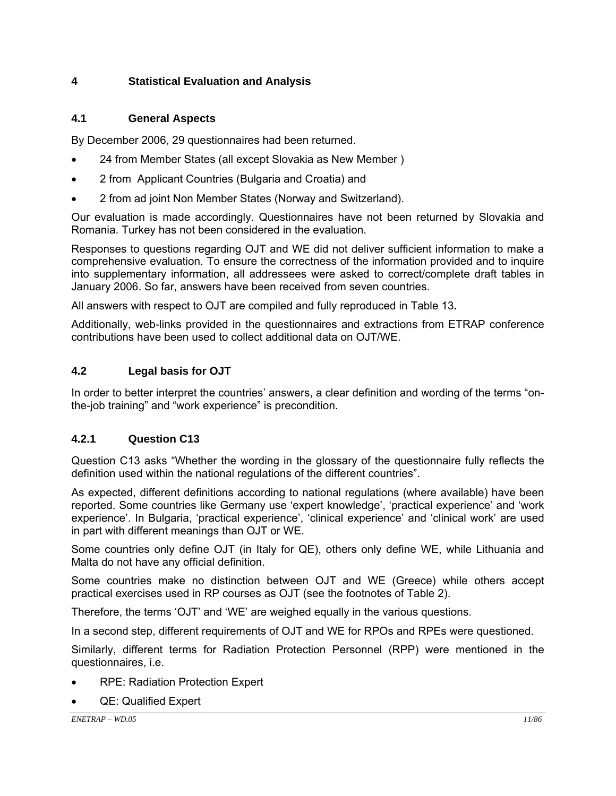### **4 Statistical Evaluation and Analysis**

### **4.1 General Aspects**

By December 2006, 29 questionnaires had been returned.

- 24 from Member States (all except Slovakia as New Member )
- 2 from Applicant Countries (Bulgaria and Croatia) and
- 2 from ad joint Non Member States (Norway and Switzerland).

Our evaluation is made accordingly. Questionnaires have not been returned by Slovakia and Romania. Turkey has not been considered in the evaluation.

Responses to questions regarding OJT and WE did not deliver sufficient information to make a comprehensive evaluation. To ensure the correctness of the information provided and to inquire into supplementary information, all addressees were asked to correct/complete draft tables in January 2006. So far, answers have been received from seven countries.

All answers with respect to OJT are compiled and fully reproduced in Table 13**.** 

Additionally, web-links provided in the questionnaires and extractions from ETRAP conference contributions have been used to collect additional data on OJT/WE.

## **4.2 Legal basis for OJT**

In order to better interpret the countries' answers, a clear definition and wording of the terms "onthe-job training" and "work experience" is precondition.

## **4.2.1 Question C13**

Question C13 asks "Whether the wording in the glossary of the questionnaire fully reflects the definition used within the national regulations of the different countries".

As expected, different definitions according to national regulations (where available) have been reported. Some countries like Germany use 'expert knowledge', 'practical experience' and 'work experience'. In Bulgaria, 'practical experience', 'clinical experience' and 'clinical work' are used in part with different meanings than OJT or WE.

Some countries only define OJT (in Italy for QE), others only define WE, while Lithuania and Malta do not have any official definition.

Some countries make no distinction between OJT and WE (Greece) while others accept practical exercises used in RP courses as OJT (see the footnotes of Table 2).

Therefore, the terms 'OJT' and 'WE' are weighed equally in the various questions.

In a second step, different requirements of OJT and WE for RPOs and RPEs were questioned.

Similarly, different terms for Radiation Protection Personnel (RPP) were mentioned in the questionnaires, i.e.

- RPE: Radiation Protection Expert
- QE: Qualified Expert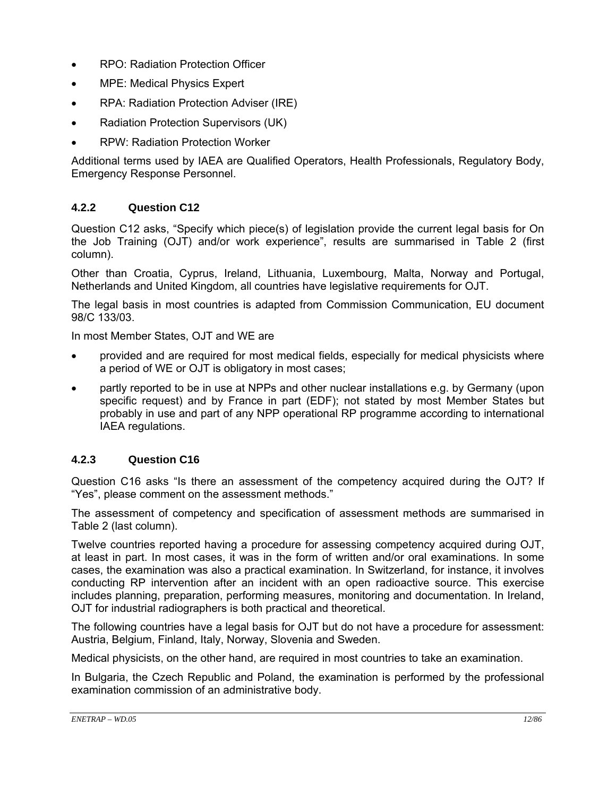- RPO: Radiation Protection Officer
- MPE: Medical Physics Expert
- RPA: Radiation Protection Adviser (IRE)
- Radiation Protection Supervisors (UK)
- RPW: Radiation Protection Worker

Additional terms used by IAEA are Qualified Operators, Health Professionals, Regulatory Body, Emergency Response Personnel.

## **4.2.2 Question C12**

Question C12 asks, "Specify which piece(s) of legislation provide the current legal basis for On the Job Training (OJT) and/or work experience", results are summarised in Table 2 (first column).

Other than Croatia, Cyprus, Ireland, Lithuania, Luxembourg, Malta, Norway and Portugal, Netherlands and United Kingdom, all countries have legislative requirements for OJT.

The legal basis in most countries is adapted from Commission Communication, EU document 98/C 133/03.

In most Member States, OJT and WE are

- provided and are required for most medical fields, especially for medical physicists where a period of WE or OJT is obligatory in most cases;
- partly reported to be in use at NPPs and other nuclear installations e.g. by Germany (upon specific request) and by France in part (EDF); not stated by most Member States but probably in use and part of any NPP operational RP programme according to international IAEA regulations.

### **4.2.3 Question C16**

Question C16 asks "Is there an assessment of the competency acquired during the OJT? If "Yes", please comment on the assessment methods."

The assessment of competency and specification of assessment methods are summarised in Table 2 (last column).

Twelve countries reported having a procedure for assessing competency acquired during OJT, at least in part. In most cases, it was in the form of written and/or oral examinations. In some cases, the examination was also a practical examination. In Switzerland, for instance, it involves conducting RP intervention after an incident with an open radioactive source. This exercise includes planning, preparation, performing measures, monitoring and documentation. In Ireland, OJT for industrial radiographers is both practical and theoretical.

The following countries have a legal basis for OJT but do not have a procedure for assessment: Austria, Belgium, Finland, Italy, Norway, Slovenia and Sweden.

Medical physicists, on the other hand, are required in most countries to take an examination.

In Bulgaria, the Czech Republic and Poland, the examination is performed by the professional examination commission of an administrative body.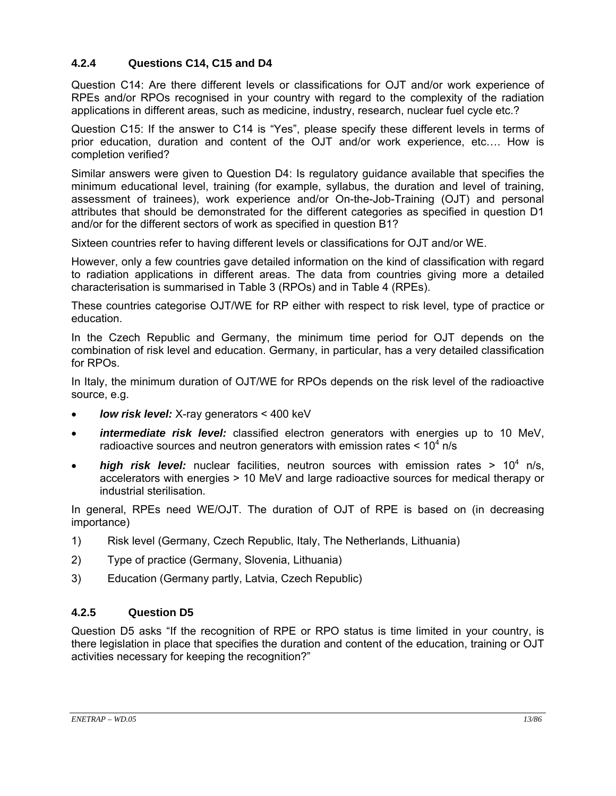### **4.2.4 Questions C14, C15 and D4**

Question C14: Are there different levels or classifications for OJT and/or work experience of RPEs and/or RPOs recognised in your country with regard to the complexity of the radiation applications in different areas, such as medicine, industry, research, nuclear fuel cycle etc.?

Question C15: If the answer to C14 is "Yes", please specify these different levels in terms of prior education, duration and content of the OJT and/or work experience, etc…. How is completion verified?

Similar answers were given to Question D4: Is regulatory guidance available that specifies the minimum educational level, training (for example, syllabus, the duration and level of training, assessment of trainees), work experience and/or On-the-Job-Training (OJT) and personal attributes that should be demonstrated for the different categories as specified in question D1 and/or for the different sectors of work as specified in question B1?

Sixteen countries refer to having different levels or classifications for OJT and/or WE.

However, only a few countries gave detailed information on the kind of classification with regard to radiation applications in different areas. The data from countries giving more a detailed characterisation is summarised in Table 3 (RPOs) and in Table 4 (RPEs).

These countries categorise OJT/WE for RP either with respect to risk level, type of practice or education.

In the Czech Republic and Germany, the minimum time period for OJT depends on the combination of risk level and education. Germany, in particular, has a very detailed classification for RPOs.

In Italy, the minimum duration of OJT/WE for RPOs depends on the risk level of the radioactive source, e.g.

- *low risk level:* X-ray generators < 400 keV
- *intermediate risk level:* classified electron generators with energies up to 10 MeV, radioactive sources and neutron generators with emission rates  $< 10<sup>4</sup>$  n/s
- **high risk level:** nuclear facilities, neutron sources with emission rates > 10<sup>4</sup> n/s, accelerators with energies > 10 MeV and large radioactive sources for medical therapy or industrial sterilisation.

In general, RPEs need WE/OJT. The duration of OJT of RPE is based on (in decreasing importance)

- 1) Risk level (Germany, Czech Republic, Italy, The Netherlands, Lithuania)
- 2) Type of practice (Germany, Slovenia, Lithuania)
- 3) Education (Germany partly, Latvia, Czech Republic)

### **4.2.5 Question D5**

Question D5 asks "If the recognition of RPE or RPO status is time limited in your country, is there legislation in place that specifies the duration and content of the education, training or OJT activities necessary for keeping the recognition?"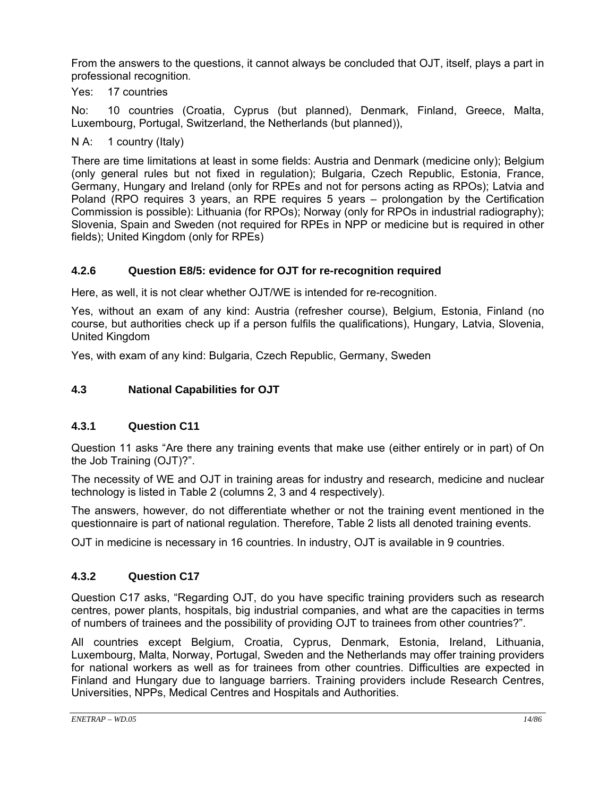From the answers to the questions, it cannot always be concluded that OJT, itself, plays a part in professional recognition.

Yes: 17 countries

No: 10 countries (Croatia, Cyprus (but planned), Denmark, Finland, Greece, Malta, Luxembourg, Portugal, Switzerland, the Netherlands (but planned)),

N A: 1 country (Italy)

There are time limitations at least in some fields: Austria and Denmark (medicine only); Belgium (only general rules but not fixed in regulation); Bulgaria, Czech Republic, Estonia, France, Germany, Hungary and Ireland (only for RPEs and not for persons acting as RPOs); Latvia and Poland (RPO requires 3 years, an RPE requires 5 years – prolongation by the Certification Commission is possible): Lithuania (for RPOs); Norway (only for RPOs in industrial radiography); Slovenia, Spain and Sweden (not required for RPEs in NPP or medicine but is required in other fields); United Kingdom (only for RPEs)

## **4.2.6 Question E8/5: evidence for OJT for re-recognition required**

Here, as well, it is not clear whether OJT/WE is intended for re-recognition.

Yes, without an exam of any kind: Austria (refresher course), Belgium, Estonia, Finland (no course, but authorities check up if a person fulfils the qualifications), Hungary, Latvia, Slovenia, United Kingdom

Yes, with exam of any kind: Bulgaria, Czech Republic, Germany, Sweden

## **4.3 National Capabilities for OJT**

### **4.3.1 Question C11**

Question 11 asks "Are there any training events that make use (either entirely or in part) of On the Job Training (OJT)?".

The necessity of WE and OJT in training areas for industry and research, medicine and nuclear technology is listed in Table 2 (columns 2, 3 and 4 respectively).

The answers, however, do not differentiate whether or not the training event mentioned in the questionnaire is part of national regulation. Therefore, Table 2 lists all denoted training events.

OJT in medicine is necessary in 16 countries. In industry, OJT is available in 9 countries.

### **4.3.2 Question C17**

Question C17 asks, "Regarding OJT, do you have specific training providers such as research centres, power plants, hospitals, big industrial companies, and what are the capacities in terms of numbers of trainees and the possibility of providing OJT to trainees from other countries?".

All countries except Belgium, Croatia, Cyprus, Denmark, Estonia, Ireland, Lithuania, Luxembourg, Malta, Norway, Portugal, Sweden and the Netherlands may offer training providers for national workers as well as for trainees from other countries. Difficulties are expected in Finland and Hungary due to language barriers. Training providers include Research Centres, Universities, NPPs, Medical Centres and Hospitals and Authorities.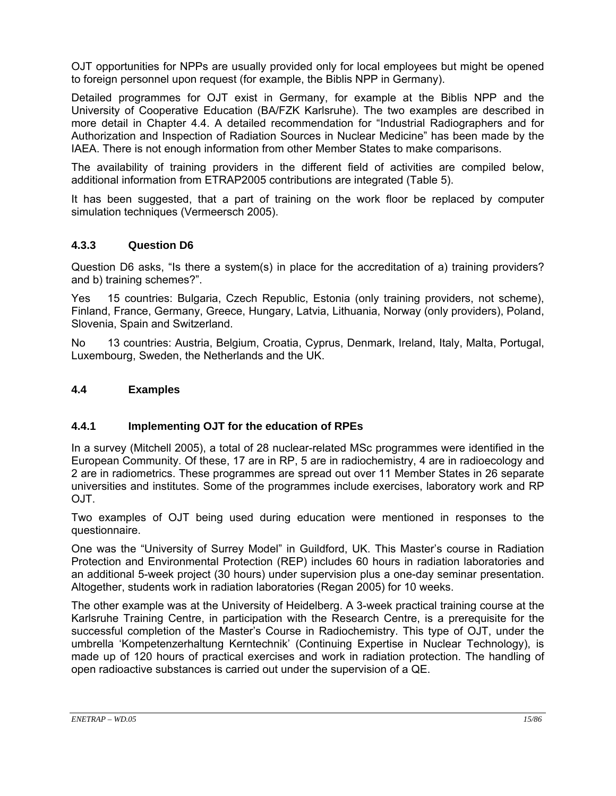OJT opportunities for NPPs are usually provided only for local employees but might be opened to foreign personnel upon request (for example, the Biblis NPP in Germany).

Detailed programmes for OJT exist in Germany, for example at the Biblis NPP and the University of Cooperative Education (BA/FZK Karlsruhe). The two examples are described in more detail in Chapter 4.4. A detailed recommendation for "Industrial Radiographers and for Authorization and Inspection of Radiation Sources in Nuclear Medicine" has been made by the IAEA. There is not enough information from other Member States to make comparisons.

The availability of training providers in the different field of activities are compiled below, additional information from ETRAP2005 contributions are integrated (Table 5).

It has been suggested, that a part of training on the work floor be replaced by computer simulation techniques (Vermeersch 2005).

#### **4.3.3 Question D6**

Question D6 asks, "Is there a system(s) in place for the accreditation of a) training providers? and b) training schemes?".

Yes 15 countries: Bulgaria, Czech Republic, Estonia (only training providers, not scheme), Finland, France, Germany, Greece, Hungary, Latvia, Lithuania, Norway (only providers), Poland, Slovenia, Spain and Switzerland.

No 13 countries: Austria, Belgium, Croatia, Cyprus, Denmark, Ireland, Italy, Malta, Portugal, Luxembourg, Sweden, the Netherlands and the UK.

#### **4.4 Examples**

#### **4.4.1 Implementing OJT for the education of RPEs**

In a survey (Mitchell 2005), a total of 28 nuclear-related MSc programmes were identified in the European Community. Of these, 17 are in RP, 5 are in radiochemistry, 4 are in radioecology and 2 are in radiometrics. These programmes are spread out over 11 Member States in 26 separate universities and institutes. Some of the programmes include exercises, laboratory work and RP OJT.

Two examples of OJT being used during education were mentioned in responses to the questionnaire.

One was the "University of Surrey Model" in Guildford, UK. This Master's course in Radiation Protection and Environmental Protection (REP) includes 60 hours in radiation laboratories and an additional 5-week project (30 hours) under supervision plus a one-day seminar presentation. Altogether, students work in radiation laboratories (Regan 2005) for 10 weeks.

The other example was at the University of Heidelberg. A 3-week practical training course at the Karlsruhe Training Centre, in participation with the Research Centre, is a prerequisite for the successful completion of the Master's Course in Radiochemistry. This type of OJT, under the umbrella 'Kompetenzerhaltung Kerntechnik' (Continuing Expertise in Nuclear Technology), is made up of 120 hours of practical exercises and work in radiation protection. The handling of open radioactive substances is carried out under the supervision of a QE.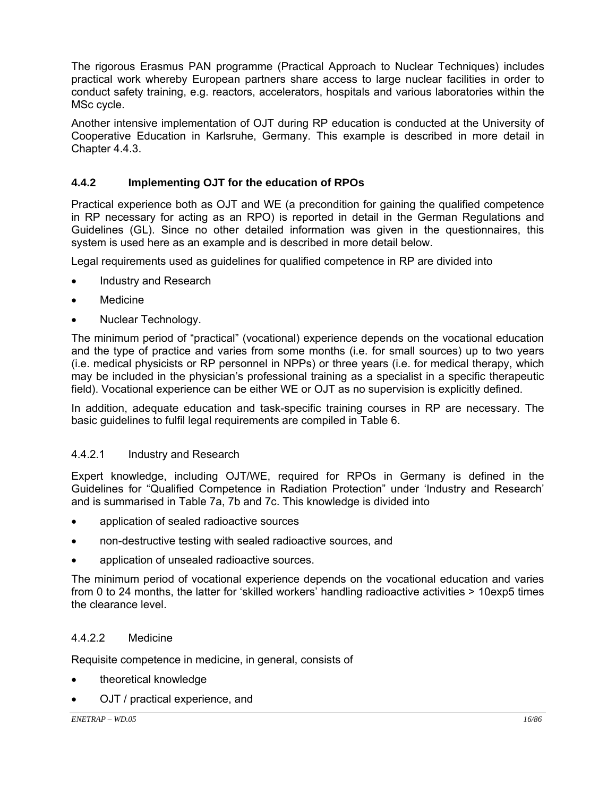The rigorous Erasmus PAN programme (Practical Approach to Nuclear Techniques) includes practical work whereby European partners share access to large nuclear facilities in order to conduct safety training, e.g. reactors, accelerators, hospitals and various laboratories within the MSc cycle.

Another intensive implementation of OJT during RP education is conducted at the University of Cooperative Education in Karlsruhe, Germany. This example is described in more detail in Chapter 4.4.3.

### **4.4.2 Implementing OJT for the education of RPOs**

Practical experience both as OJT and WE (a precondition for gaining the qualified competence in RP necessary for acting as an RPO) is reported in detail in the German Regulations and Guidelines (GL). Since no other detailed information was given in the questionnaires, this system is used here as an example and is described in more detail below.

Legal requirements used as guidelines for qualified competence in RP are divided into

- Industry and Research
- **Medicine**
- Nuclear Technology.

The minimum period of "practical" (vocational) experience depends on the vocational education and the type of practice and varies from some months (i.e. for small sources) up to two years (i.e. medical physicists or RP personnel in NPPs) or three years (i.e. for medical therapy, which may be included in the physician's professional training as a specialist in a specific therapeutic field). Vocational experience can be either WE or OJT as no supervision is explicitly defined.

In addition, adequate education and task-specific training courses in RP are necessary. The basic guidelines to fulfil legal requirements are compiled in Table 6.

### 4.4.2.1 Industry and Research

Expert knowledge, including OJT/WE, required for RPOs in Germany is defined in the Guidelines for "Qualified Competence in Radiation Protection" under 'Industry and Research' and is summarised in Table 7a, 7b and 7c. This knowledge is divided into

- application of sealed radioactive sources
- non-destructive testing with sealed radioactive sources, and
- application of unsealed radioactive sources.

The minimum period of vocational experience depends on the vocational education and varies from 0 to 24 months, the latter for 'skilled workers' handling radioactive activities > 10exp5 times the clearance level.

### 4.4.2.2 Medicine

Requisite competence in medicine, in general, consists of

- theoretical knowledge
- OJT / practical experience, and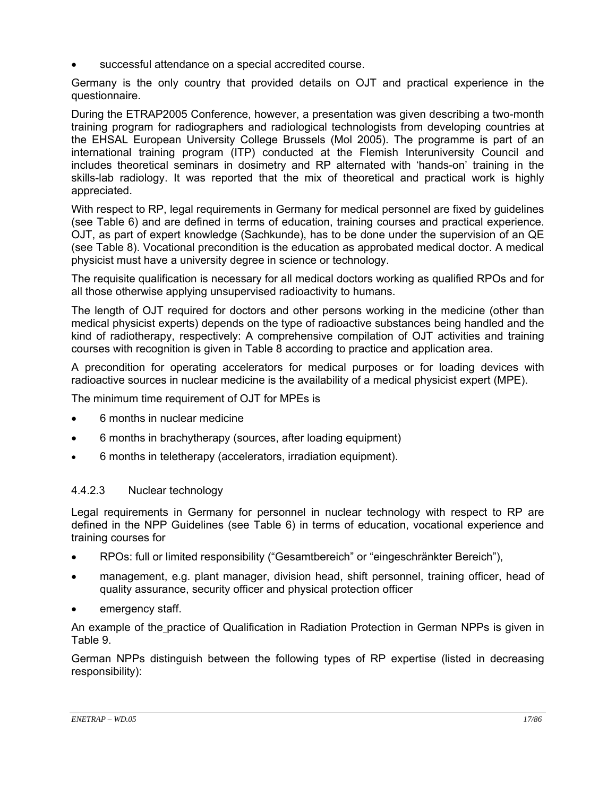successful attendance on a special accredited course.

Germany is the only country that provided details on OJT and practical experience in the questionnaire.

During the ETRAP2005 Conference, however, a presentation was given describing a two-month training program for radiographers and radiological technologists from developing countries at the EHSAL European University College Brussels (Mol 2005). The programme is part of an international training program (ITP) conducted at the Flemish Interuniversity Council and includes theoretical seminars in dosimetry and RP alternated with 'hands-on' training in the skills-lab radiology. It was reported that the mix of theoretical and practical work is highly appreciated.

With respect to RP, legal requirements in Germany for medical personnel are fixed by guidelines (see Table 6) and are defined in terms of education, training courses and practical experience. OJT, as part of expert knowledge (Sachkunde), has to be done under the supervision of an QE (see Table 8). Vocational precondition is the education as approbated medical doctor. A medical physicist must have a university degree in science or technology.

The requisite qualification is necessary for all medical doctors working as qualified RPOs and for all those otherwise applying unsupervised radioactivity to humans.

The length of OJT required for doctors and other persons working in the medicine (other than medical physicist experts) depends on the type of radioactive substances being handled and the kind of radiotherapy, respectively: A comprehensive compilation of OJT activities and training courses with recognition is given in Table 8 according to practice and application area.

A precondition for operating accelerators for medical purposes or for loading devices with radioactive sources in nuclear medicine is the availability of a medical physicist expert (MPE).

The minimum time requirement of OJT for MPEs is

- 6 months in nuclear medicine
- 6 months in brachytherapy (sources, after loading equipment)
- 6 months in teletherapy (accelerators, irradiation equipment).

#### 4.4.2.3 Nuclear technology

Legal requirements in Germany for personnel in nuclear technology with respect to RP are defined in the NPP Guidelines (see Table 6) in terms of education, vocational experience and training courses for

- RPOs: full or limited responsibility ("Gesamtbereich" or "eingeschränkter Bereich"),
- management, e.g. plant manager, division head, shift personnel, training officer, head of quality assurance, security officer and physical protection officer
- emergency staff.

An example of the practice of Qualification in Radiation Protection in German NPPs is given in Table 9.

German NPPs distinguish between the following types of RP expertise (listed in decreasing responsibility):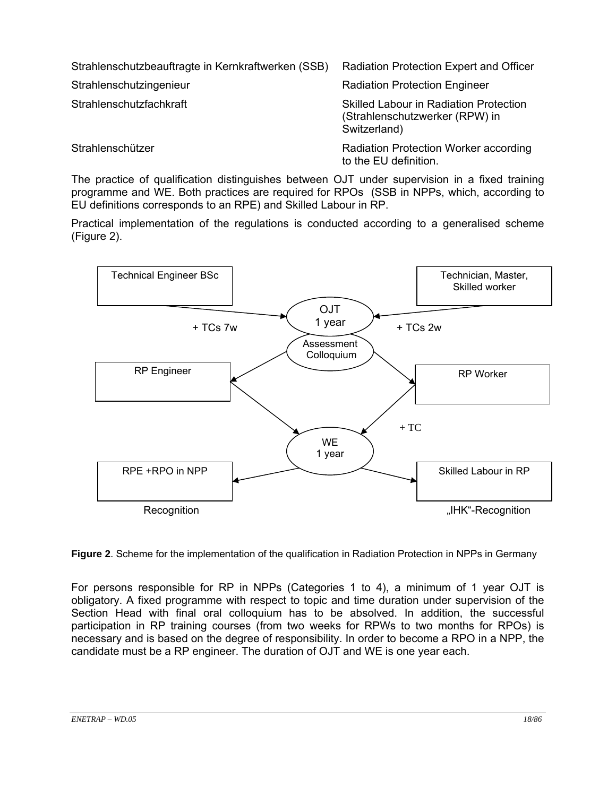| Strahlenschutzbeauftragte in Kernkraftwerken (SSB) | Radiation Protection Expert and Officer                                                         |
|----------------------------------------------------|-------------------------------------------------------------------------------------------------|
| Strahlenschutzingenieur                            | <b>Radiation Protection Engineer</b>                                                            |
| Strahlenschutzfachkraft                            | <b>Skilled Labour in Radiation Protection</b><br>(Strahlenschutzwerker (RPW) in<br>Switzerland) |
| Strahlenschützer                                   | <b>Radiation Protection Worker according</b><br>to the EU definition.                           |

The practice of qualification distinguishes between OJT under supervision in a fixed training programme and WE. Both practices are required for RPOs (SSB in NPPs, which, according to EU definitions corresponds to an RPE) and Skilled Labour in RP.

Practical implementation of the regulations is conducted according to a generalised scheme (Figure 2).



**Figure 2**. Scheme for the implementation of the qualification in Radiation Protection in NPPs in Germany

For persons responsible for RP in NPPs (Categories 1 to 4), a minimum of 1 year OJT is obligatory. A fixed programme with respect to topic and time duration under supervision of the Section Head with final oral colloquium has to be absolved. In addition, the successful participation in RP training courses (from two weeks for RPWs to two months for RPOs) is necessary and is based on the degree of responsibility. In order to become a RPO in a NPP, the candidate must be a RP engineer. The duration of OJT and WE is one year each.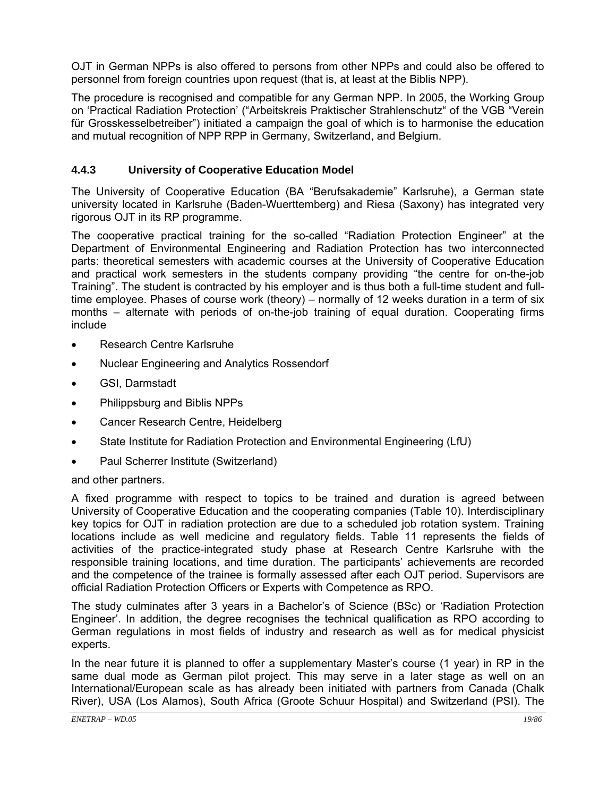OJT in German NPPs is also offered to persons from other NPPs and could also be offered to personnel from foreign countries upon request (that is, at least at the Biblis NPP).

The procedure is recognised and compatible for any German NPP. In 2005, the Working Group on 'Practical Radiation Protection' ("Arbeitskreis Praktischer Strahlenschutz" of the VGB "Verein für Grosskesselbetreiber") initiated a campaign the goal of which is to harmonise the education and mutual recognition of NPP RPP in Germany, Switzerland, and Belgium.

#### **4.4.3 University of Cooperative Education Model**

The University of Cooperative Education (BA "Berufsakademie" Karlsruhe), a German state university located in Karlsruhe (Baden-Wuerttemberg) and Riesa (Saxony) has integrated very rigorous OJT in its RP programme.

The cooperative practical training for the so-called "Radiation Protection Engineer" at the Department of Environmental Engineering and Radiation Protection has two interconnected parts: theoretical semesters with academic courses at the University of Cooperative Education and practical work semesters in the students company providing "the centre for on-the-job Training". The student is contracted by his employer and is thus both a full-time student and fulltime employee. Phases of course work (theory) – normally of 12 weeks duration in a term of six months – alternate with periods of on-the-job training of equal duration. Cooperating firms include

- Research Centre Karlsruhe
- Nuclear Engineering and Analytics Rossendorf
- GSI, Darmstadt
- Philippsburg and Biblis NPPs
- Cancer Research Centre, Heidelberg
- State Institute for Radiation Protection and Environmental Engineering (LfU)
- Paul Scherrer Institute (Switzerland)

#### and other partners.

A fixed programme with respect to topics to be trained and duration is agreed between University of Cooperative Education and the cooperating companies (Table 10). Interdisciplinary key topics for OJT in radiation protection are due to a scheduled job rotation system. Training locations include as well medicine and regulatory fields. Table 11 represents the fields of activities of the practice-integrated study phase at Research Centre Karlsruhe with the responsible training locations, and time duration. The participants' achievements are recorded and the competence of the trainee is formally assessed after each OJT period. Supervisors are official Radiation Protection Officers or Experts with Competence as RPO.

The study culminates after 3 years in a Bachelor's of Science (BSc) or 'Radiation Protection Engineer'. In addition, the degree recognises the technical qualification as RPO according to German regulations in most fields of industry and research as well as for medical physicist experts.

In the near future it is planned to offer a supplementary Master's course (1 year) in RP in the same dual mode as German pilot project. This may serve in a later stage as well on an International/European scale as has already been initiated with partners from Canada (Chalk River), USA (Los Alamos), South Africa (Groote Schuur Hospital) and Switzerland (PSI). The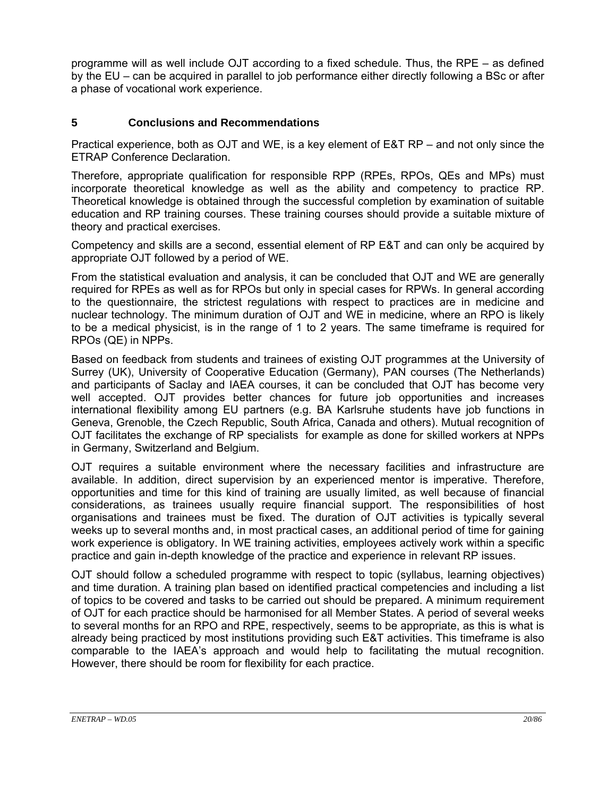programme will as well include OJT according to a fixed schedule. Thus, the RPE – as defined by the EU – can be acquired in parallel to job performance either directly following a BSc or after a phase of vocational work experience.

### **5 Conclusions and Recommendations**

Practical experience, both as OJT and WE, is a key element of E&T RP – and not only since the ETRAP Conference Declaration.

Therefore, appropriate qualification for responsible RPP (RPEs, RPOs, QEs and MPs) must incorporate theoretical knowledge as well as the ability and competency to practice RP. Theoretical knowledge is obtained through the successful completion by examination of suitable education and RP training courses. These training courses should provide a suitable mixture of theory and practical exercises.

Competency and skills are a second, essential element of RP E&T and can only be acquired by appropriate OJT followed by a period of WE.

From the statistical evaluation and analysis, it can be concluded that OJT and WE are generally required for RPEs as well as for RPOs but only in special cases for RPWs. In general according to the questionnaire, the strictest regulations with respect to practices are in medicine and nuclear technology. The minimum duration of OJT and WE in medicine, where an RPO is likely to be a medical physicist, is in the range of 1 to 2 years. The same timeframe is required for RPOs (QE) in NPPs.

Based on feedback from students and trainees of existing OJT programmes at the University of Surrey (UK), University of Cooperative Education (Germany), PAN courses (The Netherlands) and participants of Saclay and IAEA courses, it can be concluded that OJT has become very well accepted. OJT provides better chances for future job opportunities and increases international flexibility among EU partners (e.g. BA Karlsruhe students have job functions in Geneva, Grenoble, the Czech Republic, South Africa, Canada and others). Mutual recognition of OJT facilitates the exchange of RP specialists for example as done for skilled workers at NPPs in Germany, Switzerland and Belgium.

OJT requires a suitable environment where the necessary facilities and infrastructure are available. In addition, direct supervision by an experienced mentor is imperative. Therefore, opportunities and time for this kind of training are usually limited, as well because of financial considerations, as trainees usually require financial support. The responsibilities of host organisations and trainees must be fixed. The duration of OJT activities is typically several weeks up to several months and, in most practical cases, an additional period of time for gaining work experience is obligatory. In WE training activities, employees actively work within a specific practice and gain in-depth knowledge of the practice and experience in relevant RP issues.

OJT should follow a scheduled programme with respect to topic (syllabus, learning objectives) and time duration. A training plan based on identified practical competencies and including a list of topics to be covered and tasks to be carried out should be prepared. A minimum requirement of OJT for each practice should be harmonised for all Member States. A period of several weeks to several months for an RPO and RPE, respectively, seems to be appropriate, as this is what is already being practiced by most institutions providing such E&T activities. This timeframe is also comparable to the IAEA's approach and would help to facilitating the mutual recognition. However, there should be room for flexibility for each practice.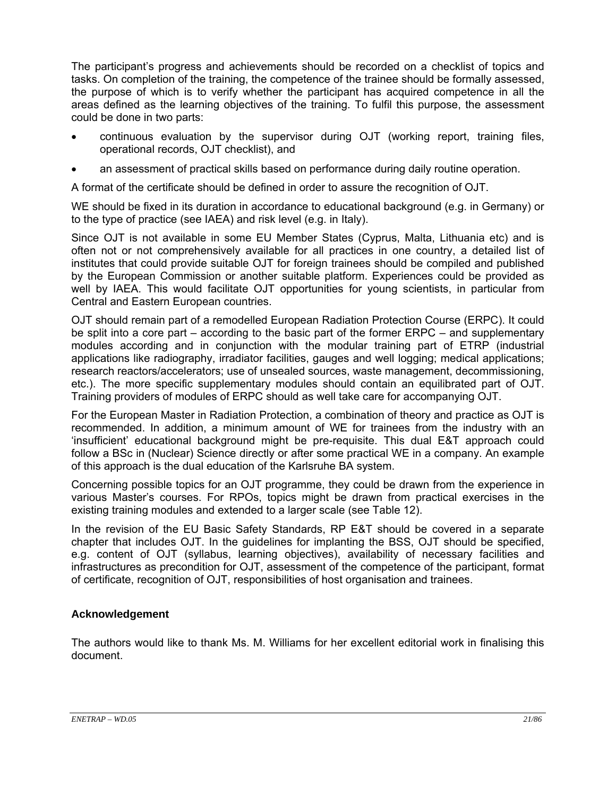The participant's progress and achievements should be recorded on a checklist of topics and tasks. On completion of the training, the competence of the trainee should be formally assessed, the purpose of which is to verify whether the participant has acquired competence in all the areas defined as the learning objectives of the training. To fulfil this purpose, the assessment could be done in two parts:

- continuous evaluation by the supervisor during OJT (working report, training files, operational records, OJT checklist), and
- an assessment of practical skills based on performance during daily routine operation.

A format of the certificate should be defined in order to assure the recognition of OJT.

WE should be fixed in its duration in accordance to educational background (e.g. in Germany) or to the type of practice (see IAEA) and risk level (e.g. in Italy).

Since OJT is not available in some EU Member States (Cyprus, Malta, Lithuania etc) and is often not or not comprehensively available for all practices in one country, a detailed list of institutes that could provide suitable OJT for foreign trainees should be compiled and published by the European Commission or another suitable platform. Experiences could be provided as well by IAEA. This would facilitate OJT opportunities for young scientists, in particular from Central and Eastern European countries.

OJT should remain part of a remodelled European Radiation Protection Course (ERPC). It could be split into a core part – according to the basic part of the former ERPC – and supplementary modules according and in conjunction with the modular training part of ETRP (industrial applications like radiography, irradiator facilities, gauges and well logging; medical applications; research reactors/accelerators; use of unsealed sources, waste management, decommissioning, etc.). The more specific supplementary modules should contain an equilibrated part of OJT. Training providers of modules of ERPC should as well take care for accompanying OJT.

For the European Master in Radiation Protection, a combination of theory and practice as OJT is recommended. In addition, a minimum amount of WE for trainees from the industry with an 'insufficient' educational background might be pre-requisite. This dual E&T approach could follow a BSc in (Nuclear) Science directly or after some practical WE in a company. An example of this approach is the dual education of the Karlsruhe BA system.

Concerning possible topics for an OJT programme, they could be drawn from the experience in various Master's courses. For RPOs, topics might be drawn from practical exercises in the existing training modules and extended to a larger scale (see Table 12).

In the revision of the EU Basic Safety Standards, RP E&T should be covered in a separate chapter that includes OJT. In the guidelines for implanting the BSS, OJT should be specified, e.g. content of OJT (syllabus, learning objectives), availability of necessary facilities and infrastructures as precondition for OJT, assessment of the competence of the participant, format of certificate, recognition of OJT, responsibilities of host organisation and trainees.

### **Acknowledgement**

The authors would like to thank Ms. M. Williams for her excellent editorial work in finalising this document.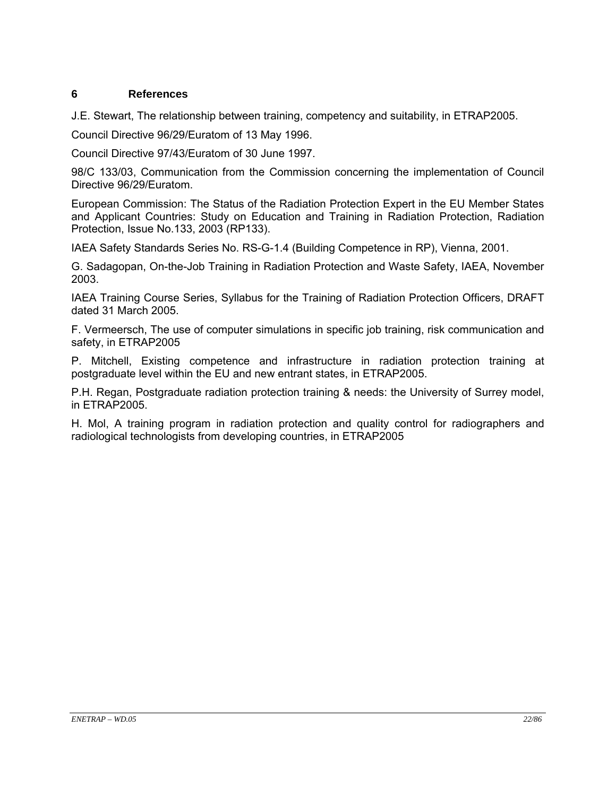#### **6 References**

J.E. Stewart, The relationship between training, competency and suitability, in ETRAP2005.

Council Directive 96/29/Euratom of 13 May 1996.

Council Directive 97/43/Euratom of 30 June 1997.

98/C 133/03, Communication from the Commission concerning the implementation of Council Directive 96/29/Euratom.

European Commission: The Status of the Radiation Protection Expert in the EU Member States and Applicant Countries: Study on Education and Training in Radiation Protection, Radiation Protection, Issue No.133, 2003 (RP133).

IAEA Safety Standards Series No. RS-G-1.4 (Building Competence in RP), Vienna, 2001.

G. Sadagopan, On-the-Job Training in Radiation Protection and Waste Safety, IAEA, November 2003.

IAEA Training Course Series, Syllabus for the Training of Radiation Protection Officers, DRAFT dated 31 March 2005.

F. Vermeersch, The use of computer simulations in specific job training, risk communication and safety, in ETRAP2005

P. Mitchell, Existing competence and infrastructure in radiation protection training at postgraduate level within the EU and new entrant states, in ETRAP2005.

P.H. Regan, Postgraduate radiation protection training & needs: the University of Surrey model, in ETRAP2005.

H. Mol, A training program in radiation protection and quality control for radiographers and radiological technologists from developing countries, in ETRAP2005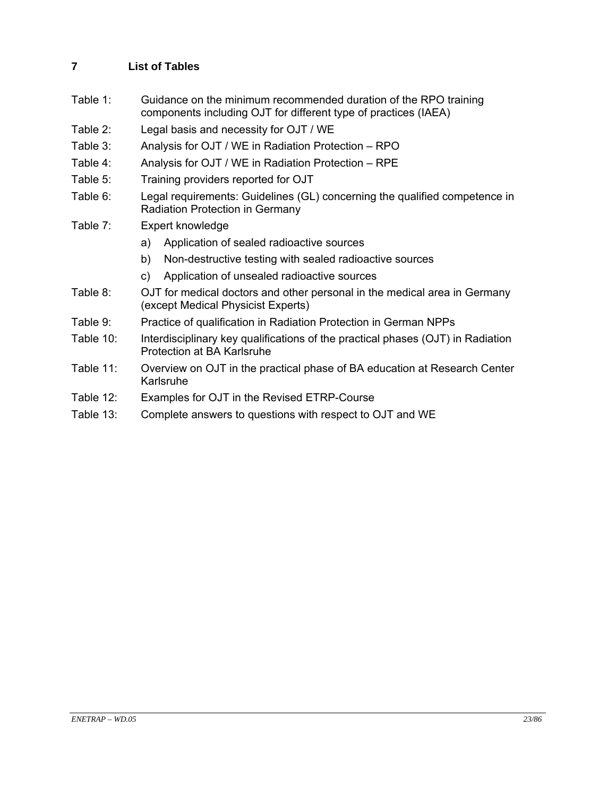## **7 List of Tables**

- Table 1: Guidance on the minimum recommended duration of the RPO training components including OJT for different type of practices (IAEA)
- Table 2: Legal basis and necessity for OJT / WE
- Table 3: Analysis for OJT / WE in Radiation Protection RPO
- Table 4: Analysis for OJT / WE in Radiation Protection RPE
- Table 5: Training providers reported for OJT
- Table 6: Legal requirements: Guidelines (GL) concerning the qualified competence in Radiation Protection in Germany
- Table 7: Expert knowledge
	- a) Application of sealed radioactive sources
	- b) Non-destructive testing with sealed radioactive sources
	- c) Application of unsealed radioactive sources
- Table 8: OJT for medical doctors and other personal in the medical area in Germany (except Medical Physicist Experts)
- Table 9: Practice of qualification in Radiation Protection in German NPPs
- Table 10: Interdisciplinary key qualifications of the practical phases (OJT) in Radiation Protection at BA Karlsruhe
- Table 11: Overview on OJT in the practical phase of BA education at Research Center Karlsruhe
- Table 12: Examples for OJT in the Revised ETRP-Course
- Table 13: Complete answers to questions with respect to OJT and WE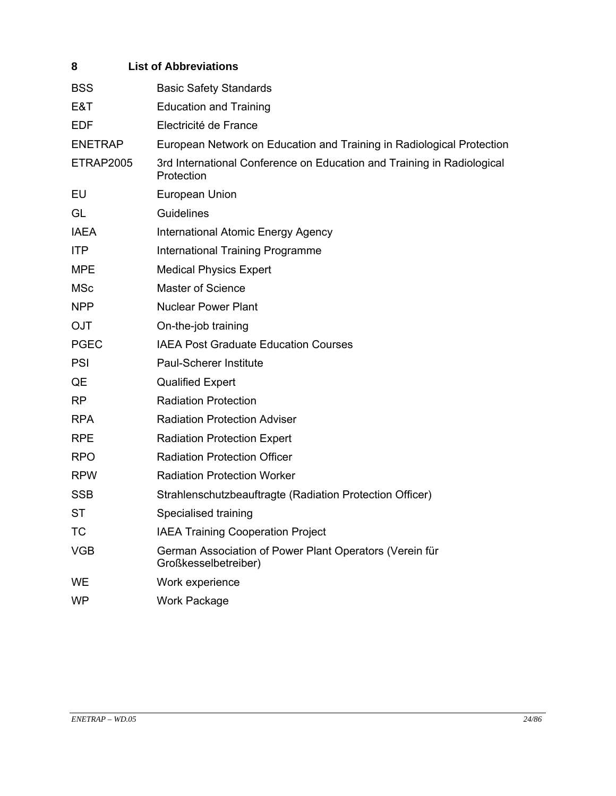| 8                | <b>List of Abbreviations</b>                                                         |
|------------------|--------------------------------------------------------------------------------------|
| <b>BSS</b>       | <b>Basic Safety Standards</b>                                                        |
| E&T              | <b>Education and Training</b>                                                        |
| <b>EDF</b>       | Electricité de France                                                                |
| <b>ENETRAP</b>   | European Network on Education and Training in Radiological Protection                |
| <b>ETRAP2005</b> | 3rd International Conference on Education and Training in Radiological<br>Protection |
| EU               | European Union                                                                       |
| GL               | Guidelines                                                                           |
| <b>IAEA</b>      | International Atomic Energy Agency                                                   |
| <b>ITP</b>       | International Training Programme                                                     |
| <b>MPE</b>       | <b>Medical Physics Expert</b>                                                        |
| <b>MSc</b>       | <b>Master of Science</b>                                                             |
| <b>NPP</b>       | <b>Nuclear Power Plant</b>                                                           |
| <b>OJT</b>       | On-the-job training                                                                  |
| <b>PGEC</b>      | <b>IAEA Post Graduate Education Courses</b>                                          |
| <b>PSI</b>       | <b>Paul-Scherer Institute</b>                                                        |
| QE               | <b>Qualified Expert</b>                                                              |
| RP               | <b>Radiation Protection</b>                                                          |
| <b>RPA</b>       | <b>Radiation Protection Adviser</b>                                                  |
| <b>RPE</b>       | <b>Radiation Protection Expert</b>                                                   |
| <b>RPO</b>       | <b>Radiation Protection Officer</b>                                                  |
| <b>RPW</b>       | <b>Radiation Protection Worker</b>                                                   |
| <b>SSB</b>       | Strahlenschutzbeauftragte (Radiation Protection Officer)                             |
| <b>ST</b>        | Specialised training                                                                 |
| ТC               | <b>IAEA Training Cooperation Project</b>                                             |
| <b>VGB</b>       | German Association of Power Plant Operators (Verein für<br>Großkesselbetreiber)      |
| WE               | Work experience                                                                      |
| <b>WP</b>        | <b>Work Package</b>                                                                  |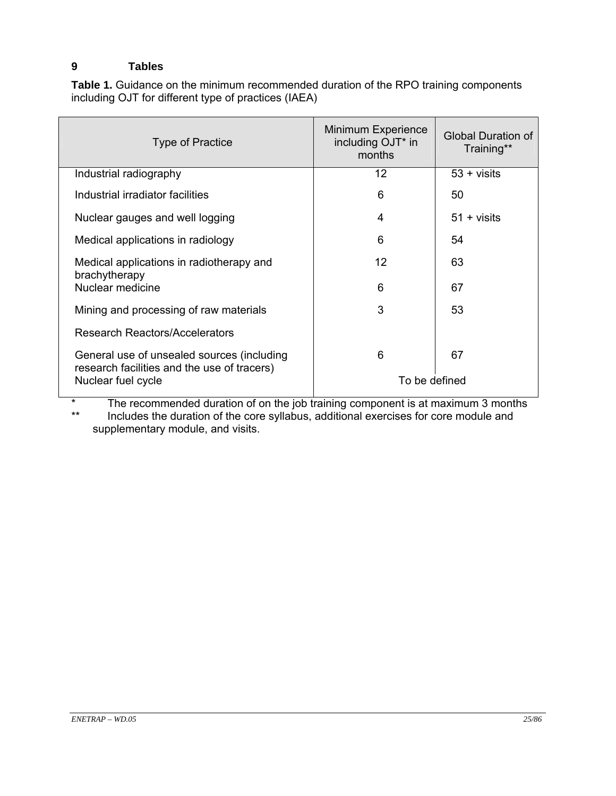### **9 Tables**

**Table 1.** Guidance on the minimum recommended duration of the RPO training components including OJT for different type of practices (IAEA)

| Type of Practice                                                                          | Minimum Experience<br>including OJT* in<br>months | Global Duration of<br>Training** |
|-------------------------------------------------------------------------------------------|---------------------------------------------------|----------------------------------|
| Industrial radiography                                                                    | 12                                                | $53 + visits$                    |
| Industrial irradiator facilities                                                          | 6                                                 | 50                               |
| Nuclear gauges and well logging                                                           | 4                                                 | $51 + visits$                    |
| Medical applications in radiology                                                         | 6                                                 | 54                               |
| Medical applications in radiotherapy and                                                  | 12                                                | 63                               |
| brachytherapy<br>Nuclear medicine                                                         | 6                                                 | 67                               |
| Mining and processing of raw materials                                                    | 3                                                 | 53                               |
| Research Reactors/Accelerators                                                            |                                                   |                                  |
| General use of unsealed sources (including<br>research facilities and the use of tracers) | 6                                                 | 67                               |
| Nuclear fuel cycle                                                                        | To be defined                                     |                                  |

\* The recommended duration of on the job training component is at maximum 3 months<br>\*\* locudes the duration of the core syllabus, additional exercises for core module and Includes the duration of the core syllabus, additional exercises for core module and supplementary module, and visits.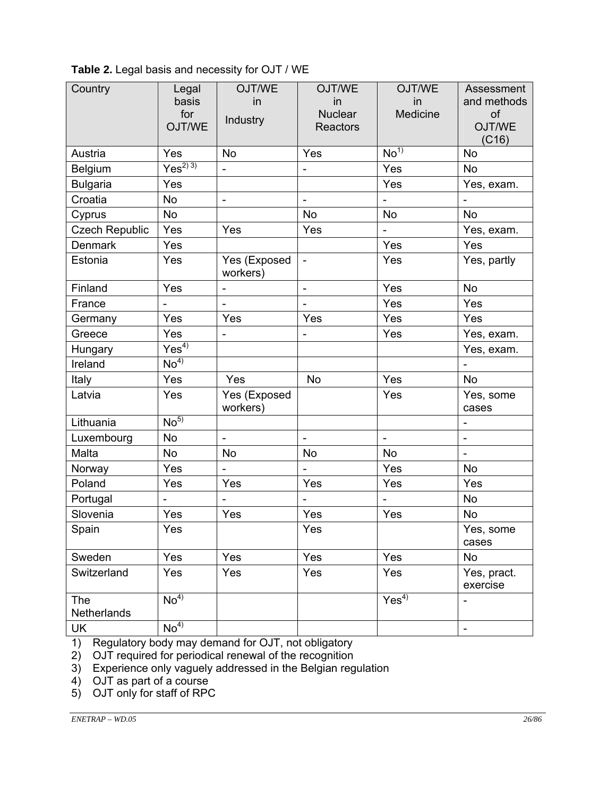| Country               | Legal<br>basis    | OJT/WE<br>in                 | OJT/WE<br>in                 | OJT/WE<br>in     | Assessment<br>and methods |
|-----------------------|-------------------|------------------------------|------------------------------|------------------|---------------------------|
|                       | for<br>OJT/WE     | Industry                     | <b>Nuclear</b><br>Reactors   | Medicine         | of<br>OJT/WE<br>(C16)     |
| Austria               | Yes               | <b>No</b>                    | Yes                          | No <sup>1</sup>  | <b>No</b>                 |
| Belgium               | $\sqrt{es^{2/3}}$ | $\overline{a}$               |                              | Yes              | <b>No</b>                 |
| <b>Bulgaria</b>       | Yes               |                              |                              | Yes              | Yes, exam.                |
| Croatia               | <b>No</b>         | $\overline{\phantom{a}}$     | $\overline{\phantom{a}}$     |                  |                           |
| Cyprus                | No                |                              | No                           | <b>No</b>        | <b>No</b>                 |
| <b>Czech Republic</b> | Yes               | Yes                          | Yes                          |                  | Yes, exam.                |
| <b>Denmark</b>        | Yes               |                              |                              | Yes              | Yes                       |
| Estonia               | Yes               | Yes (Exposed<br>workers)     | $\qquad \qquad \blacksquare$ | Yes              | Yes, partly               |
| Finland               | Yes               | $\qquad \qquad \blacksquare$ | ۰                            | Yes              | No                        |
| France                |                   |                              |                              | Yes              | Yes                       |
| Germany               | Yes               | Yes                          | Yes                          | Yes              | Yes                       |
| Greece                | Yes               |                              |                              | Yes              | Yes, exam.                |
| Hungary               | Yes <sup>4</sup>  |                              |                              |                  | Yes, exam.                |
| Ireland               | No <sup>4</sup>   |                              |                              |                  |                           |
| Italy                 | Yes               | Yes                          | <b>No</b>                    | Yes              | <b>No</b>                 |
| Latvia                | Yes               | Yes (Exposed<br>workers)     |                              | Yes              | Yes, some<br>cases        |
| Lithuania             | No <sup>5</sup>   |                              |                              |                  |                           |
| Luxembourg            | <b>No</b>         | $\blacksquare$               | $\blacksquare$               | $\blacksquare$   | ä,                        |
| Malta                 | No                | No                           | No                           | <b>No</b>        |                           |
| Norway                | Yes               | $\overline{\phantom{a}}$     | $\overline{\phantom{a}}$     | Yes              | <b>No</b>                 |
| Poland                | Yes               | Yes                          | Yes                          | Yes              | Yes                       |
| Portugal              |                   |                              |                              |                  | <b>No</b>                 |
| Slovenia              | Yes               | Yes                          | Yes                          | Yes              | <b>No</b>                 |
| Spain                 | Yes               |                              | Yes                          |                  | Yes, some<br>cases        |
| Sweden                | Yes               | Yes                          | Yes                          | Yes              | No                        |
| Switzerland           | Yes               | Yes                          | Yes                          | Yes              | Yes, pract.<br>exercise   |
| The<br>Netherlands    | No <sup>4</sup>   |                              |                              | Yes <sup>4</sup> |                           |
| UK                    | N <sup>4</sup>    |                              |                              |                  | $\blacksquare$            |

**Table 2.** Legal basis and necessity for OJT / WE

1) Regulatory body may demand for OJT, not obligatory

2) OJT required for periodical renewal of the recognition

3) Experience only vaguely addressed in the Belgian regulation

4) OJT as part of a course

5) OJT only for staff of RPC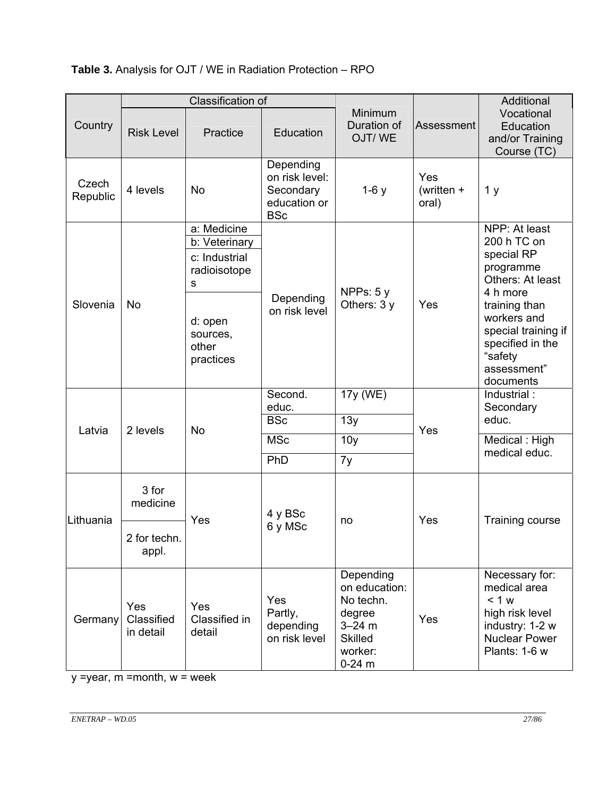# **Table 3.** Analysis for OJT / WE in Radiation Protection – RPO

|                   | Classification of              |                                                                            |                                                                        |                                                                                                          |                              | Additional                                                                                                              |
|-------------------|--------------------------------|----------------------------------------------------------------------------|------------------------------------------------------------------------|----------------------------------------------------------------------------------------------------------|------------------------------|-------------------------------------------------------------------------------------------------------------------------|
| Country           | <b>Risk Level</b>              | Practice                                                                   | Education                                                              | Minimum<br>Duration of<br>OJT/WE                                                                         | Assessment                   | Vocational<br>Education<br>and/or Training<br>Course (TC)                                                               |
| Czech<br>Republic | 4 levels                       | No                                                                         | Depending<br>on risk level:<br>Secondary<br>education or<br><b>BSc</b> | $1-6y$                                                                                                   | Yes<br>(written $+$<br>oral) | 1 <sub>y</sub>                                                                                                          |
| Slovenia          | No                             | a: Medicine<br>b: Veterinary<br>c: Industrial<br>radioisotope<br>${\sf S}$ | Depending<br>on risk level                                             | NPPs: $5y$<br>Others: 3 y                                                                                | Yes                          | NPP: At least<br>200 h TC on<br>special RP<br>programme<br>Others: At least<br>4 h more<br>training than<br>workers and |
|                   |                                | d: open<br>sources,<br>other<br>practices                                  |                                                                        |                                                                                                          |                              | special training if<br>specified in the<br>"safety<br>assessment"<br>documents                                          |
|                   | 2 levels                       | <b>No</b>                                                                  | Second.<br>educ.<br><b>BSc</b>                                         | 17y (WE)<br>13y                                                                                          | Yes                          | Industrial:<br>Secondary<br>educ.                                                                                       |
| Latvia            |                                |                                                                            |                                                                        |                                                                                                          |                              | Medical: High<br>medical educ.                                                                                          |
|                   |                                |                                                                            | <b>MSc</b>                                                             | 10 <sub>y</sub>                                                                                          |                              |                                                                                                                         |
|                   |                                |                                                                            |                                                                        | PhD                                                                                                      | 7y                           |                                                                                                                         |
| Lithuania         | 3 for<br>medicine              | Yes                                                                        | 4 y BSc                                                                | no                                                                                                       | Yes                          | <b>Training course</b>                                                                                                  |
|                   | 2 for techn.<br>appl.          |                                                                            |                                                                        | 6 y MSc                                                                                                  |                              |                                                                                                                         |
| Germany           | Yes<br>Classified<br>in detail | Yes<br>Classified in<br>detail                                             | Yes<br>Partly,<br>depending<br>on risk level                           | Depending<br>on education:<br>No techn.<br>degree<br>$3 - 24$ m<br><b>Skilled</b><br>worker:<br>$0-24$ m | Yes                          | Necessary for:<br>medical area<br>< 1 w<br>high risk level<br>industry: 1-2 w<br><b>Nuclear Power</b><br>Plants: 1-6 w  |

 $y = year$ , m = month,  $w = week$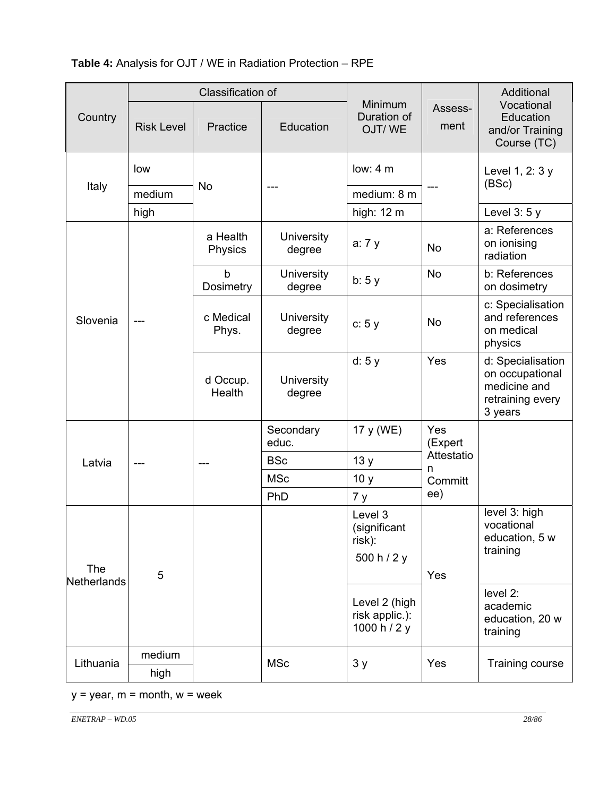| <b>Table 4:</b> Analysis for OJT / WE in Radiation Protection – RPE |  |
|---------------------------------------------------------------------|--|
|---------------------------------------------------------------------|--|

|                    |                   | Classification of        |                      |                                                  |                            | Additional                                                                          |
|--------------------|-------------------|--------------------------|----------------------|--------------------------------------------------|----------------------------|-------------------------------------------------------------------------------------|
| Country            | <b>Risk Level</b> | Practice                 | Education            | Minimum<br>Duration of<br>OJT/WE                 | Assess-<br>ment            | Vocational<br>Education<br>and/or Training<br>Course (TC)                           |
|                    | low               |                          |                      | low: $4m$                                        |                            | Level 1, 2: 3 y<br>(BSc)                                                            |
| Italy              | medium            | No                       |                      | medium: 8 m                                      |                            |                                                                                     |
|                    | high              |                          |                      | high: 12 m                                       |                            | Level $3:5y$                                                                        |
|                    |                   | a Health<br>Physics      | University<br>degree | a: 7 y                                           | <b>No</b>                  | a: References<br>on ionising<br>radiation                                           |
|                    |                   | $\mathsf b$<br>Dosimetry | University<br>degree | b: 5y                                            | <b>No</b>                  | b: References<br>on dosimetry                                                       |
| Slovenia           |                   | c Medical<br>Phys.       | University<br>degree | c: 5y                                            | No                         | c: Specialisation<br>and references<br>on medical<br>physics                        |
|                    |                   | d Occup.<br>Health       | University<br>degree | d: 5y                                            | Yes                        | d: Specialisation<br>on occupational<br>medicine and<br>retraining every<br>3 years |
|                    |                   |                          | Secondary<br>educ.   | 17 y (WE)                                        | Yes<br>(Expert             |                                                                                     |
| Latvia             |                   |                          | <b>BSc</b>           | 13y                                              | Attestatio<br>n<br>Committ |                                                                                     |
|                    |                   |                          | <b>MSc</b>           | 10 y                                             |                            |                                                                                     |
|                    |                   |                          | PhD                  | 7 y                                              | ee)                        |                                                                                     |
|                    |                   |                          |                      | Level 3<br>(significant<br>risk):<br>500 h / 2 y |                            | level 3: high<br>vocational<br>education, 5 w<br>training                           |
| The<br>Netherlands | 5                 |                          |                      |                                                  | Yes                        |                                                                                     |
|                    |                   |                          |                      | Level 2 (high<br>risk applic.):<br>1000 h / 2 y  |                            | level 2:<br>academic<br>education, 20 w<br>training                                 |
| Lithuania          | medium            |                          | <b>MSc</b>           | 3y                                               | Yes                        | Training course                                                                     |
|                    | high              |                          |                      |                                                  |                            |                                                                                     |

 $y = year$ ,  $m = month$ ,  $w = week$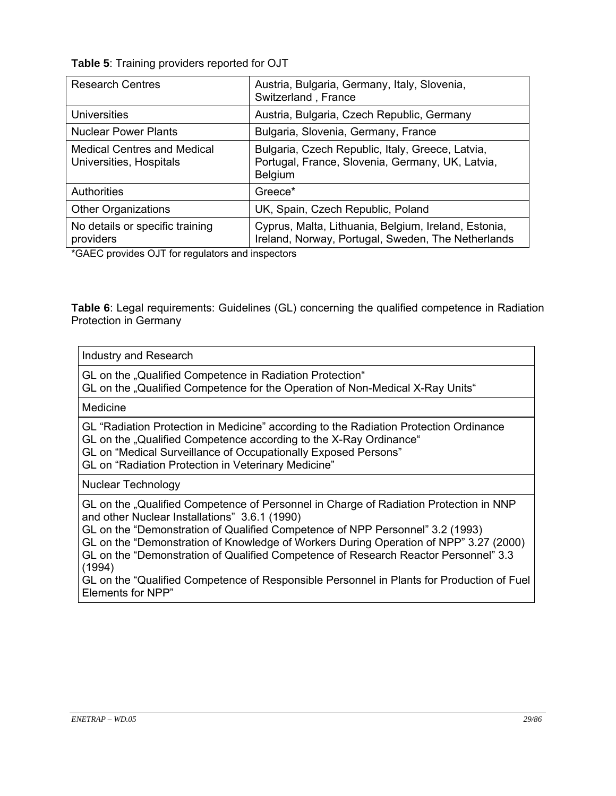**Table 5**: Training providers reported for OJT

| <b>Research Centres</b>                                                            | Austria, Bulgaria, Germany, Italy, Slovenia,<br>Switzerland, France                                                    |
|------------------------------------------------------------------------------------|------------------------------------------------------------------------------------------------------------------------|
| Universities                                                                       | Austria, Bulgaria, Czech Republic, Germany                                                                             |
| <b>Nuclear Power Plants</b>                                                        | Bulgaria, Slovenia, Germany, France                                                                                    |
| <b>Medical Centres and Medical</b><br>Universities, Hospitals                      | Bulgaria, Czech Republic, Italy, Greece, Latvia,<br>Portugal, France, Slovenia, Germany, UK, Latvia,<br><b>Belgium</b> |
| <b>Authorities</b>                                                                 | Greece*                                                                                                                |
| <b>Other Organizations</b>                                                         | UK, Spain, Czech Republic, Poland                                                                                      |
| No details or specific training<br>providers<br>$\sim$ $\sim$ $\sim$ $\sim$ $\sim$ | Cyprus, Malta, Lithuania, Belgium, Ireland, Estonia,<br>Ireland, Norway, Portugal, Sweden, The Netherlands             |

\*GAEC provides OJT for regulators and inspectors

**Table 6**: Legal requirements: Guidelines (GL) concerning the qualified competence in Radiation Protection in Germany

#### Industry and Research

GL on the "Qualified Competence in Radiation Protection"

GL on the "Qualified Competence for the Operation of Non-Medical X-Ray Units"

#### Medicine

GL "Radiation Protection in Medicine" according to the Radiation Protection Ordinance GL on the "Qualified Competence according to the X-Ray Ordinance"

GL on "Medical Surveillance of Occupationally Exposed Persons"

GL on "Radiation Protection in Veterinary Medicine"

#### Nuclear Technology

GL on the "Qualified Competence of Personnel in Charge of Radiation Protection in NNP and other Nuclear Installations" 3.6.1 (1990)

GL on the "Demonstration of Qualified Competence of NPP Personnel" 3.2 (1993)

GL on the "Demonstration of Knowledge of Workers During Operation of NPP" 3.27 (2000) GL on the "Demonstration of Qualified Competence of Research Reactor Personnel" 3.3 (1994)

GL on the "Qualified Competence of Responsible Personnel in Plants for Production of Fuel Elements for NPP"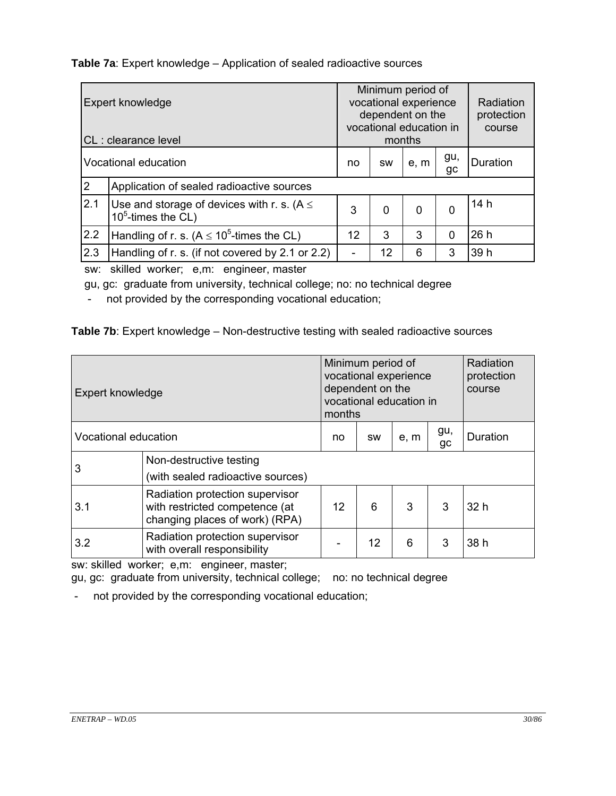**Table 7a**: Expert knowledge – Application of sealed radioactive sources

| Expert knowledge<br>CL: clearance level |                                                                           | Minimum period of<br>vocational experience<br>dependent on the<br>vocational education in<br>months |             |             | Radiation<br>protection<br>course |          |
|-----------------------------------------|---------------------------------------------------------------------------|-----------------------------------------------------------------------------------------------------|-------------|-------------|-----------------------------------|----------|
| Vocational education                    |                                                                           | no                                                                                                  | <b>SW</b>   | e, m        | gu,<br>gc                         | Duration |
| $\overline{2}$                          | Application of sealed radioactive sources                                 |                                                                                                     |             |             |                                   |          |
| 2.1                                     | Use and storage of devices with r. s. ( $A \leq$<br>10 $5$ -times the CL) | 3                                                                                                   | $\mathbf 0$ | $\mathbf 0$ | 0                                 | 14h      |
| 2.2                                     | Handling of r. s. ( $A \le 10^5$ -times the CL)                           | 12                                                                                                  | 3           | 3           | 0                                 | 26h      |
| 2.3                                     | Handling of r. s. (if not covered by 2.1 or 2.2)                          |                                                                                                     | 12          | 6           | 3                                 | 39 h     |

sw: skilled worker; e,m: engineer, master

gu, gc: graduate from university, technical college; no: no technical degree

- not provided by the corresponding vocational education;

### **Table 7b**: Expert knowledge – Non-destructive testing with sealed radioactive sources

| Expert knowledge     |                                                                                                     | Minimum period of<br>vocational experience<br>dependent on the<br>vocational education in<br>months |           |      |           | Radiation<br>protection<br>course |
|----------------------|-----------------------------------------------------------------------------------------------------|-----------------------------------------------------------------------------------------------------|-----------|------|-----------|-----------------------------------|
| Vocational education |                                                                                                     | no                                                                                                  | <b>SW</b> | e, m | gu,<br>gc | Duration                          |
| 3                    | Non-destructive testing<br>(with sealed radioactive sources)                                        |                                                                                                     |           |      |           |                                   |
| 3.1                  | Radiation protection supervisor<br>with restricted competence (at<br>changing places of work) (RPA) | $12 \overline{ }$                                                                                   | 6         | 3    | 3         | 32 h                              |
| 3.2                  | Radiation protection supervisor<br>with overall responsibility                                      |                                                                                                     | 12        | 6    | 3         | 38 h                              |

sw: skilled worker; e,m: engineer, master;

gu, gc: graduate from university, technical college; no: no technical degree

- not provided by the corresponding vocational education;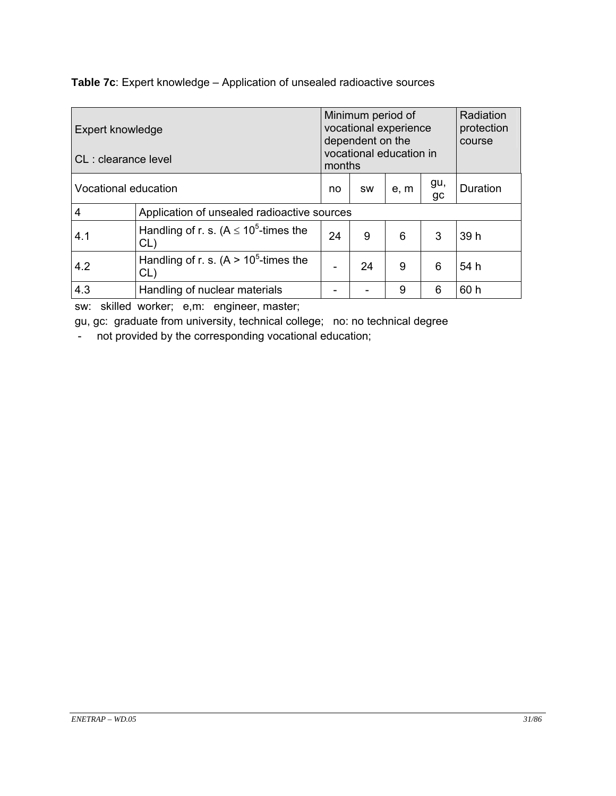**Table 7c**: Expert knowledge – Application of unsealed radioactive sources

| Expert knowledge |                                                               | Minimum period of<br>vocational experience<br>dependent on the |    |   |          | Radiation<br>protection<br>course |
|------------------|---------------------------------------------------------------|----------------------------------------------------------------|----|---|----------|-----------------------------------|
|                  | vocational education in<br>CL: clearance level<br>months      |                                                                |    |   |          |                                   |
|                  | gu,<br>Vocational education<br>e, m<br>no<br><b>SW</b><br>gc  |                                                                |    |   | Duration |                                   |
| 4                | Application of unsealed radioactive sources                   |                                                                |    |   |          |                                   |
| 4.1              | Handling of r. s. (A $\leq$ 10 <sup>5</sup> -times the<br>CL) | 24                                                             | 9  | 6 | 3        | 39 h                              |
| 4.2              | Handling of r. s. $(A > 105$ -times the<br>CL)                |                                                                | 24 | 9 | 6        | 54 h                              |
| 4.3              | Handling of nuclear materials                                 |                                                                |    | 9 | 6        | 60 h                              |

sw: skilled worker; e,m: engineer, master;

gu, gc: graduate from university, technical college; no: no technical degree

- not provided by the corresponding vocational education;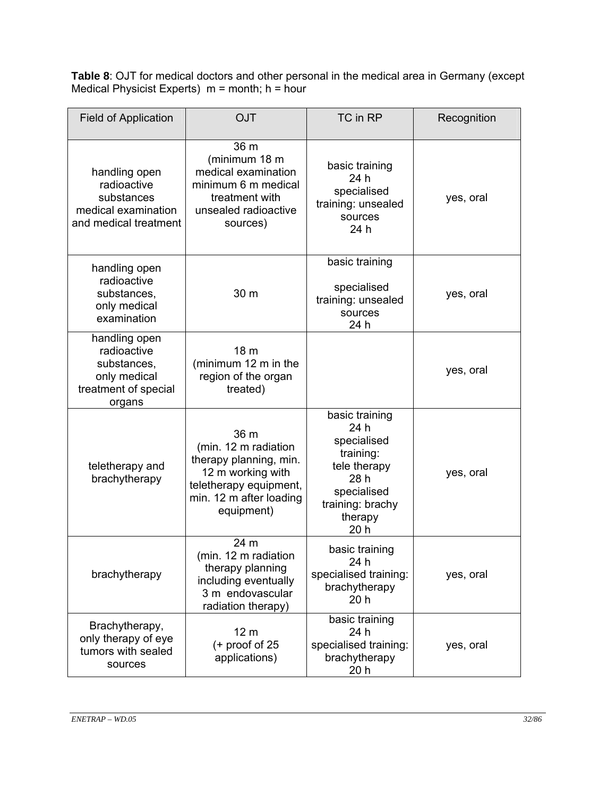**Table 8**: OJT for medical doctors and other personal in the medical area in Germany (except Medical Physicist Experts) m = month; h = hour

| <b>Field of Application</b>                                                                   | <b>OJT</b>                                                                                                                                     | TC in RP                                                                                                                         | Recognition |
|-----------------------------------------------------------------------------------------------|------------------------------------------------------------------------------------------------------------------------------------------------|----------------------------------------------------------------------------------------------------------------------------------|-------------|
| handling open<br>radioactive<br>substances<br>medical examination<br>and medical treatment    | 36 <sub>m</sub><br>(minimum 18 m<br>medical examination<br>minimum 6 m medical<br>treatment with<br>unsealed radioactive<br>sources)           | basic training<br>24 h<br>specialised<br>training: unsealed<br>sources<br>24 h                                                   | yes, oral   |
| handling open<br>radioactive<br>substances,<br>only medical<br>examination                    | 30 m                                                                                                                                           | basic training<br>specialised<br>training: unsealed<br>sources<br>24 h                                                           | yes, oral   |
| handling open<br>radioactive<br>substances,<br>only medical<br>treatment of special<br>organs | 18 <sub>m</sub><br>(minimum 12 m in the<br>region of the organ<br>treated)                                                                     |                                                                                                                                  | yes, oral   |
| teletherapy and<br>brachytherapy                                                              | 36 m<br>(min. 12 m radiation<br>therapy planning, min.<br>12 m working with<br>teletherapy equipment,<br>min. 12 m after loading<br>equipment) | basic training<br>24 h<br>specialised<br>training:<br>tele therapy<br>28 h<br>specialised<br>training: brachy<br>therapy<br>20 h | yes, oral   |
| brachytherapy                                                                                 | 24 m<br>(min. 12 m radiation<br>therapy planning<br>including eventually<br>3 m endovascular<br>radiation therapy)                             | basic training<br>24 h<br>specialised training:<br>brachytherapy<br>20 <sub>h</sub>                                              | yes, oral   |
| Brachytherapy,<br>only therapy of eye<br>tumors with sealed<br>sources                        | 12 <sub>m</sub><br>$(+$ proof of 25<br>applications)                                                                                           | basic training<br>24 h<br>specialised training:<br>brachytherapy<br>20 <sub>h</sub>                                              | yes, oral   |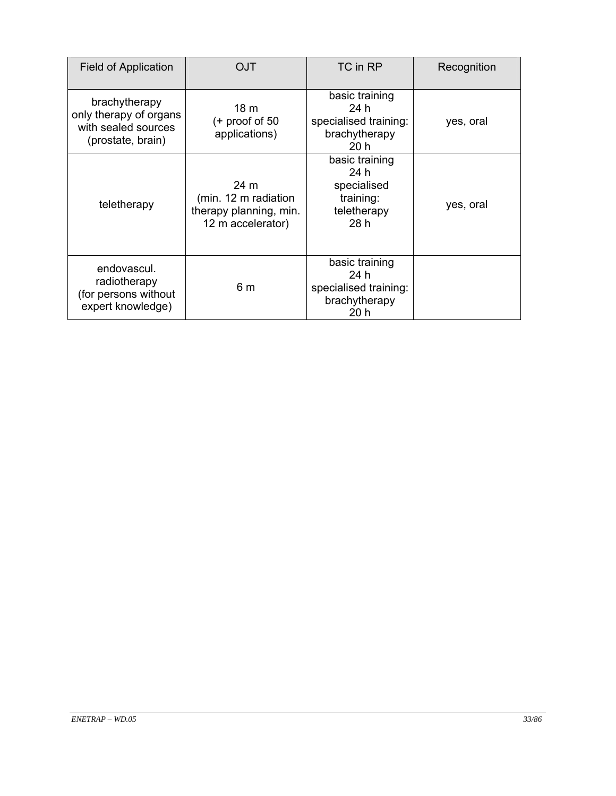| <b>Field of Application</b>                                                         | OJT                                                                         | TC in RP                                                                 | Recognition |
|-------------------------------------------------------------------------------------|-----------------------------------------------------------------------------|--------------------------------------------------------------------------|-------------|
| brachytherapy<br>only therapy of organs<br>with sealed sources<br>(prostate, brain) | 18 <sub>m</sub><br>$(+$ proof of 50<br>applications)                        | basic training<br>24 h<br>specialised training:<br>brachytherapy<br>20h  | yes, oral   |
| teletherapy                                                                         | 24 m<br>(min. 12 m radiation<br>therapy planning, min.<br>12 m accelerator) | basic training<br>24 h<br>specialised<br>training:<br>teletherapy<br>28h | yes, oral   |
| endovascul.<br>radiotherapy<br>(for persons without<br>expert knowledge)            | 6 m                                                                         | basic training<br>24 h<br>specialised training:<br>brachytherapy<br>20 h |             |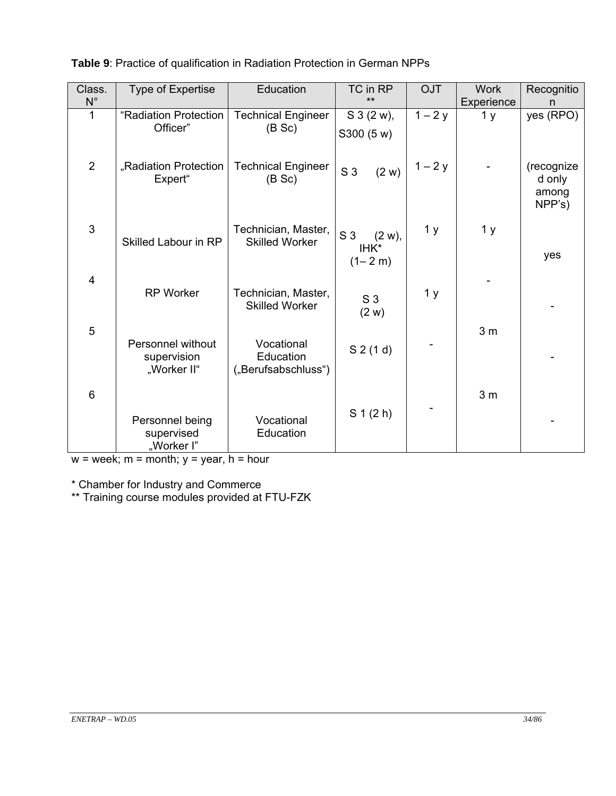| Class.<br>$N^{\circ}$ | <b>Type of Expertise</b>                        | Education                                      | TC in RP<br>$***$                                  | <b>OJT</b>     | <b>Work</b><br>Experience | Recognitio<br>n                         |
|-----------------------|-------------------------------------------------|------------------------------------------------|----------------------------------------------------|----------------|---------------------------|-----------------------------------------|
|                       | "Radiation Protection<br>Officer"               | <b>Technical Engineer</b><br>(B Sc)            | $S_3(2 w)$ ,<br>S300 (5 w)                         | $1 - 2y$       | 1 <sub>y</sub>            | yes (RPO)                               |
| $\overline{2}$        | "Radiation Protection<br>Expert"                | <b>Technical Engineer</b><br>(B Sc)            | S <sub>3</sub><br>(2 w)                            | $1 - 2y$       |                           | (recognize<br>d only<br>among<br>NPP's) |
| $\mathfrak{S}$        | Skilled Labour in RP                            | Technician, Master,<br><b>Skilled Worker</b>   | S <sub>3</sub><br>$(2 w)$ ,<br>IHK*<br>$(1 - 2 m)$ | 1 <sub>y</sub> | 1 <sub>y</sub>            | yes                                     |
| $\overline{4}$        | <b>RP Worker</b>                                | Technician, Master,<br><b>Skilled Worker</b>   | S <sub>3</sub><br>(2 w)                            | 1 <sub>y</sub> |                           |                                         |
| 5                     | Personnel without<br>supervision<br>"Worker II" | Vocational<br>Education<br>("Berufsabschluss") | $S$ 2 (1 d)                                        |                | 3 <sub>m</sub>            |                                         |
| $6\phantom{1}$        |                                                 |                                                |                                                    |                | 3 <sub>m</sub>            |                                         |
|                       | Personnel being<br>supervised<br>"Worker I"     | Vocational<br>Education                        | $S_1(2 h)$                                         |                |                           |                                         |

**Table 9**: Practice of qualification in Radiation Protection in German NPPs

 $w =$  week;  $m =$  month;  $y =$  year,  $h =$  hour

\* Chamber for Industry and Commerce

\*\* Training course modules provided at FTU-FZK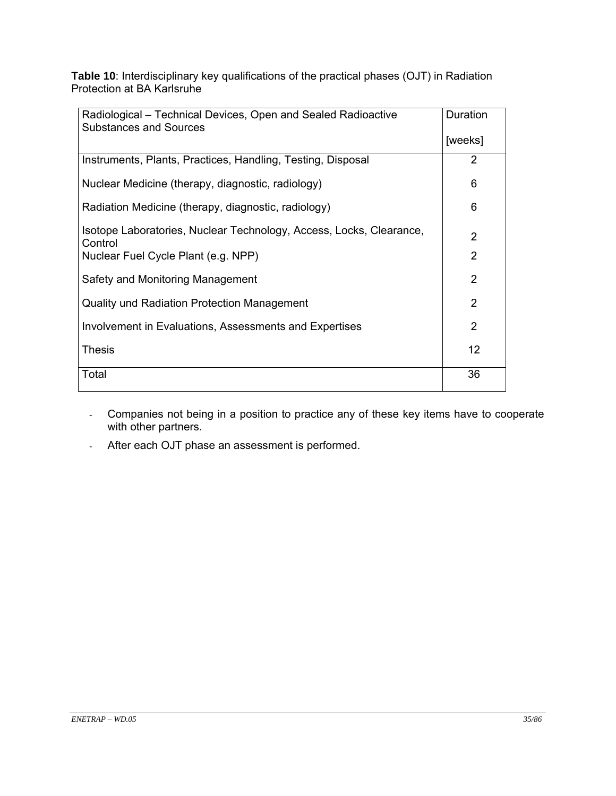**Table 10**: Interdisciplinary key qualifications of the practical phases (OJT) in Radiation Protection at BA Karlsruhe

| Radiological – Technical Devices, Open and Sealed Radioactive                  |         |  |
|--------------------------------------------------------------------------------|---------|--|
| <b>Substances and Sources</b>                                                  | [weeks] |  |
| Instruments, Plants, Practices, Handling, Testing, Disposal                    | 2       |  |
| Nuclear Medicine (therapy, diagnostic, radiology)                              | 6       |  |
| Radiation Medicine (therapy, diagnostic, radiology)                            | 6       |  |
| Isotope Laboratories, Nuclear Technology, Access, Locks, Clearance,<br>Control | 2       |  |
| Nuclear Fuel Cycle Plant (e.g. NPP)                                            | 2       |  |
| Safety and Monitoring Management                                               | 2       |  |
| Quality und Radiation Protection Management                                    | 2       |  |
| Involvement in Evaluations, Assessments and Expertises                         | 2       |  |
| <b>Thesis</b>                                                                  | 12      |  |
| Total                                                                          | 36      |  |

- Companies not being in a position to practice any of these key items have to cooperate with other partners.
- After each OJT phase an assessment is performed.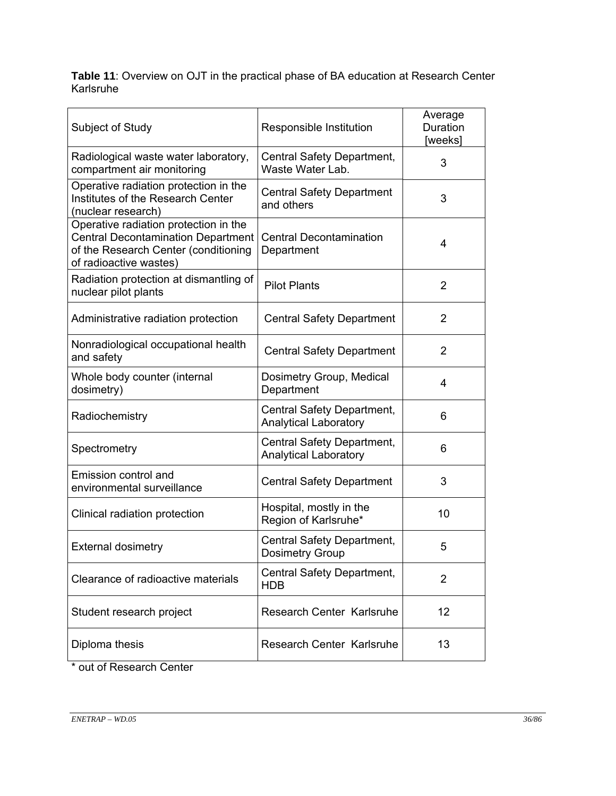**Table 11**: Overview on OJT in the practical phase of BA education at Research Center Karlsruhe

| Subject of Study                                                                                                                                     | Responsible Institution                                    | Average<br>Duration<br>[weeks] |
|------------------------------------------------------------------------------------------------------------------------------------------------------|------------------------------------------------------------|--------------------------------|
| Radiological waste water laboratory,<br>compartment air monitoring                                                                                   | Central Safety Department,<br>Waste Water Lab.             | 3                              |
| Operative radiation protection in the<br>Institutes of the Research Center<br>(nuclear research)                                                     | <b>Central Safety Department</b><br>and others             | 3                              |
| Operative radiation protection in the<br><b>Central Decontamination Department</b><br>of the Research Center (conditioning<br>of radioactive wastes) | <b>Central Decontamination</b><br>Department               | $\overline{4}$                 |
| Radiation protection at dismantling of<br>nuclear pilot plants                                                                                       | <b>Pilot Plants</b>                                        | 2                              |
| Administrative radiation protection                                                                                                                  | <b>Central Safety Department</b>                           | $\overline{2}$                 |
| Nonradiological occupational health<br>and safety                                                                                                    | <b>Central Safety Department</b>                           | $\overline{2}$                 |
| Whole body counter (internal<br>dosimetry)                                                                                                           | Dosimetry Group, Medical<br>Department                     | 4                              |
| Radiochemistry                                                                                                                                       | Central Safety Department,<br><b>Analytical Laboratory</b> | 6                              |
| Spectrometry                                                                                                                                         | Central Safety Department,<br><b>Analytical Laboratory</b> | 6                              |
| Emission control and<br>environmental surveillance                                                                                                   | <b>Central Safety Department</b>                           | 3                              |
| Clinical radiation protection                                                                                                                        | Hospital, mostly in the<br>Region of Karlsruhe*            | 10                             |
| <b>External dosimetry</b>                                                                                                                            | Central Safety Department,<br><b>Dosimetry Group</b>       | 5                              |
| Clearance of radioactive materials                                                                                                                   | Central Safety Department,<br><b>HDB</b>                   | 2                              |
| Student research project                                                                                                                             | <b>Research Center Karlsruhe</b>                           | 12                             |
| Diploma thesis                                                                                                                                       | Research Center Karlsruhe                                  | 13                             |

out of Research Center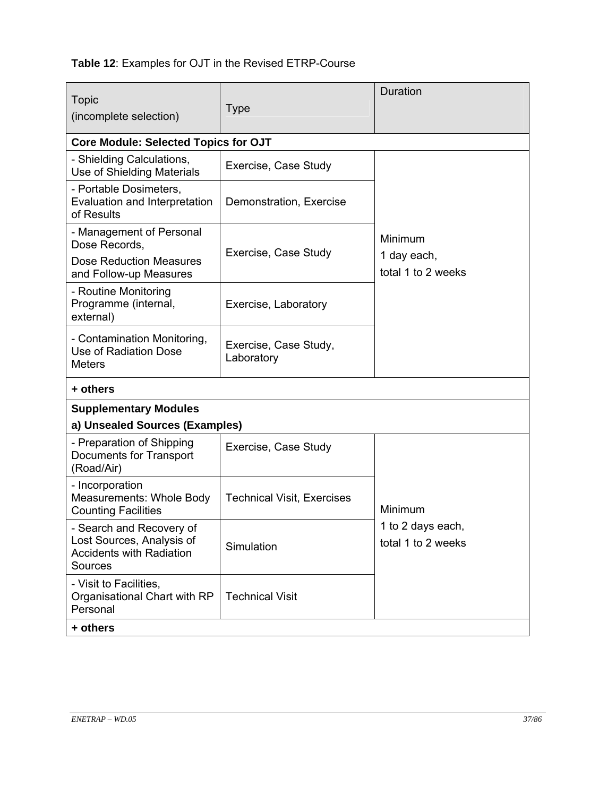## **Table 12**: Examples for OJT in the Revised ETRP-Course

| <b>Topic</b><br>(incomplete selection)                                                              | <b>Type</b>                         | Duration                                |
|-----------------------------------------------------------------------------------------------------|-------------------------------------|-----------------------------------------|
| <b>Core Module: Selected Topics for OJT</b>                                                         |                                     |                                         |
| - Shielding Calculations,<br>Use of Shielding Materials                                             | Exercise, Case Study                |                                         |
| - Portable Dosimeters,<br>Evaluation and Interpretation<br>of Results                               | Demonstration, Exercise             |                                         |
| - Management of Personal<br>Dose Records,                                                           | Exercise, Case Study                | Minimum<br>1 day each,                  |
| Dose Reduction Measures<br>and Follow-up Measures                                                   |                                     | total 1 to 2 weeks                      |
| - Routine Monitoring<br>Programme (internal,<br>external)                                           | Exercise, Laboratory                |                                         |
| - Contamination Monitoring,<br>Use of Radiation Dose<br><b>Meters</b>                               | Exercise, Case Study,<br>Laboratory |                                         |
| + others                                                                                            |                                     |                                         |
| <b>Supplementary Modules</b>                                                                        |                                     |                                         |
| a) Unsealed Sources (Examples)                                                                      |                                     |                                         |
| - Preparation of Shipping<br>Documents for Transport<br>(Road/Air)                                  | Exercise, Case Study                |                                         |
| - Incorporation<br>Measurements: Whole Body<br><b>Counting Facilities</b>                           | <b>Technical Visit, Exercises</b>   | Minimum                                 |
| - Search and Recovery of<br>Lost Sources, Analysis of<br><b>Accidents with Radiation</b><br>Sources | Simulation                          | 1 to 2 days each,<br>total 1 to 2 weeks |
| - Visit to Facilities,<br>Organisational Chart with RP<br>Personal                                  | <b>Technical Visit</b>              |                                         |
| + others                                                                                            |                                     |                                         |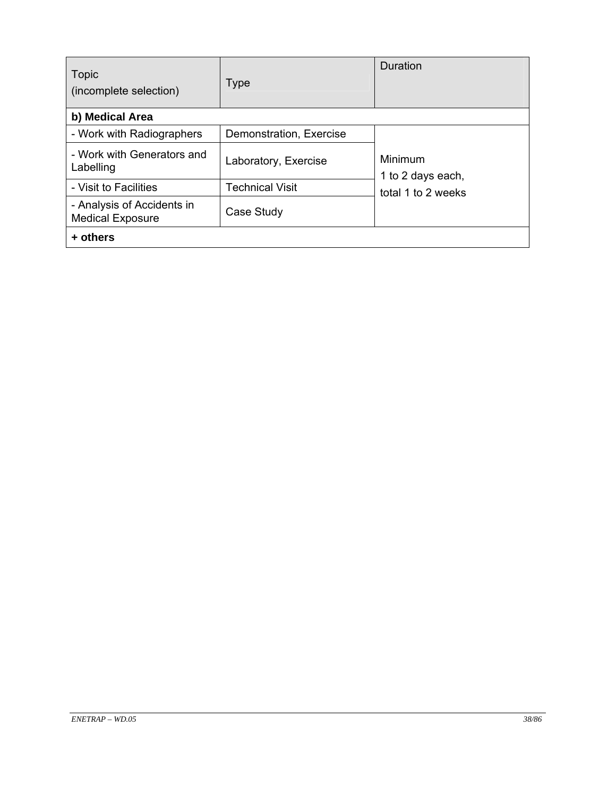| <b>Topic</b><br>(incomplete selection)                | <b>Type</b>             | Duration                     |
|-------------------------------------------------------|-------------------------|------------------------------|
| b) Medical Area                                       |                         |                              |
| - Work with Radiographers                             | Demonstration, Exercise |                              |
| - Work with Generators and<br>Labelling               | Laboratory, Exercise    | Minimum<br>1 to 2 days each, |
| - Visit to Facilities                                 | <b>Technical Visit</b>  | total 1 to 2 weeks           |
| - Analysis of Accidents in<br><b>Medical Exposure</b> | Case Study              |                              |
| + others                                              |                         |                              |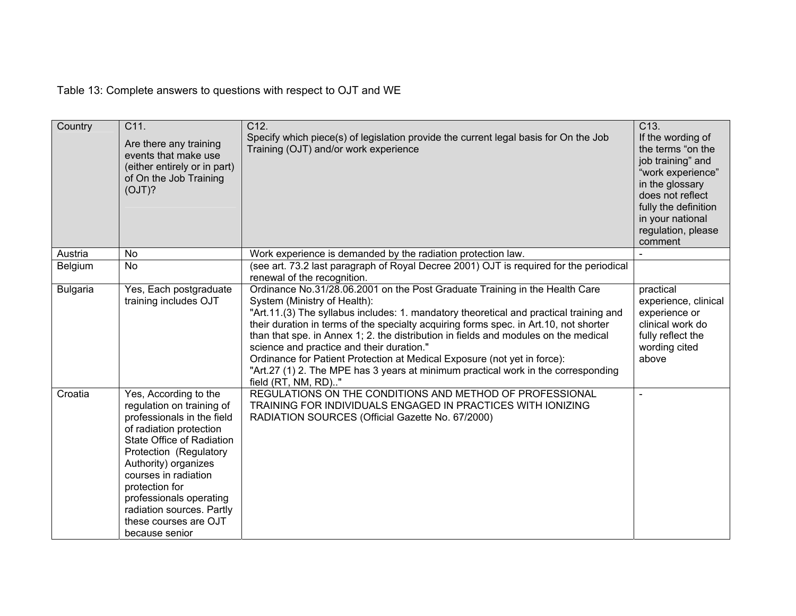Table 13: Complete answers to questions with respect to OJT and WE

| Country         | C11.<br>Are there any training<br>events that make use<br>(either entirely or in part)<br>of On the Job Training<br>(OJT)?                                                                                                                                                                                                              | C <sub>12</sub><br>Specify which piece(s) of legislation provide the current legal basis for On the Job<br>Training (OJT) and/or work experience                                                                                                                                                                                                                                                                                                                                                                                                                                                                           | C13.<br>If the wording of<br>the terms "on the<br>job training" and<br>"work experience"<br>in the glossary<br>does not reflect<br>fully the definition<br>in your national<br>regulation, please<br>comment |
|-----------------|-----------------------------------------------------------------------------------------------------------------------------------------------------------------------------------------------------------------------------------------------------------------------------------------------------------------------------------------|----------------------------------------------------------------------------------------------------------------------------------------------------------------------------------------------------------------------------------------------------------------------------------------------------------------------------------------------------------------------------------------------------------------------------------------------------------------------------------------------------------------------------------------------------------------------------------------------------------------------------|--------------------------------------------------------------------------------------------------------------------------------------------------------------------------------------------------------------|
| Austria         | No                                                                                                                                                                                                                                                                                                                                      | Work experience is demanded by the radiation protection law.                                                                                                                                                                                                                                                                                                                                                                                                                                                                                                                                                               |                                                                                                                                                                                                              |
| Belgium         | <b>No</b>                                                                                                                                                                                                                                                                                                                               | (see art. 73.2 last paragraph of Royal Decree 2001) OJT is required for the periodical<br>renewal of the recognition.                                                                                                                                                                                                                                                                                                                                                                                                                                                                                                      |                                                                                                                                                                                                              |
| <b>Bulgaria</b> | Yes, Each postgraduate<br>training includes OJT                                                                                                                                                                                                                                                                                         | Ordinance No.31/28.06.2001 on the Post Graduate Training in the Health Care<br>System (Ministry of Health):<br>"Art.11.(3) The syllabus includes: 1. mandatory theoretical and practical training and<br>their duration in terms of the specialty acquiring forms spec. in Art.10, not shorter<br>than that spe. in Annex 1; 2. the distribution in fields and modules on the medical<br>science and practice and their duration."<br>Ordinance for Patient Protection at Medical Exposure (not yet in force):<br>"Art.27 (1) 2. The MPE has 3 years at minimum practical work in the corresponding<br>field (RT, NM, RD)" | practical<br>experience, clinical<br>experience or<br>clinical work do<br>fully reflect the<br>wording cited<br>above                                                                                        |
| Croatia         | Yes, According to the<br>regulation on training of<br>professionals in the field<br>of radiation protection<br>State Office of Radiation<br>Protection (Regulatory<br>Authority) organizes<br>courses in radiation<br>protection for<br>professionals operating<br>radiation sources. Partly<br>these courses are OJT<br>because senior | REGULATIONS ON THE CONDITIONS AND METHOD OF PROFESSIONAL<br>TRAINING FOR INDIVIDUALS ENGAGED IN PRACTICES WITH IONIZING<br>RADIATION SOURCES (Official Gazette No. 67/2000)                                                                                                                                                                                                                                                                                                                                                                                                                                                |                                                                                                                                                                                                              |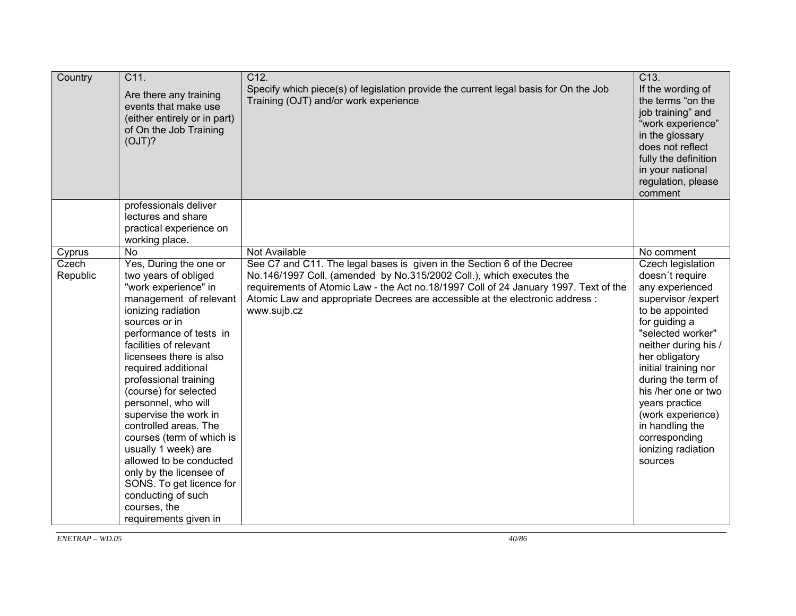| Country           | C11.<br>Are there any training<br>events that make use<br>(either entirely or in part)<br>of On the Job Training<br>(OJT)?                                                                                                                                                                                                                                                                                                                                                                                                                                                     | C12.<br>Specify which piece(s) of legislation provide the current legal basis for On the Job<br>Training (OJT) and/or work experience                                                                                                                                                                                                   | C13.<br>If the wording of<br>the terms "on the<br>job training" and<br>"work experience"<br>in the glossary<br>does not reflect<br>fully the definition<br>in your national<br>regulation, please<br>comment                                                                                                                                                      |
|-------------------|--------------------------------------------------------------------------------------------------------------------------------------------------------------------------------------------------------------------------------------------------------------------------------------------------------------------------------------------------------------------------------------------------------------------------------------------------------------------------------------------------------------------------------------------------------------------------------|-----------------------------------------------------------------------------------------------------------------------------------------------------------------------------------------------------------------------------------------------------------------------------------------------------------------------------------------|-------------------------------------------------------------------------------------------------------------------------------------------------------------------------------------------------------------------------------------------------------------------------------------------------------------------------------------------------------------------|
|                   | professionals deliver<br>lectures and share<br>practical experience on<br>working place.                                                                                                                                                                                                                                                                                                                                                                                                                                                                                       |                                                                                                                                                                                                                                                                                                                                         |                                                                                                                                                                                                                                                                                                                                                                   |
| Cyprus            | <b>No</b>                                                                                                                                                                                                                                                                                                                                                                                                                                                                                                                                                                      | Not Available                                                                                                                                                                                                                                                                                                                           | No comment                                                                                                                                                                                                                                                                                                                                                        |
| Czech<br>Republic | Yes, During the one or<br>two years of obliged<br>"work experience" in<br>management of relevant<br>ionizing radiation<br>sources or in<br>performance of tests in<br>facilities of relevant<br>licensees there is also<br>required additional<br>professional training<br>(course) for selected<br>personnel, who will<br>supervise the work in<br>controlled areas. The<br>courses (term of which is<br>usually 1 week) are<br>allowed to be conducted<br>only by the licensee of<br>SONS. To get licence for<br>conducting of such<br>courses, the<br>requirements given in | See C7 and C11. The legal bases is given in the Section 6 of the Decree<br>No.146/1997 Coll. (amended by No.315/2002 Coll.), which executes the<br>requirements of Atomic Law - the Act no.18/1997 Coll of 24 January 1997. Text of the<br>Atomic Law and appropriate Decrees are accessible at the electronic address :<br>www.sujb.cz | Czech legislation<br>doesn't require<br>any experienced<br>supervisor /expert<br>to be appointed<br>for guiding a<br>"selected worker"<br>neither during his /<br>her obligatory<br>initial training nor<br>during the term of<br>his /her one or two<br>years practice<br>(work experience)<br>in handling the<br>corresponding<br>ionizing radiation<br>sources |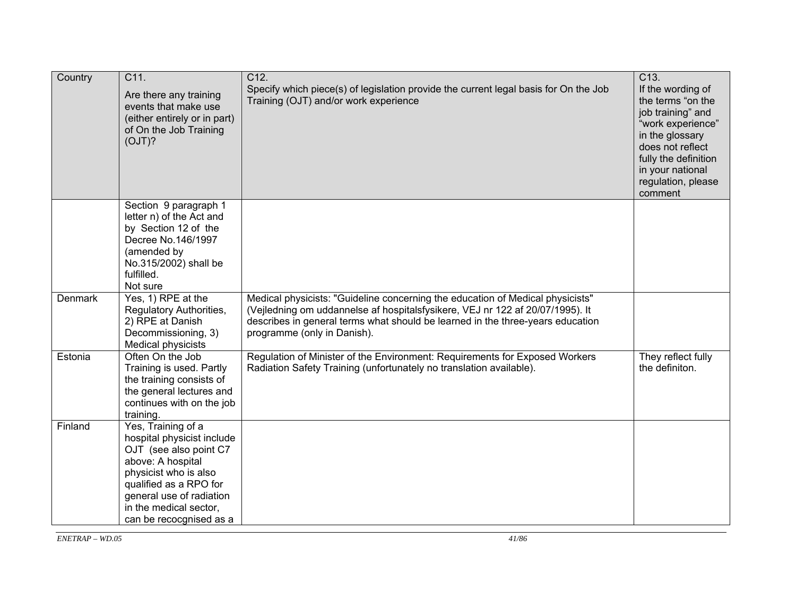| Country | C11.<br>Are there any training<br>events that make use<br>(either entirely or in part)<br>of On the Job Training<br>(OJT)?                                                                                                          | C12.<br>Specify which piece(s) of legislation provide the current legal basis for On the Job<br>Training (OJT) and/or work experience                                                                                                                                            | C13.<br>If the wording of<br>the terms "on the<br>job training" and<br>"work experience"<br>in the glossary<br>does not reflect<br>fully the definition<br>in your national<br>regulation, please<br>comment |
|---------|-------------------------------------------------------------------------------------------------------------------------------------------------------------------------------------------------------------------------------------|----------------------------------------------------------------------------------------------------------------------------------------------------------------------------------------------------------------------------------------------------------------------------------|--------------------------------------------------------------------------------------------------------------------------------------------------------------------------------------------------------------|
|         | Section 9 paragraph 1<br>letter n) of the Act and<br>by Section 12 of the<br>Decree No.146/1997<br>(amended by<br>No.315/2002) shall be<br>fulfilled.<br>Not sure                                                                   |                                                                                                                                                                                                                                                                                  |                                                                                                                                                                                                              |
| Denmark | Yes, 1) RPE at the<br>Regulatory Authorities,<br>2) RPE at Danish<br>Decommissioning, 3)<br>Medical physicists                                                                                                                      | Medical physicists: "Guideline concerning the education of Medical physicists"<br>(Vejledning om uddannelse af hospitalsfysikere, VEJ nr 122 af 20/07/1995). It<br>describes in general terms what should be learned in the three-years education<br>programme (only in Danish). |                                                                                                                                                                                                              |
| Estonia | Often On the Job<br>Training is used. Partly<br>the training consists of<br>the general lectures and<br>continues with on the job<br>training.                                                                                      | Regulation of Minister of the Environment: Requirements for Exposed Workers<br>Radiation Safety Training (unfortunately no translation available).                                                                                                                               | They reflect fully<br>the definiton.                                                                                                                                                                         |
| Finland | Yes, Training of a<br>hospital physicist include<br>OJT (see also point C7<br>above: A hospital<br>physicist who is also<br>qualified as a RPO for<br>general use of radiation<br>in the medical sector,<br>can be recocgnised as a |                                                                                                                                                                                                                                                                                  |                                                                                                                                                                                                              |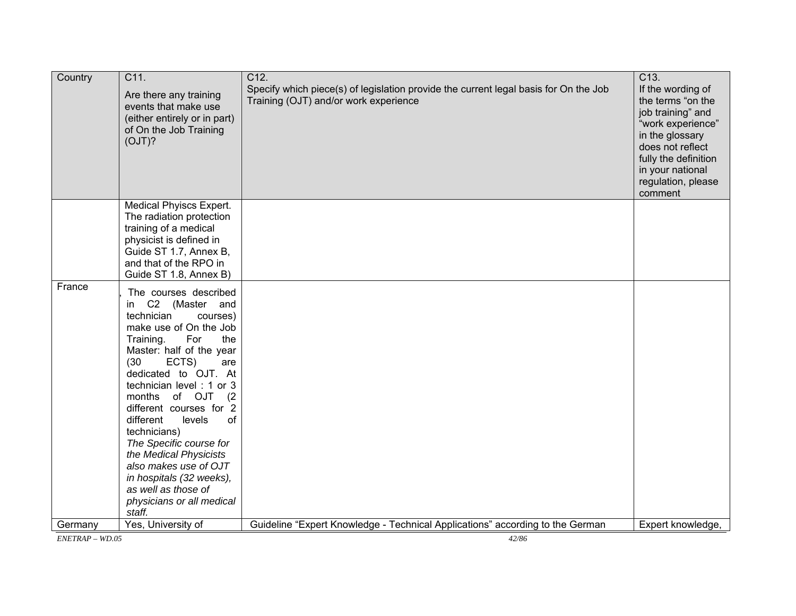| Country           | C11.<br>Are there any training<br>events that make use<br>(either entirely or in part)<br>of On the Job Training<br>(OJT)?                                                                                                           | C <sub>12</sub><br>Specify which piece(s) of legislation provide the current legal basis for On the Job<br>Training (OJT) and/or work experience | C13.<br>If the wording of<br>the terms "on the<br>job training" and<br>"work experience"<br>in the glossary<br>does not reflect<br>fully the definition<br>in your national<br>regulation, please<br>comment |
|-------------------|--------------------------------------------------------------------------------------------------------------------------------------------------------------------------------------------------------------------------------------|--------------------------------------------------------------------------------------------------------------------------------------------------|--------------------------------------------------------------------------------------------------------------------------------------------------------------------------------------------------------------|
|                   | Medical Phyiscs Expert.<br>The radiation protection                                                                                                                                                                                  |                                                                                                                                                  |                                                                                                                                                                                                              |
|                   | training of a medical                                                                                                                                                                                                                |                                                                                                                                                  |                                                                                                                                                                                                              |
|                   | physicist is defined in<br>Guide ST 1.7, Annex B,                                                                                                                                                                                    |                                                                                                                                                  |                                                                                                                                                                                                              |
|                   | and that of the RPO in                                                                                                                                                                                                               |                                                                                                                                                  |                                                                                                                                                                                                              |
| France            | Guide ST 1.8, Annex B)                                                                                                                                                                                                               |                                                                                                                                                  |                                                                                                                                                                                                              |
|                   | The courses described<br>C2 (Master and<br>in<br>technician<br>courses)<br>make use of On the Job<br>Training.<br>For<br>the<br>Master: half of the year<br>(30)<br>ECTS)<br>are<br>dedicated to OJT. At<br>technician level: 1 or 3 |                                                                                                                                                  |                                                                                                                                                                                                              |
|                   | months of OJT<br>(2)<br>different courses for 2<br>different<br>levels<br><b>of</b>                                                                                                                                                  |                                                                                                                                                  |                                                                                                                                                                                                              |
|                   | technicians)<br>The Specific course for                                                                                                                                                                                              |                                                                                                                                                  |                                                                                                                                                                                                              |
|                   | the Medical Physicists                                                                                                                                                                                                               |                                                                                                                                                  |                                                                                                                                                                                                              |
|                   | also makes use of OJT                                                                                                                                                                                                                |                                                                                                                                                  |                                                                                                                                                                                                              |
|                   | in hospitals (32 weeks),<br>as well as those of                                                                                                                                                                                      |                                                                                                                                                  |                                                                                                                                                                                                              |
|                   | physicians or all medical<br>staff.                                                                                                                                                                                                  |                                                                                                                                                  |                                                                                                                                                                                                              |
| Germany           | Yes, University of                                                                                                                                                                                                                   | Guideline "Expert Knowledge - Technical Applications" according to the German                                                                    | Expert knowledge,                                                                                                                                                                                            |
| $ENTERAP - WD.05$ |                                                                                                                                                                                                                                      | 42/86                                                                                                                                            |                                                                                                                                                                                                              |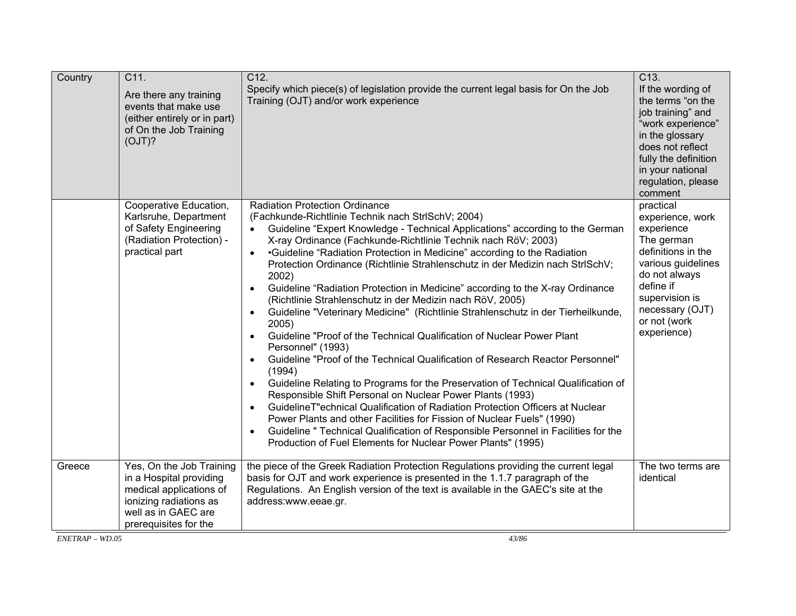| Country | C11.<br>Are there any training<br>events that make use<br>(either entirely or in part)<br>of On the Job Training<br>(OJT)?                               | C <sub>12</sub> .<br>Specify which piece(s) of legislation provide the current legal basis for On the Job<br>Training (OJT) and/or work experience                                                                                                                                                                                                                                                                                                                                                                                                                                                                                                                                                                                                                                                                                                                                                                                                                                                                                                                                                                                                                                                                                                                                                                                                                                             | C <sub>13</sub> .<br>If the wording of<br>the terms "on the<br>job training" and<br>"work experience"<br>in the glossary<br>does not reflect<br>fully the definition<br>in your national<br>regulation, please<br>comment |
|---------|----------------------------------------------------------------------------------------------------------------------------------------------------------|------------------------------------------------------------------------------------------------------------------------------------------------------------------------------------------------------------------------------------------------------------------------------------------------------------------------------------------------------------------------------------------------------------------------------------------------------------------------------------------------------------------------------------------------------------------------------------------------------------------------------------------------------------------------------------------------------------------------------------------------------------------------------------------------------------------------------------------------------------------------------------------------------------------------------------------------------------------------------------------------------------------------------------------------------------------------------------------------------------------------------------------------------------------------------------------------------------------------------------------------------------------------------------------------------------------------------------------------------------------------------------------------|---------------------------------------------------------------------------------------------------------------------------------------------------------------------------------------------------------------------------|
|         | Cooperative Education,<br>Karlsruhe, Department<br>of Safety Engineering<br>(Radiation Protection) -<br>practical part                                   | <b>Radiation Protection Ordinance</b><br>(Fachkunde-Richtlinie Technik nach StrlSchV; 2004)<br>Guideline "Expert Knowledge - Technical Applications" according to the German<br>X-ray Ordinance (Fachkunde-Richtlinie Technik nach RöV; 2003)<br>•Guideline "Radiation Protection in Medicine" according to the Radiation<br>$\bullet$<br>Protection Ordinance (Richtlinie Strahlenschutz in der Medizin nach StrlSchV;<br>2002)<br>Guideline "Radiation Protection in Medicine" according to the X-ray Ordinance<br>$\bullet$<br>(Richtlinie Strahlenschutz in der Medizin nach RöV, 2005)<br>Guideline "Veterinary Medicine" (Richtlinie Strahlenschutz in der Tierheilkunde,<br>2005)<br>Guideline "Proof of the Technical Qualification of Nuclear Power Plant<br>Personnel" (1993)<br>Guideline "Proof of the Technical Qualification of Research Reactor Personnel"<br>$\bullet$<br>(1994)<br>Guideline Relating to Programs for the Preservation of Technical Qualification of<br>Responsible Shift Personal on Nuclear Power Plants (1993)<br>GuidelineT" echnical Qualification of Radiation Protection Officers at Nuclear<br>$\bullet$<br>Power Plants and other Facilities for Fission of Nuclear Fuels" (1990)<br>Guideline " Technical Qualification of Responsible Personnel in Facilities for the<br>$\bullet$<br>Production of Fuel Elements for Nuclear Power Plants" (1995) | practical<br>experience, work<br>experience<br>The german<br>definitions in the<br>various guidelines<br>do not always<br>define if<br>supervision is<br>necessary (OJT)<br>or not (work<br>experience)                   |
| Greece  | Yes, On the Job Training<br>in a Hospital providing<br>medical applications of<br>ionizing radiations as<br>well as in GAEC are<br>prerequisites for the | the piece of the Greek Radiation Protection Regulations providing the current legal<br>basis for OJT and work experience is presented in the 1.1.7 paragraph of the<br>Regulations. An English version of the text is available in the GAEC's site at the<br>address:www.eeae.gr.                                                                                                                                                                                                                                                                                                                                                                                                                                                                                                                                                                                                                                                                                                                                                                                                                                                                                                                                                                                                                                                                                                              | The two terms are<br>identical                                                                                                                                                                                            |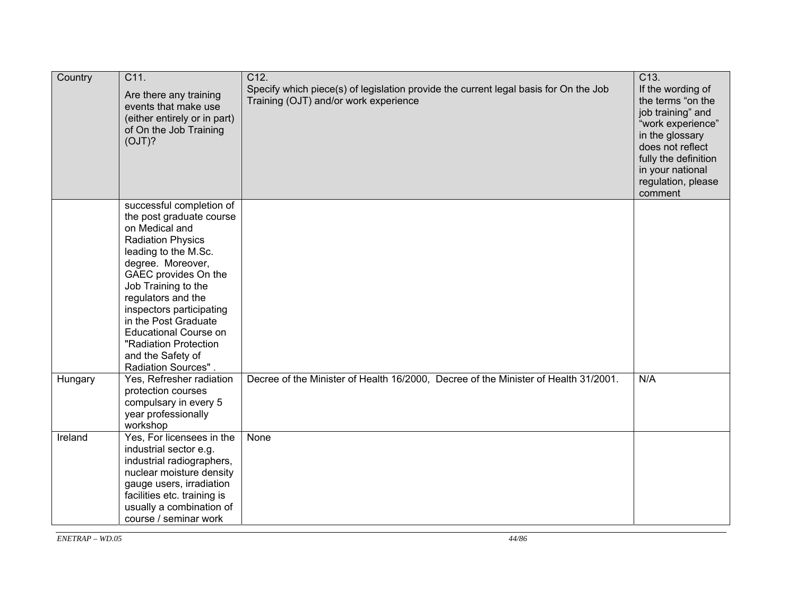| Country | C11.<br>Are there any training<br>events that make use<br>(either entirely or in part)<br>of On the Job Training<br>(OJT)?                                                                                                                                                                                                                                                    | C12.<br>Specify which piece(s) of legislation provide the current legal basis for On the Job<br>Training (OJT) and/or work experience | C13.<br>If the wording of<br>the terms "on the<br>job training" and<br>"work experience"<br>in the glossary<br>does not reflect<br>fully the definition<br>in your national<br>regulation, please<br>comment |
|---------|-------------------------------------------------------------------------------------------------------------------------------------------------------------------------------------------------------------------------------------------------------------------------------------------------------------------------------------------------------------------------------|---------------------------------------------------------------------------------------------------------------------------------------|--------------------------------------------------------------------------------------------------------------------------------------------------------------------------------------------------------------|
|         | successful completion of<br>the post graduate course<br>on Medical and<br><b>Radiation Physics</b><br>leading to the M.Sc.<br>degree. Moreover,<br>GAEC provides On the<br>Job Training to the<br>regulators and the<br>inspectors participating<br>in the Post Graduate<br><b>Educational Course on</b><br>"Radiation Protection<br>and the Safety of<br>Radiation Sources". |                                                                                                                                       |                                                                                                                                                                                                              |
| Hungary | Yes, Refresher radiation<br>protection courses<br>compulsary in every 5<br>year professionally<br>workshop                                                                                                                                                                                                                                                                    | Decree of the Minister of Health 16/2000, Decree of the Minister of Health 31/2001.                                                   | N/A                                                                                                                                                                                                          |
| Ireland | Yes, For licensees in the<br>industrial sector e.g.<br>industrial radiographers,<br>nuclear moisture density<br>gauge users, irradiation<br>facilities etc. training is<br>usually a combination of<br>course / seminar work                                                                                                                                                  | None                                                                                                                                  |                                                                                                                                                                                                              |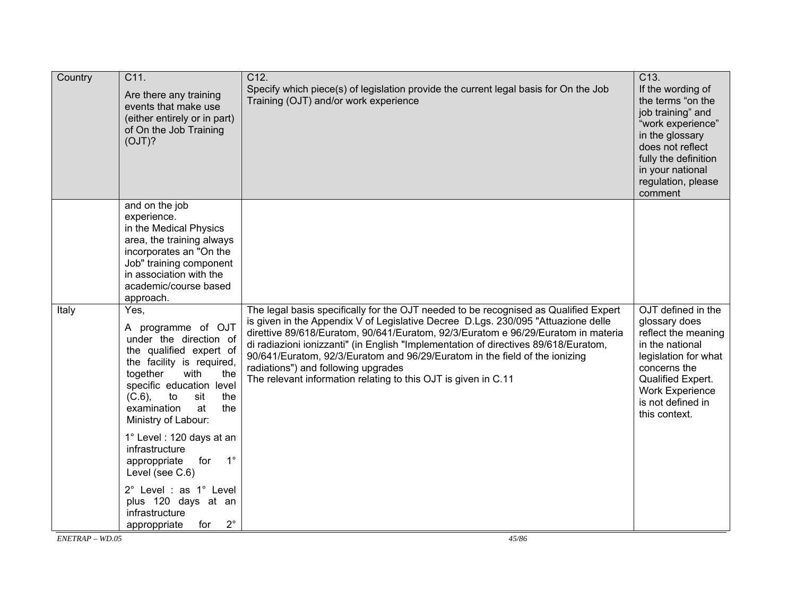| Country | C11.<br>Are there any training<br>events that make use<br>(either entirely or in part)<br>of On the Job Training<br>(OJT)?                                                                                                                              | C12.<br>Specify which piece(s) of legislation provide the current legal basis for On the Job<br>Training (OJT) and/or work experience                                                                                                                                                                                                                                                                                                                                                                                                         | $C$ 13.<br>If the wording of<br>the terms "on the<br>job training" and<br>"work experience"<br>in the glossary<br>does not reflect<br>fully the definition<br>in your national<br>regulation, please<br>comment |
|---------|---------------------------------------------------------------------------------------------------------------------------------------------------------------------------------------------------------------------------------------------------------|-----------------------------------------------------------------------------------------------------------------------------------------------------------------------------------------------------------------------------------------------------------------------------------------------------------------------------------------------------------------------------------------------------------------------------------------------------------------------------------------------------------------------------------------------|-----------------------------------------------------------------------------------------------------------------------------------------------------------------------------------------------------------------|
|         | and on the job<br>experience.<br>in the Medical Physics<br>area, the training always<br>incorporates an "On the<br>Job" training component<br>in association with the<br>academic/course based<br>approach.                                             |                                                                                                                                                                                                                                                                                                                                                                                                                                                                                                                                               |                                                                                                                                                                                                                 |
| Italy   | Yes,<br>A programme of OJT<br>under the direction of<br>the qualified expert of<br>the facility is required,<br>together<br>with<br>the<br>specific education level<br>$(C.6)$ ,<br>to<br>sit<br>the<br>examination<br>at<br>the<br>Ministry of Labour: | The legal basis specifically for the OJT needed to be recognised as Qualified Expert<br>is given in the Appendix V of Legislative Decree D.Lgs. 230/095 "Attuazione delle<br>direttive 89/618/Euratom, 90/641/Euratom, 92/3/Euratom e 96/29/Euratom in materia<br>di radiazioni ionizzanti" (in English "Implementation of directives 89/618/Euratom,<br>90/641/Euratom, 92/3/Euratom and 96/29/Euratom in the field of the ionizing<br>radiations") and following upgrades<br>The relevant information relating to this OJT is given in C.11 | OJT defined in the<br>glossary does<br>reflect the meaning<br>in the national<br>legislation for what<br>concerns the<br>Qualified Expert.<br><b>Work Experience</b><br>is not defined in<br>this context.      |
|         | 1° Level : 120 days at an<br>infrastructure<br>$1^{\circ}$<br>for<br>approppriate<br>Level (see C.6)                                                                                                                                                    |                                                                                                                                                                                                                                                                                                                                                                                                                                                                                                                                               |                                                                                                                                                                                                                 |
|         | 2° Level : as 1° Level<br>plus 120 days at an<br>infrastructure<br>$2^{\circ}$<br>approppriate<br>for                                                                                                                                                   |                                                                                                                                                                                                                                                                                                                                                                                                                                                                                                                                               |                                                                                                                                                                                                                 |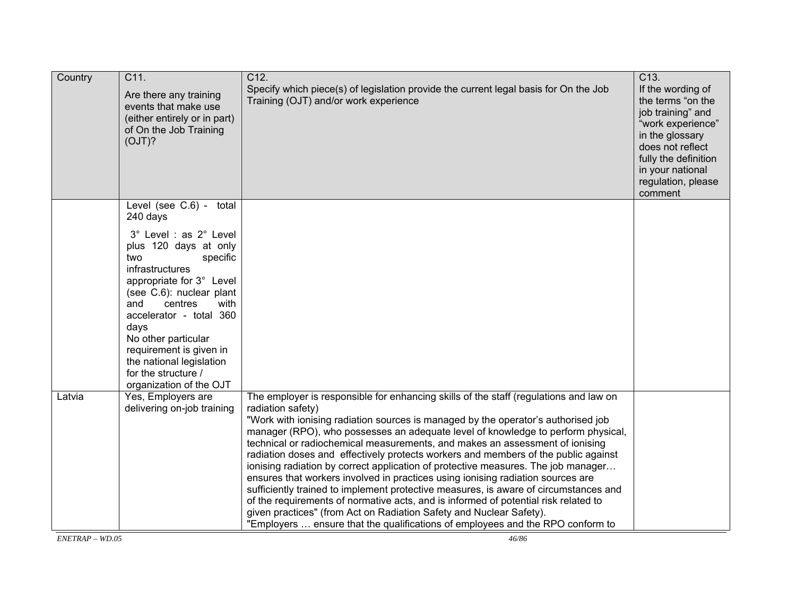| Country | C11.<br>Are there any training<br>events that make use<br>(either entirely or in part)<br>of On the Job Training<br>(OJT)?                                                                                                                                               | C12.<br>Specify which piece(s) of legislation provide the current legal basis for On the Job<br>Training (OJT) and/or work experience                                                                                                                                                                                                                                                                                                                                                                                                                                                                                                                                                                                                                                                                                                                                                                                                                                     | C13.<br>If the wording of<br>the terms "on the<br>job training" and<br>"work experience"<br>in the glossary<br>does not reflect<br>fully the definition<br>in your national<br>regulation, please<br>comment |
|---------|--------------------------------------------------------------------------------------------------------------------------------------------------------------------------------------------------------------------------------------------------------------------------|---------------------------------------------------------------------------------------------------------------------------------------------------------------------------------------------------------------------------------------------------------------------------------------------------------------------------------------------------------------------------------------------------------------------------------------------------------------------------------------------------------------------------------------------------------------------------------------------------------------------------------------------------------------------------------------------------------------------------------------------------------------------------------------------------------------------------------------------------------------------------------------------------------------------------------------------------------------------------|--------------------------------------------------------------------------------------------------------------------------------------------------------------------------------------------------------------|
|         | Level (see C.6) - total<br>240 days<br>3° Level : as 2° Level<br>plus 120 days at only<br>two<br>specific<br>infrastructures<br>appropriate for 3° Level<br>(see C.6): nuclear plant<br>centres<br>with<br>and<br>accelerator - total 360<br>days<br>No other particular |                                                                                                                                                                                                                                                                                                                                                                                                                                                                                                                                                                                                                                                                                                                                                                                                                                                                                                                                                                           |                                                                                                                                                                                                              |
|         | requirement is given in<br>the national legislation<br>for the structure /<br>organization of the OJT                                                                                                                                                                    |                                                                                                                                                                                                                                                                                                                                                                                                                                                                                                                                                                                                                                                                                                                                                                                                                                                                                                                                                                           |                                                                                                                                                                                                              |
| Latvia  | Yes, Employers are<br>delivering on-job training                                                                                                                                                                                                                         | The employer is responsible for enhancing skills of the staff (regulations and law on<br>radiation safety)<br>"Work with ionising radiation sources is managed by the operator's authorised job<br>manager (RPO), who possesses an adequate level of knowledge to perform physical,<br>technical or radiochemical measurements, and makes an assessment of ionising<br>radiation doses and effectively protects workers and members of the public against<br>ionising radiation by correct application of protective measures. The job manager<br>ensures that workers involved in practices using ionising radiation sources are<br>sufficiently trained to implement protective measures, is aware of circumstances and<br>of the requirements of normative acts, and is informed of potential risk related to<br>given practices" (from Act on Radiation Safety and Nuclear Safety).<br>"Employers  ensure that the qualifications of employees and the RPO conform to |                                                                                                                                                                                                              |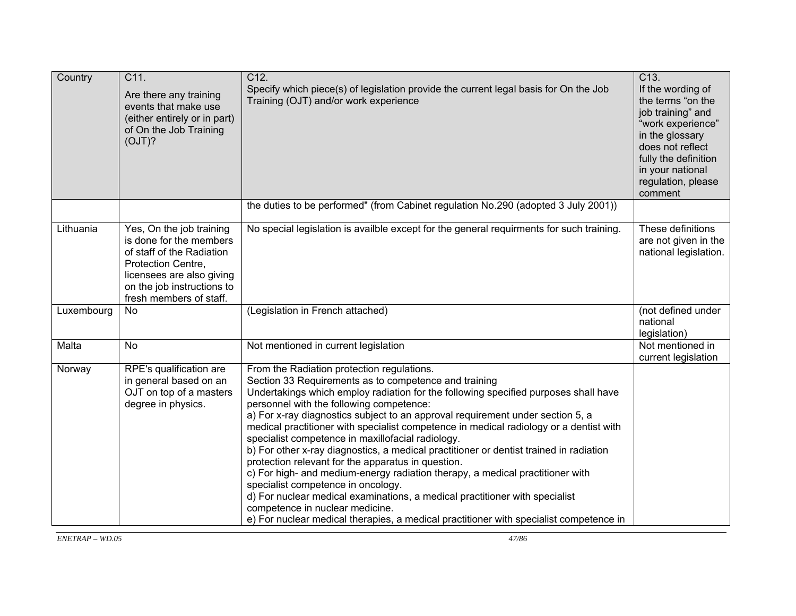| Country    | C11.<br>Are there any training<br>events that make use<br>(either entirely or in part)<br>of On the Job Training<br>(OJT)?                                                                   | C12.<br>Specify which piece(s) of legislation provide the current legal basis for On the Job<br>Training (OJT) and/or work experience                                                                                                                                                                                                                                                                                                                                                                                                                                                                                                                                                                                                                                                                                                                                                                                                                      | C13.<br>If the wording of<br>the terms "on the<br>job training" and<br>"work experience"<br>in the glossary<br>does not reflect<br>fully the definition<br>in your national<br>regulation, please<br>comment |
|------------|----------------------------------------------------------------------------------------------------------------------------------------------------------------------------------------------|------------------------------------------------------------------------------------------------------------------------------------------------------------------------------------------------------------------------------------------------------------------------------------------------------------------------------------------------------------------------------------------------------------------------------------------------------------------------------------------------------------------------------------------------------------------------------------------------------------------------------------------------------------------------------------------------------------------------------------------------------------------------------------------------------------------------------------------------------------------------------------------------------------------------------------------------------------|--------------------------------------------------------------------------------------------------------------------------------------------------------------------------------------------------------------|
|            |                                                                                                                                                                                              | the duties to be performed" (from Cabinet regulation No.290 (adopted 3 July 2001))                                                                                                                                                                                                                                                                                                                                                                                                                                                                                                                                                                                                                                                                                                                                                                                                                                                                         |                                                                                                                                                                                                              |
| Lithuania  | Yes, On the job training<br>is done for the members<br>of staff of the Radiation<br>Protection Centre,<br>licensees are also giving<br>on the job instructions to<br>fresh members of staff. | No special legislation is availble except for the general requirments for such training.                                                                                                                                                                                                                                                                                                                                                                                                                                                                                                                                                                                                                                                                                                                                                                                                                                                                   | These definitions<br>are not given in the<br>national legislation.                                                                                                                                           |
| Luxembourg | <b>No</b>                                                                                                                                                                                    | (Legislation in French attached)                                                                                                                                                                                                                                                                                                                                                                                                                                                                                                                                                                                                                                                                                                                                                                                                                                                                                                                           | (not defined under<br>national<br>legislation)                                                                                                                                                               |
| Malta      | <b>No</b>                                                                                                                                                                                    | Not mentioned in current legislation                                                                                                                                                                                                                                                                                                                                                                                                                                                                                                                                                                                                                                                                                                                                                                                                                                                                                                                       | Not mentioned in<br>current legislation                                                                                                                                                                      |
| Norway     | RPE's qualification are<br>in general based on an<br>OJT on top of a masters<br>degree in physics.                                                                                           | From the Radiation protection regulations.<br>Section 33 Requirements as to competence and training<br>Undertakings which employ radiation for the following specified purposes shall have<br>personnel with the following competence:<br>a) For x-ray diagnostics subject to an approval requirement under section 5, a<br>medical practitioner with specialist competence in medical radiology or a dentist with<br>specialist competence in maxillofacial radiology.<br>b) For other x-ray diagnostics, a medical practitioner or dentist trained in radiation<br>protection relevant for the apparatus in question.<br>c) For high- and medium-energy radiation therapy, a medical practitioner with<br>specialist competence in oncology.<br>d) For nuclear medical examinations, a medical practitioner with specialist<br>competence in nuclear medicine.<br>e) For nuclear medical therapies, a medical practitioner with specialist competence in |                                                                                                                                                                                                              |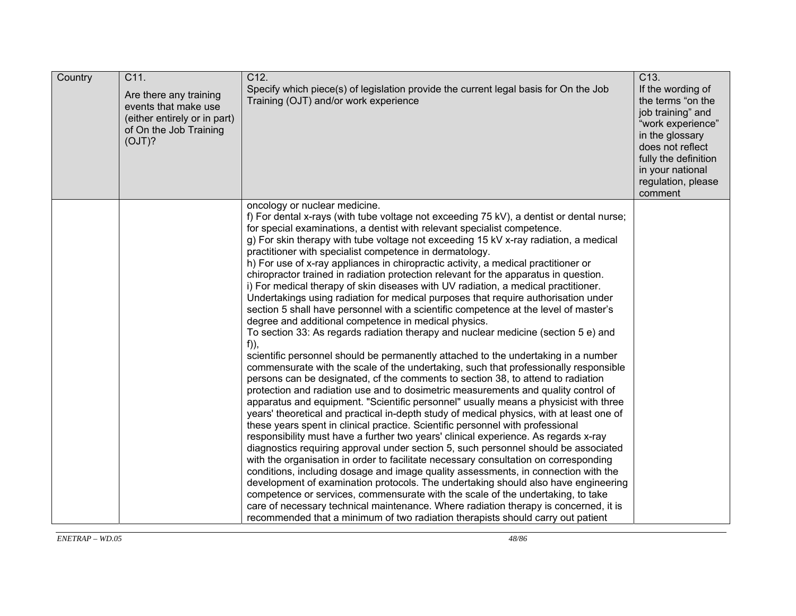| Country | C11.<br>Are there any training<br>events that make use<br>(either entirely or in part)<br>of On the Job Training<br>(OJT)? | C12.<br>Specify which piece(s) of legislation provide the current legal basis for On the Job<br>Training (OJT) and/or work experience                                                                                                                                                                                                                                                                                                                                                                                                                                                                                                                                                                                                                                                                                                                                                                                                                                                                                                                                                                                                                                                                                                                                                                                                                                                                                                                                                                                                                                                                                                                                                                                                                                                                                                                                                                                                                                                                                                                                                                                                                                                                                                                                                                            | C13.<br>If the wording of<br>the terms "on the<br>job training" and<br>"work experience"<br>in the glossary<br>does not reflect<br>fully the definition<br>in your national<br>regulation, please<br>comment |
|---------|----------------------------------------------------------------------------------------------------------------------------|------------------------------------------------------------------------------------------------------------------------------------------------------------------------------------------------------------------------------------------------------------------------------------------------------------------------------------------------------------------------------------------------------------------------------------------------------------------------------------------------------------------------------------------------------------------------------------------------------------------------------------------------------------------------------------------------------------------------------------------------------------------------------------------------------------------------------------------------------------------------------------------------------------------------------------------------------------------------------------------------------------------------------------------------------------------------------------------------------------------------------------------------------------------------------------------------------------------------------------------------------------------------------------------------------------------------------------------------------------------------------------------------------------------------------------------------------------------------------------------------------------------------------------------------------------------------------------------------------------------------------------------------------------------------------------------------------------------------------------------------------------------------------------------------------------------------------------------------------------------------------------------------------------------------------------------------------------------------------------------------------------------------------------------------------------------------------------------------------------------------------------------------------------------------------------------------------------------------------------------------------------------------------------------------------------------|--------------------------------------------------------------------------------------------------------------------------------------------------------------------------------------------------------------|
|         |                                                                                                                            | oncology or nuclear medicine.<br>f) For dental x-rays (with tube voltage not exceeding 75 kV), a dentist or dental nurse;<br>for special examinations, a dentist with relevant specialist competence.<br>g) For skin therapy with tube voltage not exceeding 15 kV x-ray radiation, a medical<br>practitioner with specialist competence in dermatology.<br>h) For use of x-ray appliances in chiropractic activity, a medical practitioner or<br>chiropractor trained in radiation protection relevant for the apparatus in question.<br>i) For medical therapy of skin diseases with UV radiation, a medical practitioner.<br>Undertakings using radiation for medical purposes that require authorisation under<br>section 5 shall have personnel with a scientific competence at the level of master's<br>degree and additional competence in medical physics.<br>To section 33: As regards radiation therapy and nuclear medicine (section 5 e) and<br>$f$ ),<br>scientific personnel should be permanently attached to the undertaking in a number<br>commensurate with the scale of the undertaking, such that professionally responsible<br>persons can be designated, cf the comments to section 38, to attend to radiation<br>protection and radiation use and to dosimetric measurements and quality control of<br>apparatus and equipment. "Scientific personnel" usually means a physicist with three<br>years' theoretical and practical in-depth study of medical physics, with at least one of<br>these years spent in clinical practice. Scientific personnel with professional<br>responsibility must have a further two years' clinical experience. As regards x-ray<br>diagnostics requiring approval under section 5, such personnel should be associated<br>with the organisation in order to facilitate necessary consultation on corresponding<br>conditions, including dosage and image quality assessments, in connection with the<br>development of examination protocols. The undertaking should also have engineering<br>competence or services, commensurate with the scale of the undertaking, to take<br>care of necessary technical maintenance. Where radiation therapy is concerned, it is<br>recommended that a minimum of two radiation therapists should carry out patient |                                                                                                                                                                                                              |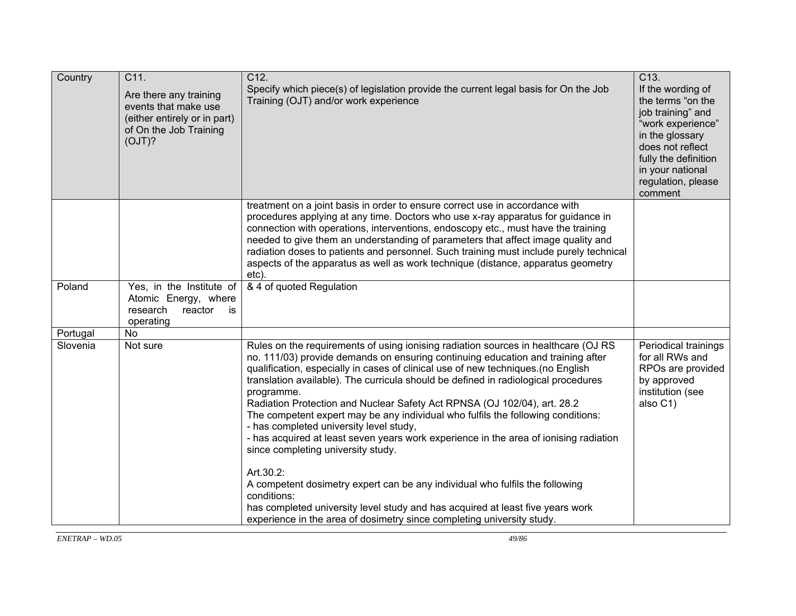| Country  | C11.<br>Are there any training<br>events that make use<br>(either entirely or in part)<br>of On the Job Training<br>(OJT)? | C12.<br>Specify which piece(s) of legislation provide the current legal basis for On the Job<br>Training (OJT) and/or work experience                                                                                                                                                                                                                                                                                                                                                                                                                                                                                                                                                                                 | C13.<br>If the wording of<br>the terms "on the<br>job training" and<br>"work experience"<br>in the glossary<br>does not reflect<br>fully the definition<br>in your national<br>regulation, please<br>comment |
|----------|----------------------------------------------------------------------------------------------------------------------------|-----------------------------------------------------------------------------------------------------------------------------------------------------------------------------------------------------------------------------------------------------------------------------------------------------------------------------------------------------------------------------------------------------------------------------------------------------------------------------------------------------------------------------------------------------------------------------------------------------------------------------------------------------------------------------------------------------------------------|--------------------------------------------------------------------------------------------------------------------------------------------------------------------------------------------------------------|
|          |                                                                                                                            | treatment on a joint basis in order to ensure correct use in accordance with<br>procedures applying at any time. Doctors who use x-ray apparatus for guidance in<br>connection with operations, interventions, endoscopy etc., must have the training<br>needed to give them an understanding of parameters that affect image quality and<br>radiation doses to patients and personnel. Such training must include purely technical<br>aspects of the apparatus as well as work technique (distance, apparatus geometry<br>etc).                                                                                                                                                                                      |                                                                                                                                                                                                              |
| Poland   | Yes, in the Institute of<br>Atomic Energy, where<br>research<br>reactor<br>is<br>operating                                 | & 4 of quoted Regulation                                                                                                                                                                                                                                                                                                                                                                                                                                                                                                                                                                                                                                                                                              |                                                                                                                                                                                                              |
| Portugal | <b>No</b>                                                                                                                  |                                                                                                                                                                                                                                                                                                                                                                                                                                                                                                                                                                                                                                                                                                                       |                                                                                                                                                                                                              |
| Slovenia | Not sure                                                                                                                   | Rules on the requirements of using ionising radiation sources in healthcare (OJ RS<br>no. 111/03) provide demands on ensuring continuing education and training after<br>qualification, especially in cases of clinical use of new techniques. (no English<br>translation available). The curricula should be defined in radiological procedures<br>programme.<br>Radiation Protection and Nuclear Safety Act RPNSA (OJ 102/04), art. 28.2<br>The competent expert may be any individual who fulfils the following conditions:<br>- has completed university level study,<br>- has acquired at least seven years work experience in the area of ionising radiation<br>since completing university study.<br>Art.30.2: | Periodical trainings<br>for all RWs and<br>RPOs are provided<br>by approved<br>institution (see<br>also C1)                                                                                                  |
|          |                                                                                                                            | A competent dosimetry expert can be any individual who fulfils the following<br>conditions:<br>has completed university level study and has acquired at least five years work<br>experience in the area of dosimetry since completing university study.                                                                                                                                                                                                                                                                                                                                                                                                                                                               |                                                                                                                                                                                                              |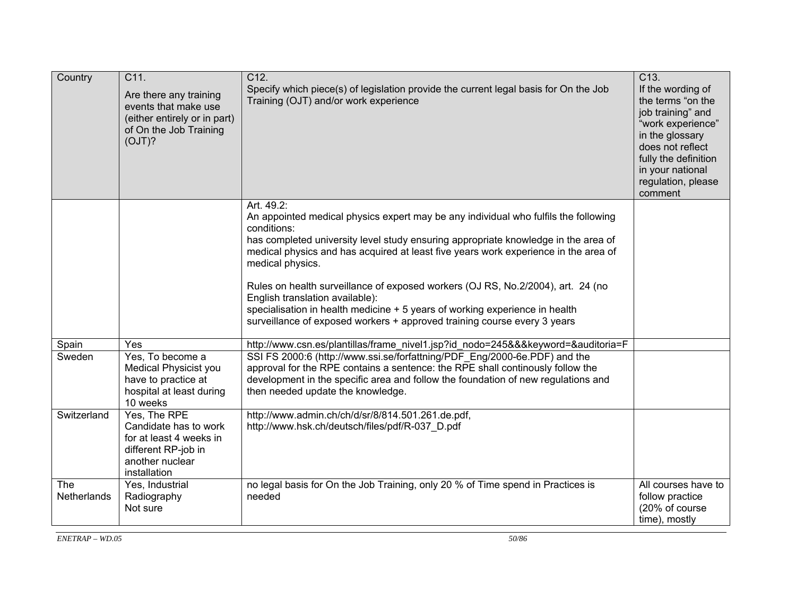| Country                   | C11.<br>Are there any training<br>events that make use<br>(either entirely or in part)<br>of On the Job Training<br>(OJT)? | C12.<br>Specify which piece(s) of legislation provide the current legal basis for On the Job<br>Training (OJT) and/or work experience                                                                                                                                                                                                                                                                                                                                                                                                                                                              | C13.<br>If the wording of<br>the terms "on the<br>job training" and<br>"work experience"<br>in the glossary<br>does not reflect<br>fully the definition<br>in your national<br>regulation, please<br>comment |
|---------------------------|----------------------------------------------------------------------------------------------------------------------------|----------------------------------------------------------------------------------------------------------------------------------------------------------------------------------------------------------------------------------------------------------------------------------------------------------------------------------------------------------------------------------------------------------------------------------------------------------------------------------------------------------------------------------------------------------------------------------------------------|--------------------------------------------------------------------------------------------------------------------------------------------------------------------------------------------------------------|
|                           |                                                                                                                            | Art. 49.2:<br>An appointed medical physics expert may be any individual who fulfils the following<br>conditions:<br>has completed university level study ensuring appropriate knowledge in the area of<br>medical physics and has acquired at least five years work experience in the area of<br>medical physics.<br>Rules on health surveillance of exposed workers (OJ RS, No.2/2004), art. 24 (no<br>English translation available):<br>specialisation in health medicine + 5 years of working experience in health<br>surveillance of exposed workers + approved training course every 3 years |                                                                                                                                                                                                              |
| Spain                     | Yes                                                                                                                        | http://www.csn.es/plantillas/frame_nivel1.jsp?id_nodo=245&&&keyword=&auditoria=F                                                                                                                                                                                                                                                                                                                                                                                                                                                                                                                   |                                                                                                                                                                                                              |
| Sweden                    | Yes, To become a<br>Medical Physicist you<br>have to practice at<br>hospital at least during<br>10 weeks                   | SSI FS 2000:6 (http://www.ssi.se/forfattning/PDF Eng/2000-6e.PDF) and the<br>approval for the RPE contains a sentence: the RPE shall continously follow the<br>development in the specific area and follow the foundation of new regulations and<br>then needed update the knowledge.                                                                                                                                                                                                                                                                                                              |                                                                                                                                                                                                              |
| Switzerland               | Yes, The RPE<br>Candidate has to work<br>for at least 4 weeks in<br>different RP-job in<br>another nuclear<br>installation | http://www.admin.ch/ch/d/sr/8/814.501.261.de.pdf,<br>http://www.hsk.ch/deutsch/files/pdf/R-037_D.pdf                                                                                                                                                                                                                                                                                                                                                                                                                                                                                               |                                                                                                                                                                                                              |
| <b>The</b><br>Netherlands | Yes, Industrial<br>Radiography<br>Not sure                                                                                 | no legal basis for On the Job Training, only 20 % of Time spend in Practices is<br>needed                                                                                                                                                                                                                                                                                                                                                                                                                                                                                                          | All courses have to<br>follow practice<br>(20% of course<br>time), mostly                                                                                                                                    |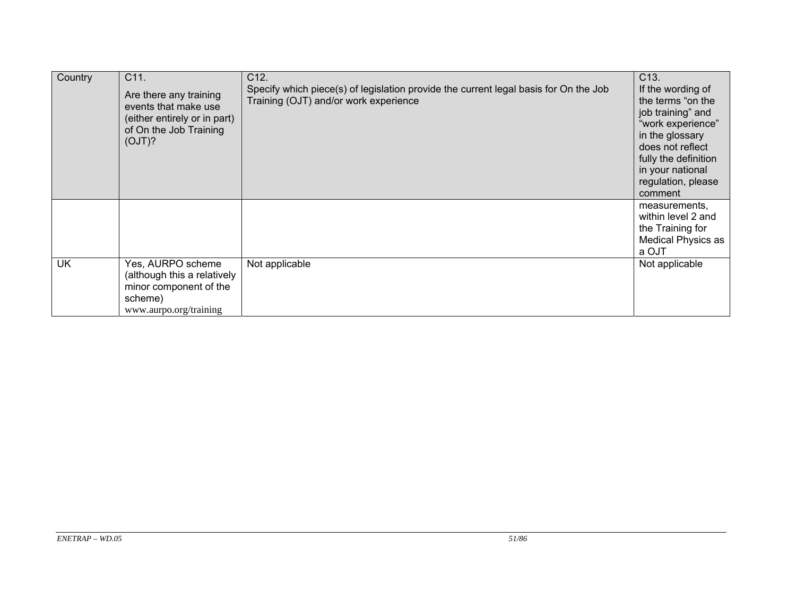| Country   | C11.<br>Are there any training<br>events that make use<br>(either entirely or in part)<br>of On the Job Training<br>(OJT)? | C12.<br>Specify which piece(s) of legislation provide the current legal basis for On the Job<br>Training (OJT) and/or work experience | C13.<br>If the wording of<br>the terms "on the<br>job training" and<br>"work experience"<br>in the glossary<br>does not reflect<br>fully the definition<br>in your national<br>regulation, please<br>comment |
|-----------|----------------------------------------------------------------------------------------------------------------------------|---------------------------------------------------------------------------------------------------------------------------------------|--------------------------------------------------------------------------------------------------------------------------------------------------------------------------------------------------------------|
|           |                                                                                                                            |                                                                                                                                       | measurements,<br>within level 2 and<br>the Training for<br><b>Medical Physics as</b><br>a OJT                                                                                                                |
| <b>UK</b> | Yes, AURPO scheme<br>(although this a relatively<br>minor component of the<br>scheme)<br>www.aurpo.org/training            | Not applicable                                                                                                                        | Not applicable                                                                                                                                                                                               |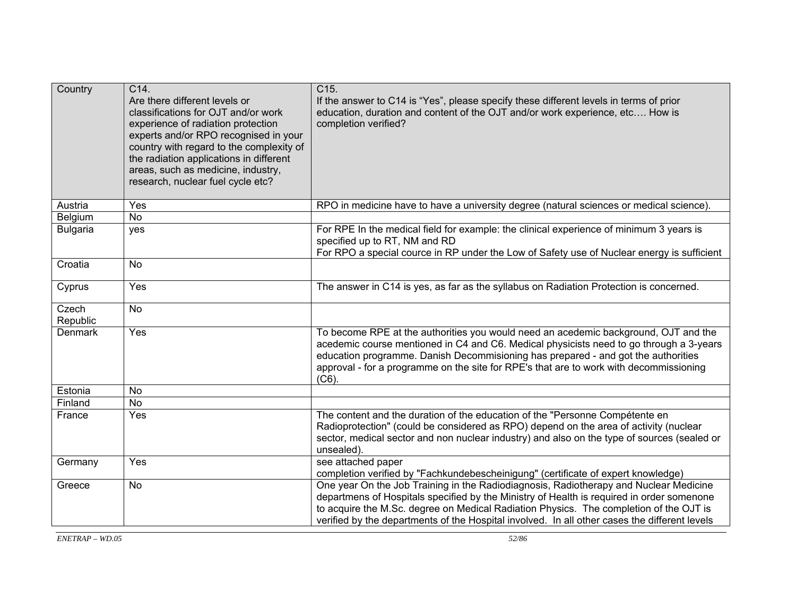| Country           | C14.<br>Are there different levels or<br>classifications for OJT and/or work<br>experience of radiation protection<br>experts and/or RPO recognised in your<br>country with regard to the complexity of<br>the radiation applications in different<br>areas, such as medicine, industry,<br>research, nuclear fuel cycle etc? | C <sub>15</sub> .<br>If the answer to C14 is "Yes", please specify these different levels in terms of prior<br>education, duration and content of the OJT and/or work experience, etc How is<br>completion verified?                                                                                                                                                          |  |
|-------------------|-------------------------------------------------------------------------------------------------------------------------------------------------------------------------------------------------------------------------------------------------------------------------------------------------------------------------------|-------------------------------------------------------------------------------------------------------------------------------------------------------------------------------------------------------------------------------------------------------------------------------------------------------------------------------------------------------------------------------|--|
| Austria           | Yes                                                                                                                                                                                                                                                                                                                           | RPO in medicine have to have a university degree (natural sciences or medical science)                                                                                                                                                                                                                                                                                        |  |
| Belgium           | <b>No</b>                                                                                                                                                                                                                                                                                                                     |                                                                                                                                                                                                                                                                                                                                                                               |  |
| <b>Bulgaria</b>   | yes                                                                                                                                                                                                                                                                                                                           | For RPE In the medical field for example: the clinical experience of minimum 3 years is<br>specified up to RT, NM and RD<br>For RPO a special cource in RP under the Low of Safety use of Nuclear energy is sufficient                                                                                                                                                        |  |
| Croatia           | <b>No</b>                                                                                                                                                                                                                                                                                                                     |                                                                                                                                                                                                                                                                                                                                                                               |  |
| Cyprus            | Yes                                                                                                                                                                                                                                                                                                                           | The answer in C14 is yes, as far as the syllabus on Radiation Protection is concerned.                                                                                                                                                                                                                                                                                        |  |
| Czech<br>Republic | <b>No</b>                                                                                                                                                                                                                                                                                                                     |                                                                                                                                                                                                                                                                                                                                                                               |  |
| <b>Denmark</b>    | Yes                                                                                                                                                                                                                                                                                                                           | To become RPE at the authorities you would need an acedemic background, OJT and the<br>acedemic course mentioned in C4 and C6. Medical physicists need to go through a 3-years<br>education programme. Danish Decommisioning has prepared - and got the authorities<br>approval - for a programme on the site for RPE's that are to work with decommissioning<br>$(C6)$ .     |  |
| Estonia           | <b>No</b>                                                                                                                                                                                                                                                                                                                     |                                                                                                                                                                                                                                                                                                                                                                               |  |
| Finland           | <b>No</b>                                                                                                                                                                                                                                                                                                                     |                                                                                                                                                                                                                                                                                                                                                                               |  |
| France            | Yes                                                                                                                                                                                                                                                                                                                           | The content and the duration of the education of the "Personne Compétente en<br>Radioprotection" (could be considered as RPO) depend on the area of activity (nuclear<br>sector, medical sector and non nuclear industry) and also on the type of sources (sealed or<br>unsealed).                                                                                            |  |
| Germany           | Yes                                                                                                                                                                                                                                                                                                                           | see attached paper<br>completion verified by "Fachkundebescheinigung" (certificate of expert knowledge)                                                                                                                                                                                                                                                                       |  |
| Greece            | <b>No</b>                                                                                                                                                                                                                                                                                                                     | One year On the Job Training in the Radiodiagnosis, Radiotherapy and Nuclear Medicine<br>departmens of Hospitals specified by the Ministry of Health is required in order somenone<br>to acquire the M.Sc. degree on Medical Radiation Physics. The completion of the OJT is<br>verified by the departments of the Hospital involved. In all other cases the different levels |  |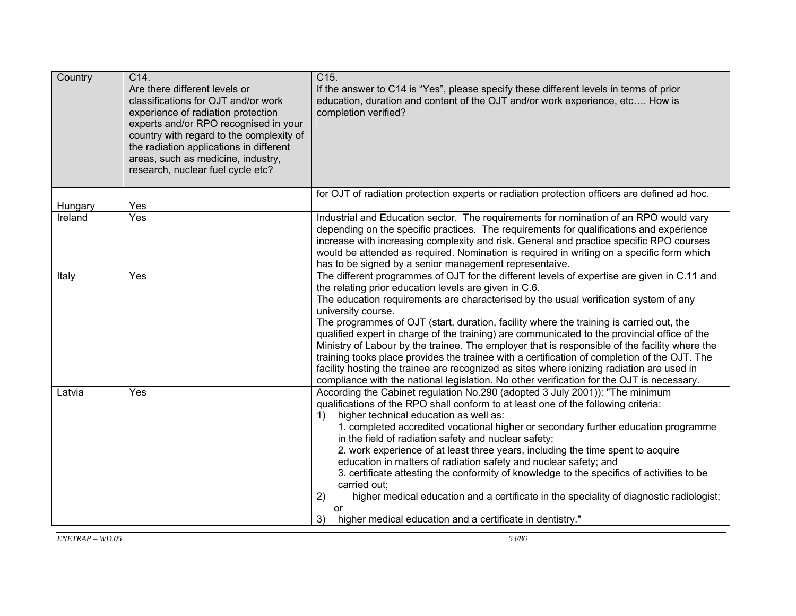| Country | C14.<br>Are there different levels or<br>classifications for OJT and/or work<br>experience of radiation protection<br>experts and/or RPO recognised in your<br>country with regard to the complexity of<br>the radiation applications in different<br>areas, such as medicine, industry,<br>research, nuclear fuel cycle etc? | C15.<br>If the answer to C14 is "Yes", please specify these different levels in terms of prior<br>education, duration and content of the OJT and/or work experience, etc How is<br>completion verified?                                                                                                                                                                                                                                                                                                                                                                                                                                                                                                                                                                                                                                                    |
|---------|-------------------------------------------------------------------------------------------------------------------------------------------------------------------------------------------------------------------------------------------------------------------------------------------------------------------------------|------------------------------------------------------------------------------------------------------------------------------------------------------------------------------------------------------------------------------------------------------------------------------------------------------------------------------------------------------------------------------------------------------------------------------------------------------------------------------------------------------------------------------------------------------------------------------------------------------------------------------------------------------------------------------------------------------------------------------------------------------------------------------------------------------------------------------------------------------------|
|         |                                                                                                                                                                                                                                                                                                                               | for OJT of radiation protection experts or radiation protection officers are defined ad hoc.                                                                                                                                                                                                                                                                                                                                                                                                                                                                                                                                                                                                                                                                                                                                                               |
| Hungary | Yes                                                                                                                                                                                                                                                                                                                           |                                                                                                                                                                                                                                                                                                                                                                                                                                                                                                                                                                                                                                                                                                                                                                                                                                                            |
| Ireland | Yes                                                                                                                                                                                                                                                                                                                           | Industrial and Education sector. The requirements for nomination of an RPO would vary<br>depending on the specific practices. The requirements for qualifications and experience<br>increase with increasing complexity and risk. General and practice specific RPO courses<br>would be attended as required. Nomination is required in writing on a specific form which<br>has to be signed by a senior management representaive.                                                                                                                                                                                                                                                                                                                                                                                                                         |
| Italy   | Yes                                                                                                                                                                                                                                                                                                                           | The different programmes of OJT for the different levels of expertise are given in C.11 and<br>the relating prior education levels are given in C.6.<br>The education requirements are characterised by the usual verification system of any<br>university course.<br>The programmes of OJT (start, duration, facility where the training is carried out, the<br>qualified expert in charge of the training) are communicated to the provincial office of the<br>Ministry of Labour by the trainee. The employer that is responsible of the facility where the<br>training tooks place provides the trainee with a certification of completion of the OJT. The<br>facility hosting the trainee are recognized as sites where ionizing radiation are used in<br>compliance with the national legislation. No other verification for the OJT is necessary.   |
| Latvia  | Yes                                                                                                                                                                                                                                                                                                                           | According the Cabinet regulation No.290 (adopted 3 July 2001)): "The minimum<br>qualifications of the RPO shall conform to at least one of the following criteria:<br>higher technical education as well as:<br>$\left( \begin{matrix} 1 \end{matrix} \right)$<br>1. completed accredited vocational higher or secondary further education programme<br>in the field of radiation safety and nuclear safety;<br>2. work experience of at least three years, including the time spent to acquire<br>education in matters of radiation safety and nuclear safety; and<br>3. certificate attesting the conformity of knowledge to the specifics of activities to be<br>carried out;<br>higher medical education and a certificate in the speciality of diagnostic radiologist;<br>2)<br>or<br>3)<br>higher medical education and a certificate in dentistry." |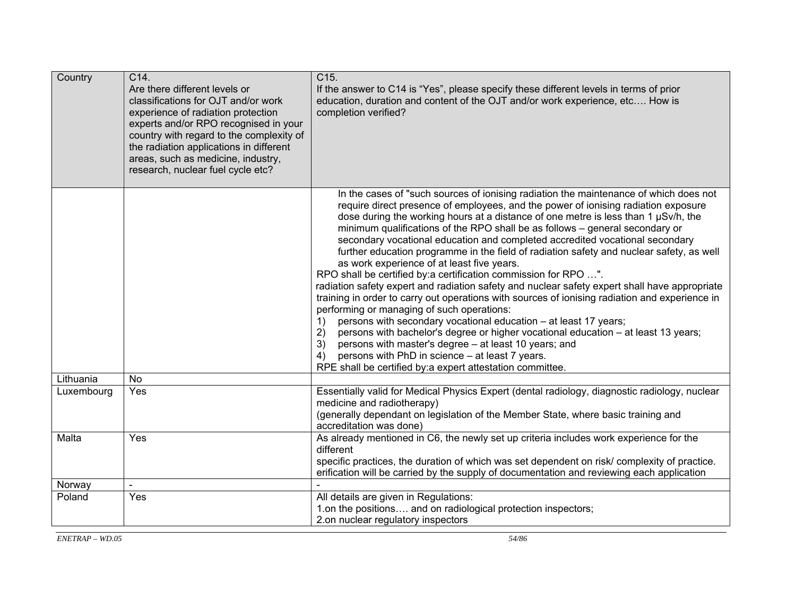| Country    | C14.<br>Are there different levels or<br>classifications for OJT and/or work<br>experience of radiation protection<br>experts and/or RPO recognised in your<br>country with regard to the complexity of<br>the radiation applications in different<br>areas, such as medicine, industry,<br>research, nuclear fuel cycle etc? | C15.<br>If the answer to C14 is "Yes", please specify these different levels in terms of prior<br>education, duration and content of the OJT and/or work experience, etc How is<br>completion verified?                                                                                                                                                                                                                                                                                                                                                                                                                                                                                                                                                                                                                                                                                                                                                                                                                                                                                                                                                                                                                                                    |
|------------|-------------------------------------------------------------------------------------------------------------------------------------------------------------------------------------------------------------------------------------------------------------------------------------------------------------------------------|------------------------------------------------------------------------------------------------------------------------------------------------------------------------------------------------------------------------------------------------------------------------------------------------------------------------------------------------------------------------------------------------------------------------------------------------------------------------------------------------------------------------------------------------------------------------------------------------------------------------------------------------------------------------------------------------------------------------------------------------------------------------------------------------------------------------------------------------------------------------------------------------------------------------------------------------------------------------------------------------------------------------------------------------------------------------------------------------------------------------------------------------------------------------------------------------------------------------------------------------------------|
|            |                                                                                                                                                                                                                                                                                                                               | In the cases of "such sources of ionising radiation the maintenance of which does not<br>require direct presence of employees, and the power of ionising radiation exposure<br>dose during the working hours at a distance of one metre is less than 1 µSv/h, the<br>minimum qualifications of the RPO shall be as follows - general secondary or<br>secondary vocational education and completed accredited vocational secondary<br>further education programme in the field of radiation safety and nuclear safety, as well<br>as work experience of at least five years.<br>RPO shall be certified by:a certification commission for RPO ".<br>radiation safety expert and radiation safety and nuclear safety expert shall have appropriate<br>training in order to carry out operations with sources of ionising radiation and experience in<br>performing or managing of such operations:<br>persons with secondary vocational education - at least 17 years;<br>1)<br>2)<br>persons with bachelor's degree or higher vocational education - at least 13 years;<br>3)<br>persons with master's degree - at least 10 years; and<br>persons with PhD in science - at least 7 years.<br>4)<br>RPE shall be certified by:a expert attestation committee. |
| Lithuania  | <b>No</b>                                                                                                                                                                                                                                                                                                                     |                                                                                                                                                                                                                                                                                                                                                                                                                                                                                                                                                                                                                                                                                                                                                                                                                                                                                                                                                                                                                                                                                                                                                                                                                                                            |
| Luxembourg | Yes                                                                                                                                                                                                                                                                                                                           | Essentially valid for Medical Physics Expert (dental radiology, diagnostic radiology, nuclear<br>medicine and radiotherapy)<br>(generally dependant on legislation of the Member State, where basic training and<br>accreditation was done)                                                                                                                                                                                                                                                                                                                                                                                                                                                                                                                                                                                                                                                                                                                                                                                                                                                                                                                                                                                                                |
| Malta      | Yes                                                                                                                                                                                                                                                                                                                           | As already mentioned in C6, the newly set up criteria includes work experience for the<br>different<br>specific practices, the duration of which was set dependent on risk/complexity of practice.<br>erification will be carried by the supply of documentation and reviewing each application                                                                                                                                                                                                                                                                                                                                                                                                                                                                                                                                                                                                                                                                                                                                                                                                                                                                                                                                                            |
| Norway     |                                                                                                                                                                                                                                                                                                                               |                                                                                                                                                                                                                                                                                                                                                                                                                                                                                                                                                                                                                                                                                                                                                                                                                                                                                                                                                                                                                                                                                                                                                                                                                                                            |
| Poland     | Yes                                                                                                                                                                                                                                                                                                                           | All details are given in Regulations:<br>1.on the positions and on radiological protection inspectors;<br>2.on nuclear regulatory inspectors                                                                                                                                                                                                                                                                                                                                                                                                                                                                                                                                                                                                                                                                                                                                                                                                                                                                                                                                                                                                                                                                                                               |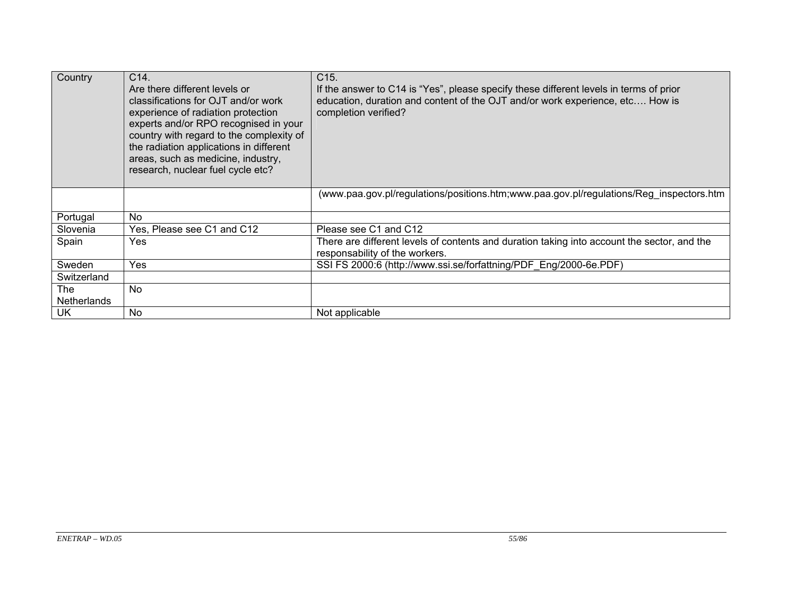| Country            | C14.<br>Are there different levels or<br>classifications for OJT and/or work<br>experience of radiation protection<br>experts and/or RPO recognised in your<br>country with regard to the complexity of<br>the radiation applications in different<br>areas, such as medicine, industry,<br>research, nuclear fuel cycle etc? | C15.<br>If the answer to C14 is "Yes", please specify these different levels in terms of prior<br>education, duration and content of the OJT and/or work experience, etc How is<br>completion verified? |
|--------------------|-------------------------------------------------------------------------------------------------------------------------------------------------------------------------------------------------------------------------------------------------------------------------------------------------------------------------------|---------------------------------------------------------------------------------------------------------------------------------------------------------------------------------------------------------|
|                    |                                                                                                                                                                                                                                                                                                                               | (www.paa.gov.pl/regulations/positions.htm;www.paa.gov.pl/regulations/Reg_inspectors.htm                                                                                                                 |
| Portugal           | No                                                                                                                                                                                                                                                                                                                            |                                                                                                                                                                                                         |
| Slovenia           | Yes, Please see C1 and C12                                                                                                                                                                                                                                                                                                    | Please see C1 and C12                                                                                                                                                                                   |
| Spain              | Yes                                                                                                                                                                                                                                                                                                                           | There are different levels of contents and duration taking into account the sector, and the<br>responsability of the workers.                                                                           |
| Sweden             | Yes                                                                                                                                                                                                                                                                                                                           | SSI FS 2000:6 (http://www.ssi.se/forfattning/PDF Eng/2000-6e.PDF)                                                                                                                                       |
| Switzerland        |                                                                                                                                                                                                                                                                                                                               |                                                                                                                                                                                                         |
| The                | No                                                                                                                                                                                                                                                                                                                            |                                                                                                                                                                                                         |
| <b>Netherlands</b> |                                                                                                                                                                                                                                                                                                                               |                                                                                                                                                                                                         |
| <b>UK</b>          | No                                                                                                                                                                                                                                                                                                                            | Not applicable                                                                                                                                                                                          |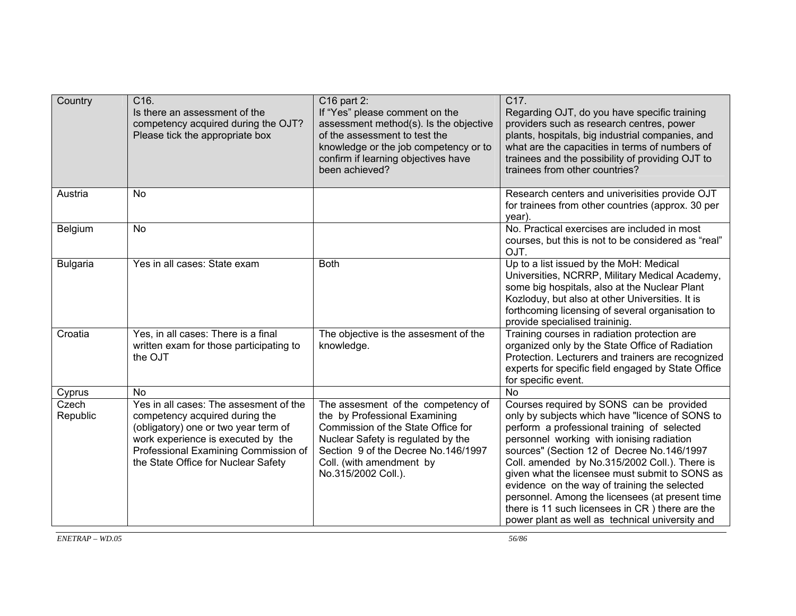| Country                     | C16.<br>Is there an assessment of the<br>competency acquired during the OJT?<br>Please tick the appropriate box                                                                                                                                    | $C16$ part 2:<br>If "Yes" please comment on the<br>assessment method(s). Is the objective<br>of the assessment to test the<br>knowledge or the job competency or to<br>confirm if learning objectives have<br>been achieved?              | C17.<br>Regarding OJT, do you have specific training<br>providers such as research centres, power<br>plants, hospitals, big industrial companies, and<br>what are the capacities in terms of numbers of<br>trainees and the possibility of providing OJT to<br>trainees from other countries?                                                                                                                                                                                                                                                                  |
|-----------------------------|----------------------------------------------------------------------------------------------------------------------------------------------------------------------------------------------------------------------------------------------------|-------------------------------------------------------------------------------------------------------------------------------------------------------------------------------------------------------------------------------------------|----------------------------------------------------------------------------------------------------------------------------------------------------------------------------------------------------------------------------------------------------------------------------------------------------------------------------------------------------------------------------------------------------------------------------------------------------------------------------------------------------------------------------------------------------------------|
| Austria                     | <b>No</b>                                                                                                                                                                                                                                          |                                                                                                                                                                                                                                           | Research centers and univerisities provide OJT<br>for trainees from other countries (approx. 30 per<br>year).                                                                                                                                                                                                                                                                                                                                                                                                                                                  |
| Belgium                     | No                                                                                                                                                                                                                                                 |                                                                                                                                                                                                                                           | No. Practical exercises are included in most<br>courses, but this is not to be considered as "real"<br>OJT.                                                                                                                                                                                                                                                                                                                                                                                                                                                    |
| <b>Bulgaria</b>             | Yes in all cases: State exam                                                                                                                                                                                                                       | <b>Both</b>                                                                                                                                                                                                                               | Up to a list issued by the MoH: Medical<br>Universities, NCRRP, Military Medical Academy,<br>some big hospitals, also at the Nuclear Plant<br>Kozloduy, but also at other Universities. It is<br>forthcoming licensing of several organisation to<br>provide specialised traininig.                                                                                                                                                                                                                                                                            |
| Croatia                     | Yes, in all cases: There is a final<br>written exam for those participating to<br>the OJT                                                                                                                                                          | The objective is the assesment of the<br>knowledge.                                                                                                                                                                                       | Training courses in radiation protection are<br>organized only by the State Office of Radiation<br>Protection. Lecturers and trainers are recognized<br>experts for specific field engaged by State Office<br>for specific event.                                                                                                                                                                                                                                                                                                                              |
| Cyprus<br>Czech<br>Republic | <b>No</b><br>Yes in all cases: The assesment of the<br>competency acquired during the<br>(obligatory) one or two year term of<br>work experience is executed by the<br>Professional Examining Commission of<br>the State Office for Nuclear Safety | The assesment of the competency of<br>the by Professional Examining<br>Commission of the State Office for<br>Nuclear Safety is regulated by the<br>Section 9 of the Decree No.146/1997<br>Coll. (with amendment by<br>No.315/2002 Coll.). | <b>No</b><br>Courses required by SONS can be provided<br>only by subjects which have "licence of SONS to<br>perform a professional training of selected<br>personnel working with ionising radiation<br>sources" (Section 12 of Decree No.146/1997<br>Coll. amended by No.315/2002 Coll.). There is<br>given what the licensee must submit to SONS as<br>evidence on the way of training the selected<br>personnel. Among the licensees (at present time<br>there is 11 such licensees in CR) there are the<br>power plant as well as technical university and |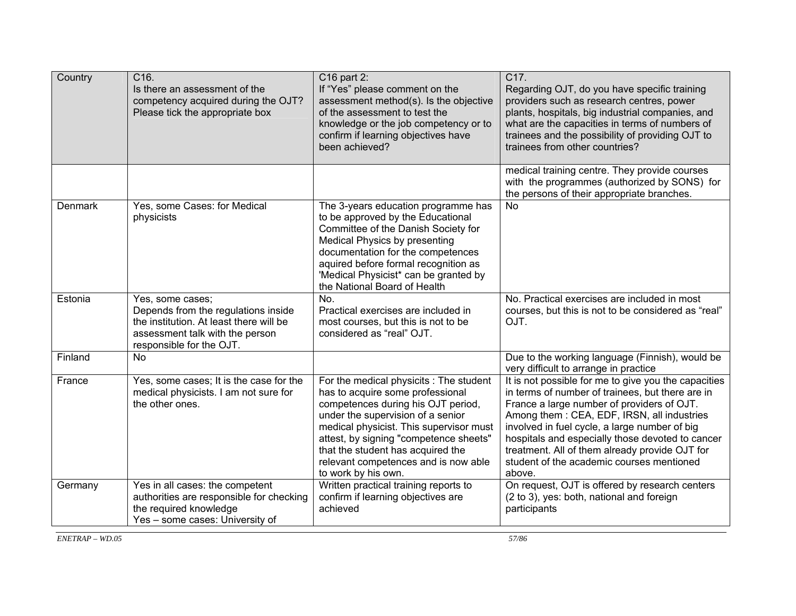| Country | C16.<br>Is there an assessment of the<br>competency acquired during the OJT?<br>Please tick the appropriate box                                                   | C16 part 2:<br>If "Yes" please comment on the<br>assessment method(s). Is the objective<br>of the assessment to test the<br>knowledge or the job competency or to<br>confirm if learning objectives have<br>been achieved?                                                                                                                      | C17.<br>Regarding OJT, do you have specific training<br>providers such as research centres, power<br>plants, hospitals, big industrial companies, and<br>what are the capacities in terms of numbers of<br>trainees and the possibility of providing OJT to<br>trainees from other countries?                                                                                                                      |
|---------|-------------------------------------------------------------------------------------------------------------------------------------------------------------------|-------------------------------------------------------------------------------------------------------------------------------------------------------------------------------------------------------------------------------------------------------------------------------------------------------------------------------------------------|--------------------------------------------------------------------------------------------------------------------------------------------------------------------------------------------------------------------------------------------------------------------------------------------------------------------------------------------------------------------------------------------------------------------|
|         |                                                                                                                                                                   |                                                                                                                                                                                                                                                                                                                                                 | medical training centre. They provide courses<br>with the programmes (authorized by SONS) for<br>the persons of their appropriate branches.                                                                                                                                                                                                                                                                        |
| Denmark | Yes, some Cases: for Medical<br>physicists                                                                                                                        | The 3-years education programme has<br>to be approved by the Educational<br>Committee of the Danish Society for<br>Medical Physics by presenting<br>documentation for the competences<br>aquired before formal recognition as<br>'Medical Physicist* can be granted by<br>the National Board of Health                                          | <b>No</b>                                                                                                                                                                                                                                                                                                                                                                                                          |
| Estonia | Yes, some cases;<br>Depends from the regulations inside<br>the institution. At least there will be<br>assessment talk with the person<br>responsible for the OJT. | No.<br>Practical exercises are included in<br>most courses, but this is not to be<br>considered as "real" OJT.                                                                                                                                                                                                                                  | No. Practical exercises are included in most<br>courses, but this is not to be considered as "real"<br>OJT.                                                                                                                                                                                                                                                                                                        |
| Finland | <b>No</b>                                                                                                                                                         |                                                                                                                                                                                                                                                                                                                                                 | Due to the working language (Finnish), would be<br>very difficult to arrange in practice                                                                                                                                                                                                                                                                                                                           |
| France  | Yes, some cases; It is the case for the<br>medical physicists. I am not sure for<br>the other ones.                                                               | For the medical physicits : The student<br>has to acquire some professional<br>competences during his OJT period,<br>under the supervision of a senior<br>medical physicist. This supervisor must<br>attest, by signing "competence sheets"<br>that the student has acquired the<br>relevant competences and is now able<br>to work by his own. | It is not possible for me to give you the capacities<br>in terms of number of trainees, but there are in<br>France a large number of providers of OJT.<br>Among them: CEA, EDF, IRSN, all industries<br>involved in fuel cycle, a large number of big<br>hospitals and especially those devoted to cancer<br>treatment. All of them already provide OJT for<br>student of the academic courses mentioned<br>above. |
| Germany | Yes in all cases: the competent<br>authorities are responsible for checking<br>the required knowledge<br>Yes - some cases: University of                          | Written practical training reports to<br>confirm if learning objectives are<br>achieved                                                                                                                                                                                                                                                         | On request, OJT is offered by research centers<br>(2 to 3), yes: both, national and foreign<br>participants                                                                                                                                                                                                                                                                                                        |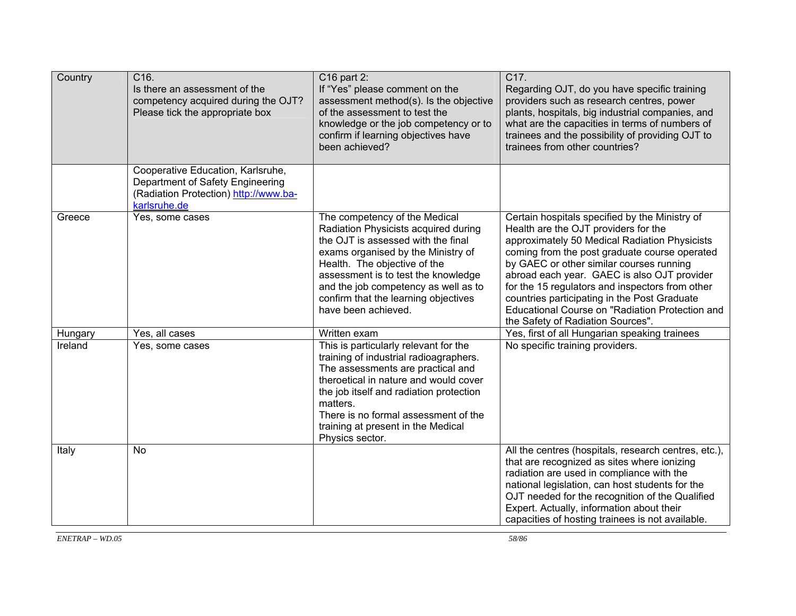| Country            | C <sub>16</sub> .<br>Is there an assessment of the<br>competency acquired during the OJT?<br>Please tick the appropriate box   | C16 part 2:<br>If "Yes" please comment on the<br>assessment method(s). Is the objective<br>of the assessment to test the<br>knowledge or the job competency or to<br>confirm if learning objectives have<br>been achieved?                                                                                                            | C17.<br>Regarding OJT, do you have specific training<br>providers such as research centres, power<br>plants, hospitals, big industrial companies, and<br>what are the capacities in terms of numbers of<br>trainees and the possibility of providing OJT to<br>trainees from other countries?                                                                                                                                                                                  |
|--------------------|--------------------------------------------------------------------------------------------------------------------------------|---------------------------------------------------------------------------------------------------------------------------------------------------------------------------------------------------------------------------------------------------------------------------------------------------------------------------------------|--------------------------------------------------------------------------------------------------------------------------------------------------------------------------------------------------------------------------------------------------------------------------------------------------------------------------------------------------------------------------------------------------------------------------------------------------------------------------------|
|                    | Cooperative Education, Karlsruhe,<br>Department of Safety Engineering<br>(Radiation Protection) http://www.ba-<br>karlsruhe.de |                                                                                                                                                                                                                                                                                                                                       |                                                                                                                                                                                                                                                                                                                                                                                                                                                                                |
| Greece             | Yes, some cases                                                                                                                | The competency of the Medical<br>Radiation Physicists acquired during<br>the OJT is assessed with the final<br>exams organised by the Ministry of<br>Health. The objective of the<br>assessment is to test the knowledge<br>and the job competency as well as to<br>confirm that the learning objectives<br>have been achieved.       | Certain hospitals specified by the Ministry of<br>Health are the OJT providers for the<br>approximately 50 Medical Radiation Physicists<br>coming from the post graduate course operated<br>by GAEC or other similar courses running<br>abroad each year. GAEC is also OJT provider<br>for the 15 regulators and inspectors from other<br>countries participating in the Post Graduate<br>Educational Course on "Radiation Protection and<br>the Safety of Radiation Sources". |
| Hungary<br>Ireland | Yes, all cases<br>Yes, some cases                                                                                              | Written exam<br>This is particularly relevant for the<br>training of industrial radioagraphers.<br>The assessments are practical and<br>theroetical in nature and would cover<br>the job itself and radiation protection<br>matters.<br>There is no formal assessment of the<br>training at present in the Medical<br>Physics sector. | Yes, first of all Hungarian speaking trainees<br>No specific training providers.                                                                                                                                                                                                                                                                                                                                                                                               |
| Italy              | <b>No</b>                                                                                                                      |                                                                                                                                                                                                                                                                                                                                       | All the centres (hospitals, research centres, etc.),<br>that are recognized as sites where ionizing<br>radiation are used in compliance with the<br>national legislation, can host students for the<br>OJT needed for the recognition of the Qualified<br>Expert. Actually, information about their<br>capacities of hosting trainees is not available.                                                                                                                        |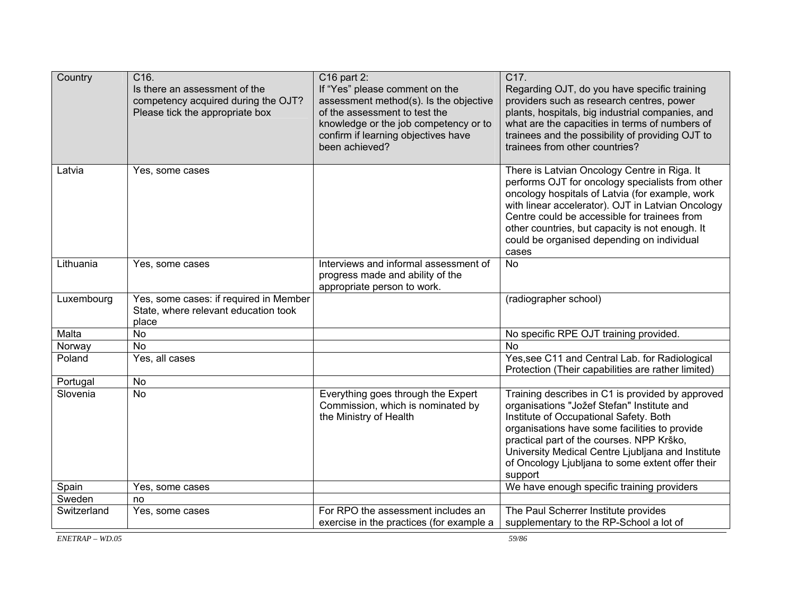| Country     | C16.<br>Is there an assessment of the<br>competency acquired during the OJT?<br>Please tick the appropriate box | C16 part 2:<br>If "Yes" please comment on the<br>assessment method(s). Is the objective<br>of the assessment to test the<br>knowledge or the job competency or to<br>confirm if learning objectives have<br>been achieved? | C17.<br>Regarding OJT, do you have specific training<br>providers such as research centres, power<br>plants, hospitals, big industrial companies, and<br>what are the capacities in terms of numbers of<br>trainees and the possibility of providing OJT to<br>trainees from other countries?                                                                      |
|-------------|-----------------------------------------------------------------------------------------------------------------|----------------------------------------------------------------------------------------------------------------------------------------------------------------------------------------------------------------------------|--------------------------------------------------------------------------------------------------------------------------------------------------------------------------------------------------------------------------------------------------------------------------------------------------------------------------------------------------------------------|
| Latvia      | Yes, some cases                                                                                                 |                                                                                                                                                                                                                            | There is Latvian Oncology Centre in Riga. It<br>performs OJT for oncology specialists from other<br>oncology hospitals of Latvia (for example, work<br>with linear accelerator). OJT in Latvian Oncology<br>Centre could be accessible for trainees from<br>other countries, but capacity is not enough. It<br>could be organised depending on individual<br>cases |
| Lithuania   | Yes, some cases                                                                                                 | Interviews and informal assessment of<br>progress made and ability of the<br>appropriate person to work.                                                                                                                   | <b>No</b>                                                                                                                                                                                                                                                                                                                                                          |
| Luxembourg  | Yes, some cases: if required in Member<br>State, where relevant education took<br>place                         |                                                                                                                                                                                                                            | (radiographer school)                                                                                                                                                                                                                                                                                                                                              |
| Malta       | $\overline{N}$                                                                                                  |                                                                                                                                                                                                                            | No specific RPE OJT training provided.                                                                                                                                                                                                                                                                                                                             |
| Norway      | $\overline{N}$                                                                                                  |                                                                                                                                                                                                                            | <b>No</b>                                                                                                                                                                                                                                                                                                                                                          |
| Poland      | Yes, all cases                                                                                                  |                                                                                                                                                                                                                            | Yes, see C11 and Central Lab. for Radiological<br>Protection (Their capabilities are rather limited)                                                                                                                                                                                                                                                               |
| Portugal    | No                                                                                                              |                                                                                                                                                                                                                            |                                                                                                                                                                                                                                                                                                                                                                    |
| Slovenia    | <b>No</b>                                                                                                       | Everything goes through the Expert<br>Commission, which is nominated by<br>the Ministry of Health                                                                                                                          | Training describes in C1 is provided by approved<br>organisations "Jožef Stefan" Institute and<br>Institute of Occupational Safety. Both<br>organisations have some facilities to provide<br>practical part of the courses. NPP Krško,<br>University Medical Centre Ljubljana and Institute<br>of Oncology Ljubljana to some extent offer their<br>support         |
| Spain       | Yes, some cases                                                                                                 |                                                                                                                                                                                                                            | We have enough specific training providers                                                                                                                                                                                                                                                                                                                         |
| Sweden      | no                                                                                                              |                                                                                                                                                                                                                            |                                                                                                                                                                                                                                                                                                                                                                    |
| Switzerland | Yes, some cases                                                                                                 | For RPO the assessment includes an<br>exercise in the practices (for example a                                                                                                                                             | The Paul Scherrer Institute provides<br>supplementary to the RP-School a lot of                                                                                                                                                                                                                                                                                    |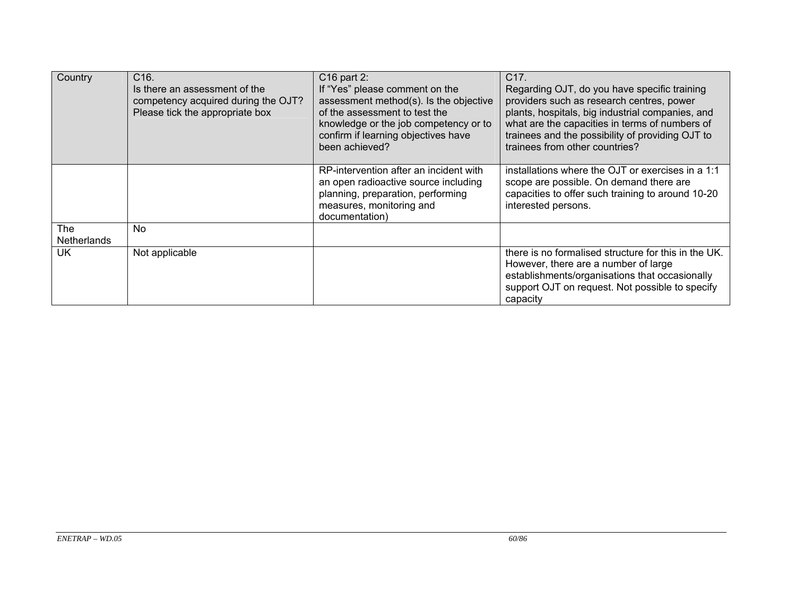| Country            | C16.                                | C16 part 2:                            | C17.                                                 |
|--------------------|-------------------------------------|----------------------------------------|------------------------------------------------------|
|                    | Is there an assessment of the       | If "Yes" please comment on the         | Regarding OJT, do you have specific training         |
|                    | competency acquired during the OJT? | assessment method(s). Is the objective | providers such as research centres, power            |
|                    | Please tick the appropriate box     | of the assessment to test the          | plants, hospitals, big industrial companies, and     |
|                    |                                     | knowledge or the job competency or to  | what are the capacities in terms of numbers of       |
|                    |                                     | confirm if learning objectives have    | trainees and the possibility of providing OJT to     |
|                    |                                     | been achieved?                         | trainees from other countries?                       |
|                    |                                     |                                        |                                                      |
|                    |                                     | RP-intervention after an incident with | installations where the OJT or exercises in a 1:1    |
|                    |                                     | an open radioactive source including   | scope are possible. On demand there are              |
|                    |                                     | planning, preparation, performing      | capacities to offer such training to around 10-20    |
|                    |                                     | measures, monitoring and               | interested persons.                                  |
|                    |                                     | documentation)                         |                                                      |
| <b>The</b>         | No.                                 |                                        |                                                      |
| <b>Netherlands</b> |                                     |                                        |                                                      |
| <b>UK</b>          | Not applicable                      |                                        | there is no formalised structure for this in the UK. |
|                    |                                     |                                        | However, there are a number of large                 |
|                    |                                     |                                        | establishments/organisations that occasionally       |
|                    |                                     |                                        | support OJT on request. Not possible to specify      |
|                    |                                     |                                        | capacity                                             |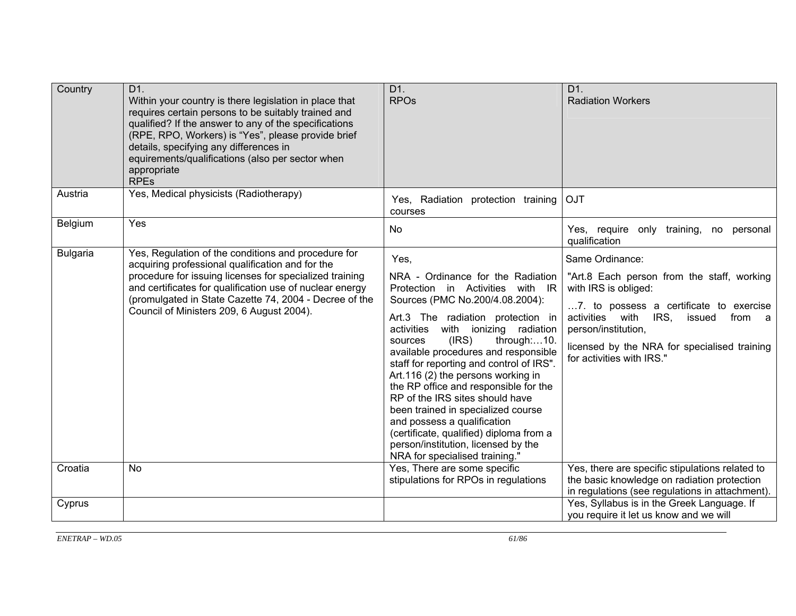| Country         | D1.<br>Within your country is there legislation in place that<br>requires certain persons to be suitably trained and<br>qualified? If the answer to any of the specifications<br>(RPE, RPO, Workers) is "Yes", please provide brief<br>details, specifying any differences in<br>equirements/qualifications (also per sector when<br>appropriate<br><b>RPEs</b> | D1.<br><b>RPOs</b>                                                                                                                                                                                                                                                                                                                                                                                                                                                                                                                                                                                                                  | D1.<br><b>Radiation Workers</b>                                                                                                                                                                                                                                                     |
|-----------------|-----------------------------------------------------------------------------------------------------------------------------------------------------------------------------------------------------------------------------------------------------------------------------------------------------------------------------------------------------------------|-------------------------------------------------------------------------------------------------------------------------------------------------------------------------------------------------------------------------------------------------------------------------------------------------------------------------------------------------------------------------------------------------------------------------------------------------------------------------------------------------------------------------------------------------------------------------------------------------------------------------------------|-------------------------------------------------------------------------------------------------------------------------------------------------------------------------------------------------------------------------------------------------------------------------------------|
| Austria         | Yes, Medical physicists (Radiotherapy)                                                                                                                                                                                                                                                                                                                          | Yes, Radiation protection training<br>courses                                                                                                                                                                                                                                                                                                                                                                                                                                                                                                                                                                                       | <b>OJT</b>                                                                                                                                                                                                                                                                          |
| Belgium         | Yes                                                                                                                                                                                                                                                                                                                                                             | N <sub>o</sub>                                                                                                                                                                                                                                                                                                                                                                                                                                                                                                                                                                                                                      | Yes, require only training,<br>no personal<br>qualification                                                                                                                                                                                                                         |
| <b>Bulgaria</b> | Yes, Regulation of the conditions and procedure for<br>acquiring professional qualification and for the<br>procedure for issuing licenses for specialized training<br>and certificates for qualification use of nuclear energy<br>(promulgated in State Cazette 74, 2004 - Decree of the<br>Council of Ministers 209, 6 August 2004).                           | Yes,<br>NRA - Ordinance for the Radiation<br>Protection in Activities with IR<br>Sources (PMC No.200/4.08.2004):<br>Art.3 The radiation protection in<br>activities<br>with<br>ionizing radiation<br>(IRS)<br>through:10.<br>sources<br>available procedures and responsible<br>staff for reporting and control of IRS".<br>Art.116 (2) the persons working in<br>the RP office and responsible for the<br>RP of the IRS sites should have<br>been trained in specialized course<br>and possess a qualification<br>(certificate, qualified) diploma from a<br>person/institution, licensed by the<br>NRA for specialised training." | Same Ordinance:<br>"Art.8 Each person from the staff, working<br>with IRS is obliged:<br>7. to possess a certificate to exercise<br>activities with<br>IRS.<br>issued<br>from a<br>person/institution,<br>licensed by the NRA for specialised training<br>for activities with IRS." |
| Croatia         | <b>No</b>                                                                                                                                                                                                                                                                                                                                                       | Yes, There are some specific<br>stipulations for RPOs in regulations                                                                                                                                                                                                                                                                                                                                                                                                                                                                                                                                                                | Yes, there are specific stipulations related to<br>the basic knowledge on radiation protection<br>in regulations (see regulations in attachment).                                                                                                                                   |
| Cyprus          |                                                                                                                                                                                                                                                                                                                                                                 |                                                                                                                                                                                                                                                                                                                                                                                                                                                                                                                                                                                                                                     | Yes, Syllabus is in the Greek Language. If<br>you require it let us know and we will                                                                                                                                                                                                |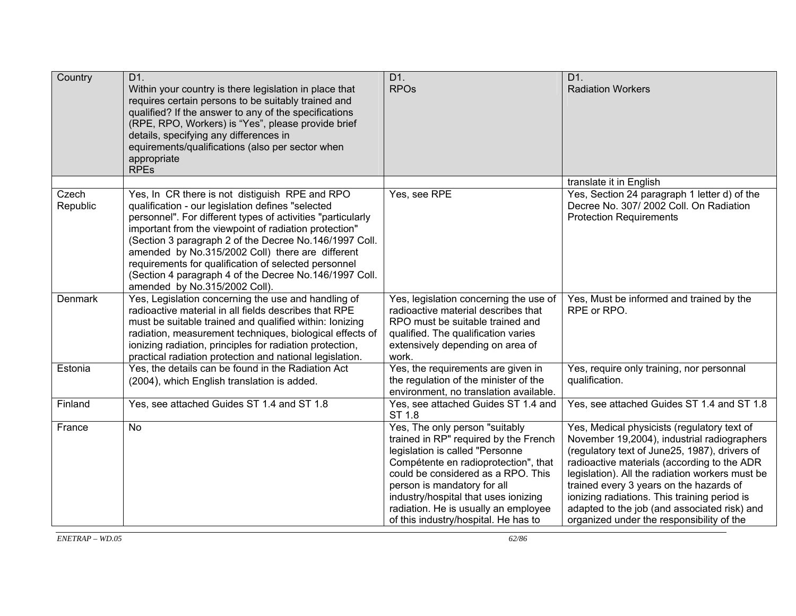| Country           | D1.<br>Within your country is there legislation in place that<br>requires certain persons to be suitably trained and<br>qualified? If the answer to any of the specifications<br>(RPE, RPO, Workers) is "Yes", please provide brief<br>details, specifying any differences in<br>equirements/qualifications (also per sector when<br>appropriate<br><b>RPEs</b>                                                                                                                              | D1.<br><b>RPOs</b>                                                                                                                                                                                                                                                                                                                              | D1.<br><b>Radiation Workers</b>                                                                                                                                                                                                                                                                                                                                                                                                       |
|-------------------|----------------------------------------------------------------------------------------------------------------------------------------------------------------------------------------------------------------------------------------------------------------------------------------------------------------------------------------------------------------------------------------------------------------------------------------------------------------------------------------------|-------------------------------------------------------------------------------------------------------------------------------------------------------------------------------------------------------------------------------------------------------------------------------------------------------------------------------------------------|---------------------------------------------------------------------------------------------------------------------------------------------------------------------------------------------------------------------------------------------------------------------------------------------------------------------------------------------------------------------------------------------------------------------------------------|
|                   |                                                                                                                                                                                                                                                                                                                                                                                                                                                                                              |                                                                                                                                                                                                                                                                                                                                                 | translate it in English                                                                                                                                                                                                                                                                                                                                                                                                               |
| Czech<br>Republic | Yes, In CR there is not distiguish RPE and RPO<br>qualification - our legislation defines "selected<br>personnel". For different types of activities "particularly<br>important from the viewpoint of radiation protection"<br>(Section 3 paragraph 2 of the Decree No.146/1997 Coll.<br>amended by No.315/2002 Coll) there are different<br>requirements for qualification of selected personnel<br>(Section 4 paragraph 4 of the Decree No.146/1997 Coll.<br>amended by No.315/2002 Coll). | Yes, see RPE                                                                                                                                                                                                                                                                                                                                    | Yes, Section 24 paragraph 1 letter d) of the<br>Decree No. 307/2002 Coll. On Radiation<br><b>Protection Requirements</b>                                                                                                                                                                                                                                                                                                              |
| Denmark           | Yes, Legislation concerning the use and handling of<br>radioactive material in all fields describes that RPE<br>must be suitable trained and qualified within: lonizing<br>radiation, measurement techniques, biological effects of<br>ionizing radiation, principles for radiation protection,<br>practical radiation protection and national legislation.                                                                                                                                  | Yes, legislation concerning the use of<br>radioactive material describes that<br>RPO must be suitable trained and<br>qualified. The qualification varies<br>extensively depending on area of<br>work.                                                                                                                                           | Yes, Must be informed and trained by the<br>RPE or RPO.                                                                                                                                                                                                                                                                                                                                                                               |
| Estonia           | Yes, the details can be found in the Radiation Act<br>(2004), which English translation is added.                                                                                                                                                                                                                                                                                                                                                                                            | Yes, the requirements are given in<br>the regulation of the minister of the<br>environment, no translation available.                                                                                                                                                                                                                           | Yes, require only training, nor personnal<br>qualification.                                                                                                                                                                                                                                                                                                                                                                           |
| Finland           | Yes, see attached Guides ST 1.4 and ST 1.8                                                                                                                                                                                                                                                                                                                                                                                                                                                   | Yes, see attached Guides ST 1.4 and<br>ST 1.8                                                                                                                                                                                                                                                                                                   | Yes, see attached Guides ST 1.4 and ST 1.8                                                                                                                                                                                                                                                                                                                                                                                            |
| France            | <b>No</b>                                                                                                                                                                                                                                                                                                                                                                                                                                                                                    | Yes, The only person "suitably<br>trained in RP" required by the French<br>legislation is called "Personne<br>Compétente en radioprotection", that<br>could be considered as a RPO. This<br>person is mandatory for all<br>industry/hospital that uses ionizing<br>radiation. He is usually an employee<br>of this industry/hospital. He has to | Yes, Medical physicists (regulatory text of<br>November 19,2004), industrial radiographers<br>(regulatory text of June25, 1987), drivers of<br>radioactive materials (according to the ADR<br>legislation). All the radiation workers must be<br>trained every 3 years on the hazards of<br>ionizing radiations. This training period is<br>adapted to the job (and associated risk) and<br>organized under the responsibility of the |

*ENETRAP – WD.05*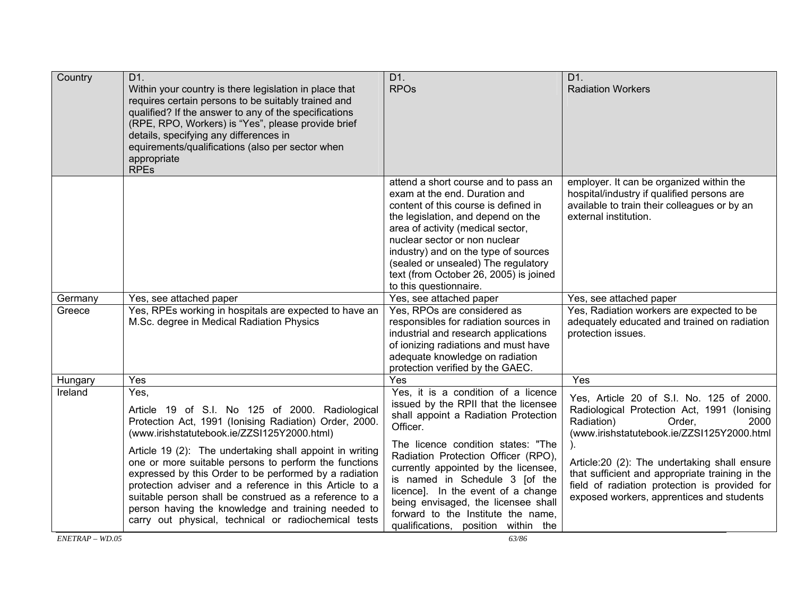| Country | D1.<br>Within your country is there legislation in place that<br>requires certain persons to be suitably trained and<br>qualified? If the answer to any of the specifications<br>(RPE, RPO, Workers) is "Yes", please provide brief<br>details, specifying any differences in<br>equirements/qualifications (also per sector when<br>appropriate<br><b>RPES</b>                                                                                                                                                                                                                    | D1.<br><b>RPOs</b>                                                                                                                                                                                                                                                                                                                                                                                                                               | D1.<br><b>Radiation Workers</b>                                                                                                                                                                                                                                                                                                                                        |
|---------|------------------------------------------------------------------------------------------------------------------------------------------------------------------------------------------------------------------------------------------------------------------------------------------------------------------------------------------------------------------------------------------------------------------------------------------------------------------------------------------------------------------------------------------------------------------------------------|--------------------------------------------------------------------------------------------------------------------------------------------------------------------------------------------------------------------------------------------------------------------------------------------------------------------------------------------------------------------------------------------------------------------------------------------------|------------------------------------------------------------------------------------------------------------------------------------------------------------------------------------------------------------------------------------------------------------------------------------------------------------------------------------------------------------------------|
|         |                                                                                                                                                                                                                                                                                                                                                                                                                                                                                                                                                                                    | attend a short course and to pass an<br>exam at the end. Duration and<br>content of this course is defined in<br>the legislation, and depend on the<br>area of activity (medical sector,<br>nuclear sector or non nuclear<br>industry) and on the type of sources<br>(sealed or unsealed) The regulatory<br>text (from October 26, 2005) is joined<br>to this questionnaire.                                                                     | employer. It can be organized within the<br>hospital/industry if qualified persons are<br>available to train their colleagues or by an<br>external institution.                                                                                                                                                                                                        |
| Germany | Yes, see attached paper                                                                                                                                                                                                                                                                                                                                                                                                                                                                                                                                                            | Yes, see attached paper                                                                                                                                                                                                                                                                                                                                                                                                                          | Yes, see attached paper                                                                                                                                                                                                                                                                                                                                                |
| Greece  | Yes, RPEs working in hospitals are expected to have an<br>M.Sc. degree in Medical Radiation Physics                                                                                                                                                                                                                                                                                                                                                                                                                                                                                | Yes, RPOs are considered as<br>responsibles for radiation sources in<br>industrial and research applications<br>of ionizing radiations and must have<br>adequate knowledge on radiation<br>protection verified by the GAEC.                                                                                                                                                                                                                      | Yes, Radiation workers are expected to be<br>adequately educated and trained on radiation<br>protection issues.                                                                                                                                                                                                                                                        |
| Hungary | Yes                                                                                                                                                                                                                                                                                                                                                                                                                                                                                                                                                                                | Yes                                                                                                                                                                                                                                                                                                                                                                                                                                              | Yes                                                                                                                                                                                                                                                                                                                                                                    |
| Ireland | Yes,<br>Article 19 of S.I. No 125 of 2000. Radiological<br>Protection Act, 1991 (Ionising Radiation) Order, 2000.<br>(www.irishstatutebook.ie/ZZSI125Y2000.html)<br>Article 19 (2): The undertaking shall appoint in writing<br>one or more suitable persons to perform the functions<br>expressed by this Order to be performed by a radiation<br>protection adviser and a reference in this Article to a<br>suitable person shall be construed as a reference to a<br>person having the knowledge and training needed to<br>carry out physical, technical or radiochemical tests | Yes, it is a condition of a licence<br>issued by the RPII that the licensee<br>shall appoint a Radiation Protection<br>Officer.<br>The licence condition states: "The<br>Radiation Protection Officer (RPO),<br>currently appointed by the licensee,<br>is named in Schedule 3 [of the<br>licence]. In the event of a change<br>being envisaged, the licensee shall<br>forward to the Institute the name,<br>qualifications, position within the | Yes, Article 20 of S.I. No. 125 of 2000.<br>Radiological Protection Act, 1991 (Ionising<br>Radiation)<br>Order,<br>2000<br>(www.irishstatutebook.ie/ZZSI125Y2000.html<br>Article:20 (2): The undertaking shall ensure<br>that sufficient and appropriate training in the<br>field of radiation protection is provided for<br>exposed workers, apprentices and students |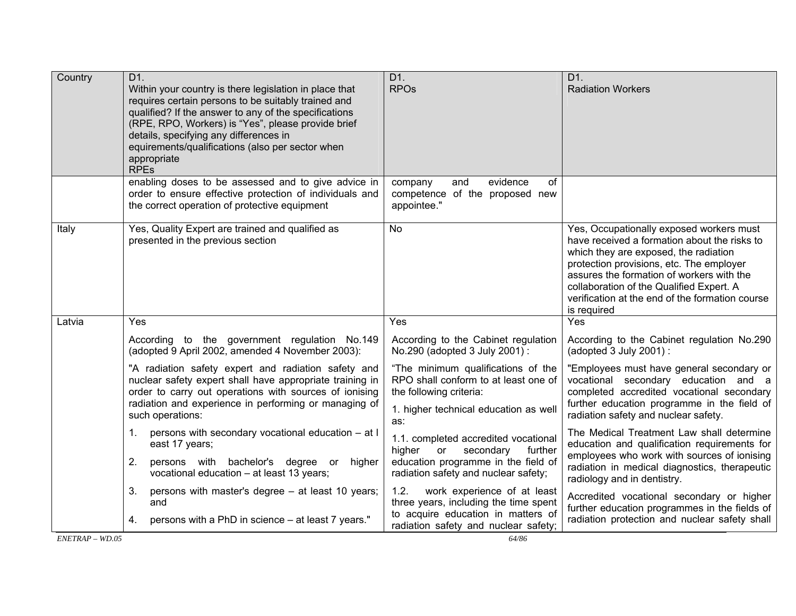| Country         | D1.<br>Within your country is there legislation in place that<br>requires certain persons to be suitably trained and<br>qualified? If the answer to any of the specifications<br>(RPE, RPO, Workers) is "Yes", please provide brief<br>details, specifying any differences in<br>equirements/qualifications (also per sector when<br>appropriate<br><b>RPEs</b> | D1.<br><b>RPOs</b>                                                                                                                                          | D1.<br><b>Radiation Workers</b>                                                                                                                                                                                                                                                                                                          |
|-----------------|-----------------------------------------------------------------------------------------------------------------------------------------------------------------------------------------------------------------------------------------------------------------------------------------------------------------------------------------------------------------|-------------------------------------------------------------------------------------------------------------------------------------------------------------|------------------------------------------------------------------------------------------------------------------------------------------------------------------------------------------------------------------------------------------------------------------------------------------------------------------------------------------|
|                 | enabling doses to be assessed and to give advice in<br>order to ensure effective protection of individuals and<br>the correct operation of protective equipment                                                                                                                                                                                                 | company<br>evidence<br>of<br>and<br>competence of the proposed new<br>appointee."                                                                           |                                                                                                                                                                                                                                                                                                                                          |
| Italy           | Yes, Quality Expert are trained and qualified as<br>presented in the previous section                                                                                                                                                                                                                                                                           | <b>No</b>                                                                                                                                                   | Yes, Occupationally exposed workers must<br>have received a formation about the risks to<br>which they are exposed, the radiation<br>protection provisions, etc. The employer<br>assures the formation of workers with the<br>collaboration of the Qualified Expert. A<br>verification at the end of the formation course<br>is required |
| Latvia          | Yes                                                                                                                                                                                                                                                                                                                                                             | Yes                                                                                                                                                         | Yes                                                                                                                                                                                                                                                                                                                                      |
|                 | According to the government regulation No.149<br>(adopted 9 April 2002, amended 4 November 2003):                                                                                                                                                                                                                                                               | According to the Cabinet regulation<br>No.290 (adopted 3 July 2001):                                                                                        | According to the Cabinet regulation No.290<br>$(adopted 3 July 2001)$ :                                                                                                                                                                                                                                                                  |
|                 | "A radiation safety expert and radiation safety and<br>nuclear safety expert shall have appropriate training in<br>order to carry out operations with sources of ionising<br>radiation and experience in performing or managing of<br>such operations:                                                                                                          | "The minimum qualifications of the<br>RPO shall conform to at least one of<br>the following criteria:<br>1. higher technical education as well<br>as:       | "Employees must have general secondary or<br>vocational secondary education and a<br>completed accredited vocational secondary<br>further education programme in the field of<br>radiation safety and nuclear safety.                                                                                                                    |
|                 | persons with secondary vocational education - at I<br>1.<br>east 17 years;<br>2.<br>persons with bachelor's degree or higher<br>vocational education - at least 13 years;                                                                                                                                                                                       | 1.1. completed accredited vocational<br>higher<br>secondary<br>further<br>or<br>education programme in the field of<br>radiation safety and nuclear safety; | The Medical Treatment Law shall determine<br>education and qualification requirements for<br>employees who work with sources of ionising<br>radiation in medical diagnostics, therapeutic<br>radiology and in dentistry.                                                                                                                 |
|                 | 3.<br>persons with master's degree - at least 10 years;<br>and<br>persons with a PhD in science - at least 7 years."<br>4.                                                                                                                                                                                                                                      | 1.2.<br>work experience of at least<br>three years, including the time spent<br>to acquire education in matters of<br>radiation safety and nuclear safety;  | Accredited vocational secondary or higher<br>further education programmes in the fields of<br>radiation protection and nuclear safety shall                                                                                                                                                                                              |
| $ENETRAP-WD.05$ |                                                                                                                                                                                                                                                                                                                                                                 | 64/86                                                                                                                                                       |                                                                                                                                                                                                                                                                                                                                          |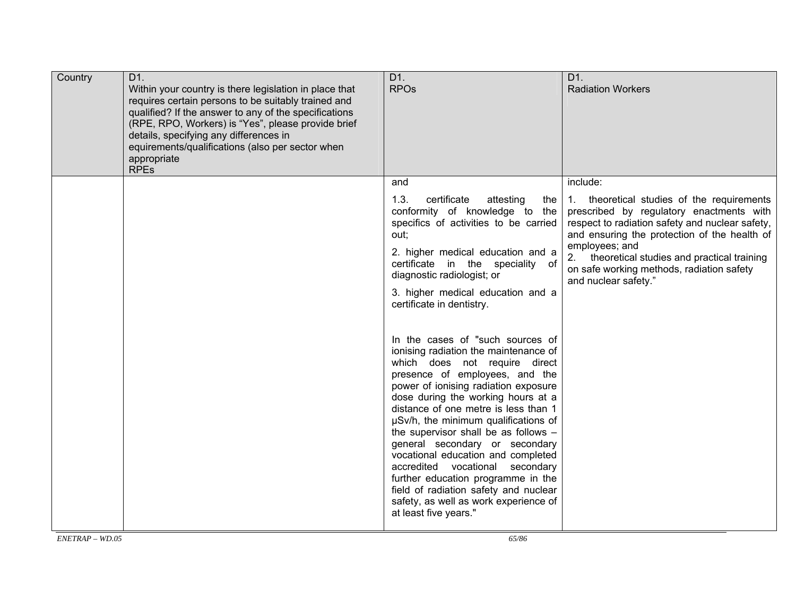| Country | D1.<br>Within your country is there legislation in place that<br>requires certain persons to be suitably trained and<br>qualified? If the answer to any of the specifications<br>(RPE, RPO, Workers) is "Yes", please provide brief<br>details, specifying any differences in<br>equirements/qualifications (also per sector when<br>appropriate<br><b>RPEs</b> | D1.<br><b>RPO<sub>s</sub></b>                                                                                                                                                                                                                                                                                                                                                                                                                                                                                                                                                                                                                                                                                                                                                                                                                                                                                                | D1.<br><b>Radiation Workers</b>                                                                                                                                                                                                                                                                                                               |
|---------|-----------------------------------------------------------------------------------------------------------------------------------------------------------------------------------------------------------------------------------------------------------------------------------------------------------------------------------------------------------------|------------------------------------------------------------------------------------------------------------------------------------------------------------------------------------------------------------------------------------------------------------------------------------------------------------------------------------------------------------------------------------------------------------------------------------------------------------------------------------------------------------------------------------------------------------------------------------------------------------------------------------------------------------------------------------------------------------------------------------------------------------------------------------------------------------------------------------------------------------------------------------------------------------------------------|-----------------------------------------------------------------------------------------------------------------------------------------------------------------------------------------------------------------------------------------------------------------------------------------------------------------------------------------------|
|         |                                                                                                                                                                                                                                                                                                                                                                 | and<br>1.3.<br>certificate<br>attesting<br>the<br>conformity of knowledge to the<br>specifics of activities to be carried<br>out;<br>2. higher medical education and a<br>certificate in the speciality of<br>diagnostic radiologist; or<br>3. higher medical education and a<br>certificate in dentistry.<br>In the cases of "such sources of<br>ionising radiation the maintenance of<br>which does not require direct<br>presence of employees, and the<br>power of ionising radiation exposure<br>dose during the working hours at a<br>distance of one metre is less than 1<br>µSv/h, the minimum qualifications of<br>the supervisor shall be as follows -<br>general secondary or secondary<br>vocational education and completed<br>accredited vocational secondary<br>further education programme in the<br>field of radiation safety and nuclear<br>safety, as well as work experience of<br>at least five years." | include:<br>1. theoretical studies of the requirements<br>prescribed by regulatory enactments with<br>respect to radiation safety and nuclear safety,<br>and ensuring the protection of the health of<br>employees; and<br>2. theoretical studies and practical training<br>on safe working methods, radiation safety<br>and nuclear safety." |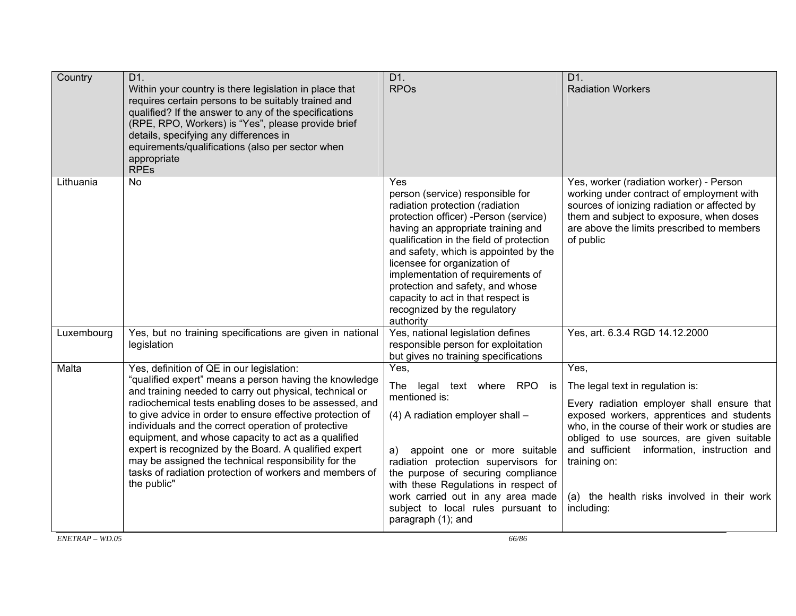| Country    | D1.<br>Within your country is there legislation in place that<br>requires certain persons to be suitably trained and<br>qualified? If the answer to any of the specifications<br>(RPE, RPO, Workers) is "Yes", please provide brief<br>details, specifying any differences in<br>equirements/qualifications (also per sector when<br>appropriate<br><b>RPEs</b>                                                                                                                                                                                                                                | $\overline{D1}$ .<br><b>RPOs</b>                                                                                                                                                                                                                                                                                                                                                                                                           | D1.<br><b>Radiation Workers</b>                                                                                                                                                                                                                                                                                                                                  |
|------------|------------------------------------------------------------------------------------------------------------------------------------------------------------------------------------------------------------------------------------------------------------------------------------------------------------------------------------------------------------------------------------------------------------------------------------------------------------------------------------------------------------------------------------------------------------------------------------------------|--------------------------------------------------------------------------------------------------------------------------------------------------------------------------------------------------------------------------------------------------------------------------------------------------------------------------------------------------------------------------------------------------------------------------------------------|------------------------------------------------------------------------------------------------------------------------------------------------------------------------------------------------------------------------------------------------------------------------------------------------------------------------------------------------------------------|
| Lithuania  | <b>No</b>                                                                                                                                                                                                                                                                                                                                                                                                                                                                                                                                                                                      | Yes<br>person (service) responsible for<br>radiation protection (radiation<br>protection officer) -Person (service)<br>having an appropriate training and<br>qualification in the field of protection<br>and safety, which is appointed by the<br>licensee for organization of<br>implementation of requirements of<br>protection and safety, and whose<br>capacity to act in that respect is<br>recognized by the regulatory<br>authority | Yes, worker (radiation worker) - Person<br>working under contract of employment with<br>sources of ionizing radiation or affected by<br>them and subject to exposure, when doses<br>are above the limits prescribed to members<br>of public                                                                                                                      |
| Luxembourg | Yes, but no training specifications are given in national<br>legislation                                                                                                                                                                                                                                                                                                                                                                                                                                                                                                                       | Yes, national legislation defines<br>responsible person for exploitation<br>but gives no training specifications                                                                                                                                                                                                                                                                                                                           | Yes, art. 6.3.4 RGD 14.12.2000                                                                                                                                                                                                                                                                                                                                   |
| Malta      | Yes, definition of QE in our legislation:<br>"qualified expert" means a person having the knowledge<br>and training needed to carry out physical, technical or<br>radiochemical tests enabling doses to be assessed, and<br>to give advice in order to ensure effective protection of<br>individuals and the correct operation of protective<br>equipment, and whose capacity to act as a qualified<br>expert is recognized by the Board. A qualified expert<br>may be assigned the technical responsibility for the<br>tasks of radiation protection of workers and members of<br>the public" | Yes,<br>legal text where RPO is<br>The<br>mentioned is:<br>(4) A radiation employer shall -<br>appoint one or more suitable<br>a)<br>radiation protection supervisors for<br>the purpose of securing compliance<br>with these Regulations in respect of<br>work carried out in any area made<br>subject to local rules pursuant to<br>paragraph (1); and                                                                                   | Yes,<br>The legal text in regulation is:<br>Every radiation employer shall ensure that<br>exposed workers, apprentices and students<br>who, in the course of their work or studies are<br>obliged to use sources, are given suitable<br>and sufficient information, instruction and<br>training on:<br>(a) the health risks involved in their work<br>including: |

*ENETRAP – WD.05*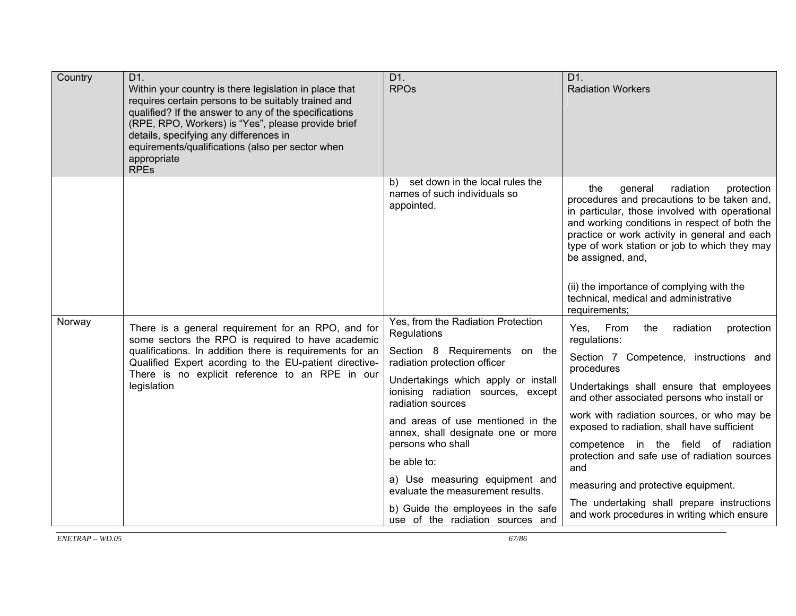| Country | D <sub>1</sub> .<br>Within your country is there legislation in place that<br>requires certain persons to be suitably trained and<br>qualified? If the answer to any of the specifications<br>(RPE, RPO, Workers) is "Yes", please provide brief<br>details, specifying any differences in<br>equirements/qualifications (also per sector when<br>appropriate<br><b>RPEs</b> | D1.<br><b>RPOs</b>                                                                             | D <sub>1</sub> .<br><b>Radiation Workers</b>                                                                                                                                                                                                                                                                       |
|---------|------------------------------------------------------------------------------------------------------------------------------------------------------------------------------------------------------------------------------------------------------------------------------------------------------------------------------------------------------------------------------|------------------------------------------------------------------------------------------------|--------------------------------------------------------------------------------------------------------------------------------------------------------------------------------------------------------------------------------------------------------------------------------------------------------------------|
|         |                                                                                                                                                                                                                                                                                                                                                                              | b) set down in the local rules the<br>names of such individuals so<br>appointed.               | radiation<br>general<br>protection<br>the<br>procedures and precautions to be taken and,<br>in particular, those involved with operational<br>and working conditions in respect of both the<br>practice or work activity in general and each<br>type of work station or job to which they may<br>be assigned, and, |
|         |                                                                                                                                                                                                                                                                                                                                                                              |                                                                                                | (ii) the importance of complying with the<br>technical, medical and administrative<br>requirements;                                                                                                                                                                                                                |
| Norway  | There is a general requirement for an RPO, and for<br>some sectors the RPO is required to have academic                                                                                                                                                                                                                                                                      | Yes, from the Radiation Protection<br>Regulations                                              | Yes, From<br>the<br>radiation<br>protection<br>regulations:                                                                                                                                                                                                                                                        |
|         | qualifications. In addition there is requirements for an<br>Qualified Expert acording to the EU-patient directive-                                                                                                                                                                                                                                                           | Section 8 Requirements on the<br>radiation protection officer                                  | Section 7 Competence, instructions and<br>procedures                                                                                                                                                                                                                                                               |
|         | There is no explicit reference to an RPE in our<br>legislation                                                                                                                                                                                                                                                                                                               | Undertakings which apply or install<br>ionising radiation sources, except<br>radiation sources | Undertakings shall ensure that employees<br>and other associated persons who install or                                                                                                                                                                                                                            |
|         |                                                                                                                                                                                                                                                                                                                                                                              | and areas of use mentioned in the<br>annex, shall designate one or more                        | work with radiation sources, or who may be<br>exposed to radiation, shall have sufficient                                                                                                                                                                                                                          |
|         |                                                                                                                                                                                                                                                                                                                                                                              | persons who shall                                                                              | competence in the field of radiation<br>protection and safe use of radiation sources                                                                                                                                                                                                                               |
|         |                                                                                                                                                                                                                                                                                                                                                                              | be able to:                                                                                    | and                                                                                                                                                                                                                                                                                                                |
|         |                                                                                                                                                                                                                                                                                                                                                                              | a) Use measuring equipment and<br>evaluate the measurement results.                            | measuring and protective equipment.                                                                                                                                                                                                                                                                                |
|         |                                                                                                                                                                                                                                                                                                                                                                              | b) Guide the employees in the safe<br>use of the radiation sources and                         | The undertaking shall prepare instructions<br>and work procedures in writing which ensure                                                                                                                                                                                                                          |

 $\overline{\text{ENTERAP} - \text{WD}0.05}$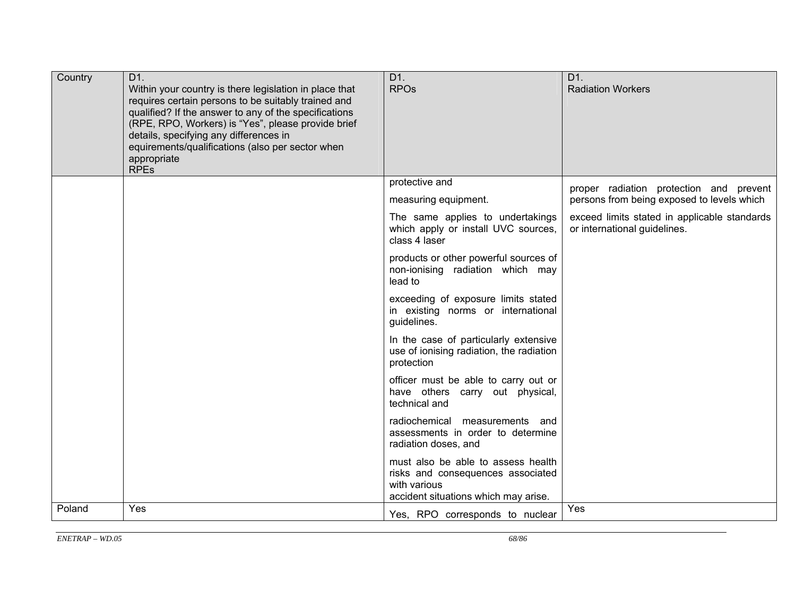| Country | D1.<br>Within your country is there legislation in place that<br>requires certain persons to be suitably trained and<br>qualified? If the answer to any of the specifications<br>(RPE, RPO, Workers) is "Yes", please provide brief<br>details, specifying any differences in<br>equirements/qualifications (also per sector when<br>appropriate<br><b>RPEs</b> | D1.<br><b>RPOs</b>                                                                                                              | D1.<br><b>Radiation Workers</b>                                                       |
|---------|-----------------------------------------------------------------------------------------------------------------------------------------------------------------------------------------------------------------------------------------------------------------------------------------------------------------------------------------------------------------|---------------------------------------------------------------------------------------------------------------------------------|---------------------------------------------------------------------------------------|
|         |                                                                                                                                                                                                                                                                                                                                                                 | protective and<br>measuring equipment.                                                                                          | proper radiation protection and prevent<br>persons from being exposed to levels which |
|         |                                                                                                                                                                                                                                                                                                                                                                 | The same applies to undertakings<br>which apply or install UVC sources,<br>class 4 laser                                        | exceed limits stated in applicable standards<br>or international guidelines.          |
|         |                                                                                                                                                                                                                                                                                                                                                                 | products or other powerful sources of<br>non-ionising radiation which may<br>lead to                                            |                                                                                       |
|         |                                                                                                                                                                                                                                                                                                                                                                 | exceeding of exposure limits stated<br>in existing norms or international<br>guidelines.                                        |                                                                                       |
|         |                                                                                                                                                                                                                                                                                                                                                                 | In the case of particularly extensive<br>use of ionising radiation, the radiation<br>protection                                 |                                                                                       |
|         |                                                                                                                                                                                                                                                                                                                                                                 | officer must be able to carry out or<br>have others carry out physical,<br>technical and                                        |                                                                                       |
|         |                                                                                                                                                                                                                                                                                                                                                                 | radiochemical measurements and<br>assessments in order to determine<br>radiation doses, and                                     |                                                                                       |
|         |                                                                                                                                                                                                                                                                                                                                                                 | must also be able to assess health<br>risks and consequences associated<br>with various<br>accident situations which may arise. |                                                                                       |
| Poland  | Yes                                                                                                                                                                                                                                                                                                                                                             | Yes, RPO corresponds to nuclear                                                                                                 | Yes                                                                                   |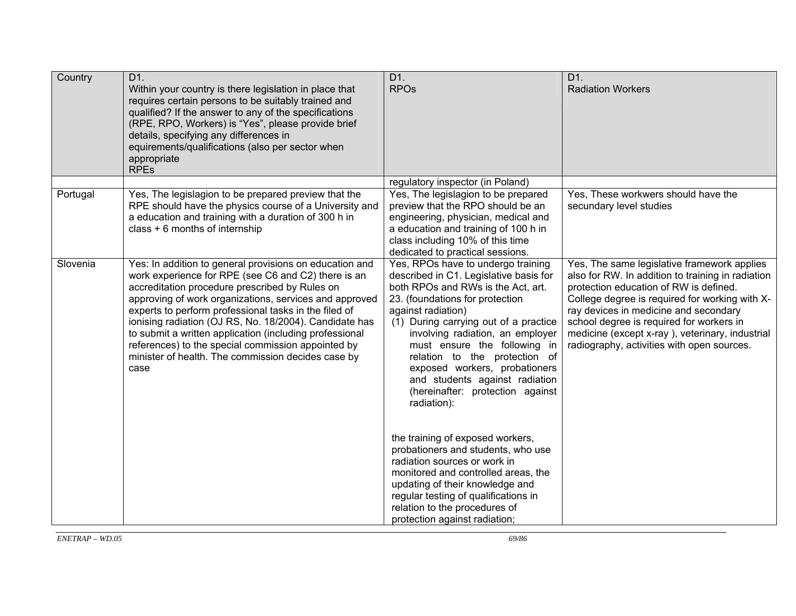| Country  | D <sub>1</sub> .<br>Within your country is there legislation in place that<br>requires certain persons to be suitably trained and<br>qualified? If the answer to any of the specifications<br>(RPE, RPO, Workers) is "Yes", please provide brief<br>details, specifying any differences in<br>equirements/qualifications (also per sector when<br>appropriate<br><b>RPEs</b>                                                                                                                                                 | D1.<br><b>RPOs</b>                                                                                                                                                                                                                                                                                                                                                                                                                                                                                                                                                                                                                                                                                                                            | D1.<br><b>Radiation Workers</b>                                                                                                                                                                                                                                                                                                                                                    |
|----------|------------------------------------------------------------------------------------------------------------------------------------------------------------------------------------------------------------------------------------------------------------------------------------------------------------------------------------------------------------------------------------------------------------------------------------------------------------------------------------------------------------------------------|-----------------------------------------------------------------------------------------------------------------------------------------------------------------------------------------------------------------------------------------------------------------------------------------------------------------------------------------------------------------------------------------------------------------------------------------------------------------------------------------------------------------------------------------------------------------------------------------------------------------------------------------------------------------------------------------------------------------------------------------------|------------------------------------------------------------------------------------------------------------------------------------------------------------------------------------------------------------------------------------------------------------------------------------------------------------------------------------------------------------------------------------|
| Portugal | Yes, The legislagion to be prepared preview that the<br>RPE should have the physics course of a University and<br>a education and training with a duration of 300 h in<br>class + 6 months of internship                                                                                                                                                                                                                                                                                                                     | regulatory inspector (in Poland)<br>Yes, The legislagion to be prepared<br>preview that the RPO should be an<br>engineering, physician, medical and<br>a education and training of 100 h in<br>class including 10% of this time<br>dedicated to practical sessions.                                                                                                                                                                                                                                                                                                                                                                                                                                                                           | Yes, These workwers should have the<br>secundary level studies                                                                                                                                                                                                                                                                                                                     |
| Slovenia | Yes: In addition to general provisions on education and<br>work experience for RPE (see C6 and C2) there is an<br>accreditation procedure prescribed by Rules on<br>approving of work organizations, services and approved<br>experts to perform professional tasks in the filed of<br>ionising radiation (OJ RS, No. 18/2004). Candidate has<br>to submit a written application (including professional<br>references) to the special commission appointed by<br>minister of health. The commission decides case by<br>case | Yes, RPOs have to undergo training<br>described in C1. Legislative basis for<br>both RPOs and RWs is the Act, art.<br>23. (foundations for protection<br>against radiation)<br>(1) During carrying out of a practice<br>involving radiation, an employer<br>must ensure the following in<br>relation to the protection of<br>exposed workers, probationers<br>and students against radiation<br>(hereinafter: protection against<br>radiation):<br>the training of exposed workers,<br>probationers and students, who use<br>radiation sources or work in<br>monitored and controlled areas, the<br>updating of their knowledge and<br>regular testing of qualifications in<br>relation to the procedures of<br>protection against radiation; | Yes, The same legislative framework applies<br>also for RW. In addition to training in radiation<br>protection education of RW is defined.<br>College degree is required for working with X-<br>ray devices in medicine and secondary<br>school degree is required for workers in<br>medicine (except x-ray), veterinary, industrial<br>radiography, activities with open sources. |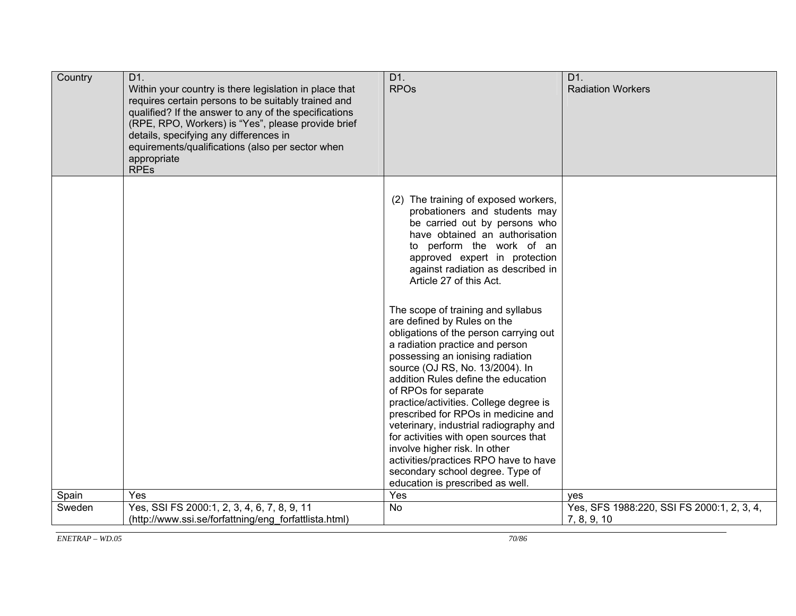| Country | D1.<br>Within your country is there legislation in place that<br>requires certain persons to be suitably trained and<br>qualified? If the answer to any of the specifications<br>(RPE, RPO, Workers) is "Yes", please provide brief<br>details, specifying any differences in<br>equirements/qualifications (also per sector when<br>appropriate<br><b>RPEs</b> | D1.<br><b>RPO<sub>s</sub></b>                                                                                                                                                                                                                                                                                                                                                                                                                                                                                                                                                                              | D1.<br><b>Radiation Workers</b>                           |
|---------|-----------------------------------------------------------------------------------------------------------------------------------------------------------------------------------------------------------------------------------------------------------------------------------------------------------------------------------------------------------------|------------------------------------------------------------------------------------------------------------------------------------------------------------------------------------------------------------------------------------------------------------------------------------------------------------------------------------------------------------------------------------------------------------------------------------------------------------------------------------------------------------------------------------------------------------------------------------------------------------|-----------------------------------------------------------|
|         |                                                                                                                                                                                                                                                                                                                                                                 | (2) The training of exposed workers,<br>probationers and students may<br>be carried out by persons who<br>have obtained an authorisation<br>to perform the work of an<br>approved expert in protection<br>against radiation as described in<br>Article 27 of this Act.                                                                                                                                                                                                                                                                                                                                     |                                                           |
|         |                                                                                                                                                                                                                                                                                                                                                                 | The scope of training and syllabus<br>are defined by Rules on the<br>obligations of the person carrying out<br>a radiation practice and person<br>possessing an ionising radiation<br>source (OJ RS, No. 13/2004). In<br>addition Rules define the education<br>of RPOs for separate<br>practice/activities. College degree is<br>prescribed for RPOs in medicine and<br>veterinary, industrial radiography and<br>for activities with open sources that<br>involve higher risk. In other<br>activities/practices RPO have to have<br>secondary school degree. Type of<br>education is prescribed as well. |                                                           |
| Spain   | Yes                                                                                                                                                                                                                                                                                                                                                             | Yes                                                                                                                                                                                                                                                                                                                                                                                                                                                                                                                                                                                                        | ves                                                       |
| Sweden  | Yes, SSI FS 2000:1, 2, 3, 4, 6, 7, 8, 9, 11<br>(http://www.ssi.se/forfattning/eng forfattlista.html)                                                                                                                                                                                                                                                            | <b>No</b>                                                                                                                                                                                                                                                                                                                                                                                                                                                                                                                                                                                                  | Yes, SFS 1988:220, SSI FS 2000:1, 2, 3, 4,<br>7, 8, 9, 10 |
|         |                                                                                                                                                                                                                                                                                                                                                                 |                                                                                                                                                                                                                                                                                                                                                                                                                                                                                                                                                                                                            |                                                           |

*ENETRAP – WD.05*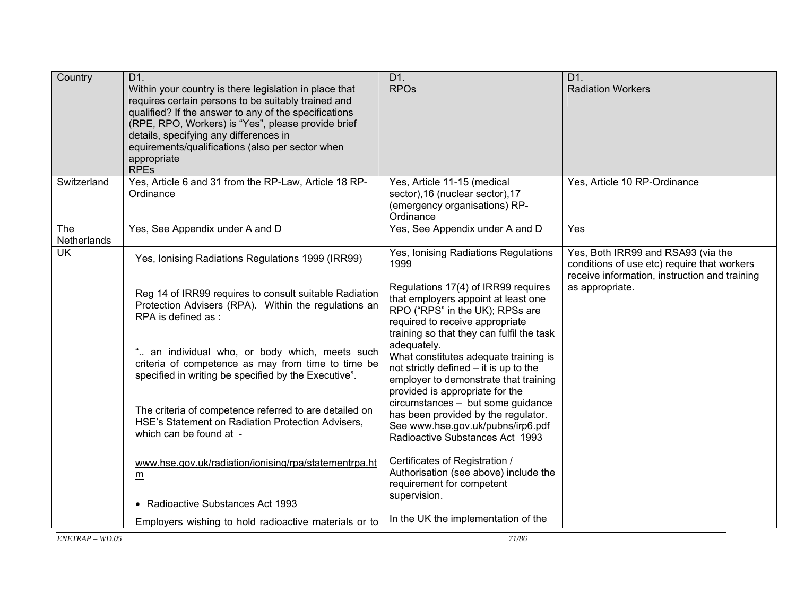| Country                   | D1.<br>Within your country is there legislation in place that<br>requires certain persons to be suitably trained and<br>qualified? If the answer to any of the specifications<br>(RPE, RPO, Workers) is "Yes", please provide brief<br>details, specifying any differences in<br>equirements/qualifications (also per sector when<br>appropriate<br><b>RPEs</b> | D1.<br><b>RPOs</b>                                                                                                                                                                                                                                                           | D1.<br><b>Radiation Workers</b>                                                                                                                       |
|---------------------------|-----------------------------------------------------------------------------------------------------------------------------------------------------------------------------------------------------------------------------------------------------------------------------------------------------------------------------------------------------------------|------------------------------------------------------------------------------------------------------------------------------------------------------------------------------------------------------------------------------------------------------------------------------|-------------------------------------------------------------------------------------------------------------------------------------------------------|
| Switzerland               | Yes, Article 6 and 31 from the RP-Law, Article 18 RP-<br>Ordinance                                                                                                                                                                                                                                                                                              | Yes, Article 11-15 (medical<br>sector), 16 (nuclear sector), 17<br>(emergency organisations) RP-<br>Ordinance                                                                                                                                                                | Yes, Article 10 RP-Ordinance                                                                                                                          |
| <b>The</b><br>Netherlands | Yes, See Appendix under A and D                                                                                                                                                                                                                                                                                                                                 | Yes, See Appendix under A and D                                                                                                                                                                                                                                              | Yes                                                                                                                                                   |
| UK                        | Yes, Ionising Radiations Regulations 1999 (IRR99)<br>Reg 14 of IRR99 requires to consult suitable Radiation<br>Protection Advisers (RPA). Within the regulations an<br>RPA is defined as:                                                                                                                                                                       | Yes, Ionising Radiations Regulations<br>1999<br>Regulations 17(4) of IRR99 requires<br>that employers appoint at least one<br>RPO ("RPS" in the UK); RPSs are<br>required to receive appropriate<br>training so that they can fulfil the task<br>adequately.                 | Yes, Both IRR99 and RSA93 (via the<br>conditions of use etc) require that workers<br>receive information, instruction and training<br>as appropriate. |
|                           | " an individual who, or body which, meets such<br>criteria of competence as may from time to time be<br>specified in writing be specified by the Executive".<br>The criteria of competence referred to are detailed on<br>HSE's Statement on Radiation Protection Advisers.                                                                                     | What constitutes adequate training is<br>not strictly defined - it is up to the<br>employer to demonstrate that training<br>provided is appropriate for the<br>circumstances - but some guidance<br>has been provided by the regulator.<br>See www.hse.gov.uk/pubns/irp6.pdf |                                                                                                                                                       |
|                           | which can be found at -<br>www.hse.gov.uk/radiation/ionising/rpa/statementrpa.ht<br>$\underline{m}$<br>• Radioactive Substances Act 1993                                                                                                                                                                                                                        | Radioactive Substances Act 1993<br>Certificates of Registration /<br>Authorisation (see above) include the<br>requirement for competent<br>supervision.                                                                                                                      |                                                                                                                                                       |
|                           | Employers wishing to hold radioactive materials or to                                                                                                                                                                                                                                                                                                           | In the UK the implementation of the                                                                                                                                                                                                                                          |                                                                                                                                                       |

 $\overline{\text{ENTERAP} - \text{WD}0.05}$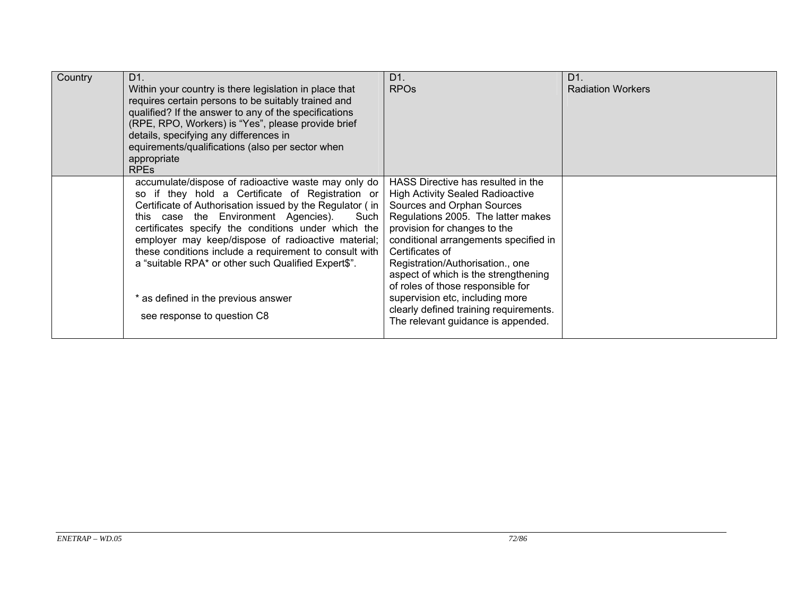| Country | D <sub>1</sub> .<br>Within your country is there legislation in place that<br>requires certain persons to be suitably trained and<br>qualified? If the answer to any of the specifications<br>(RPE, RPO, Workers) is "Yes", please provide brief<br>details, specifying any differences in<br>equirements/qualifications (also per sector when<br>appropriate<br><b>RPEs</b>                                                                                                                                         | D1.<br><b>RPO<sub>s</sub></b>                                                                                                                                                                                                                                                                                                                                                                                                                                                     | D <sub>1</sub><br><b>Radiation Workers</b> |
|---------|----------------------------------------------------------------------------------------------------------------------------------------------------------------------------------------------------------------------------------------------------------------------------------------------------------------------------------------------------------------------------------------------------------------------------------------------------------------------------------------------------------------------|-----------------------------------------------------------------------------------------------------------------------------------------------------------------------------------------------------------------------------------------------------------------------------------------------------------------------------------------------------------------------------------------------------------------------------------------------------------------------------------|--------------------------------------------|
|         | accumulate/dispose of radioactive waste may only do<br>so if they hold a Certificate of Registration or<br>Certificate of Authorisation issued by the Regulator (in<br>this case the Environment Agencies). Such<br>certificates specify the conditions under which the<br>employer may keep/dispose of radioactive material;<br>these conditions include a requirement to consult with<br>a "suitable RPA* or other such Qualified Expert\$".<br>* as defined in the previous answer<br>see response to question C8 | HASS Directive has resulted in the<br><b>High Activity Sealed Radioactive</b><br>Sources and Orphan Sources<br>Regulations 2005. The latter makes<br>provision for changes to the<br>conditional arrangements specified in<br>Certificates of<br>Registration/Authorisation., one<br>aspect of which is the strengthening<br>of roles of those responsible for<br>supervision etc, including more<br>clearly defined training requirements.<br>The relevant guidance is appended. |                                            |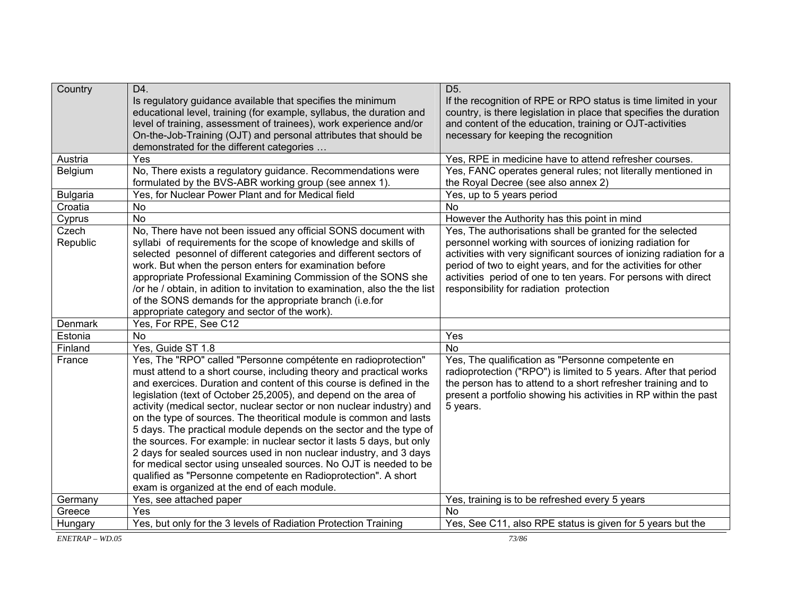| Country         | D4.                                                                                                                           | D <sub>5</sub> .                                                                                                                 |  |
|-----------------|-------------------------------------------------------------------------------------------------------------------------------|----------------------------------------------------------------------------------------------------------------------------------|--|
|                 | Is regulatory guidance available that specifies the minimum                                                                   | If the recognition of RPE or RPO status is time limited in your                                                                  |  |
|                 | educational level, training (for example, syllabus, the duration and                                                          | country, is there legislation in place that specifies the duration                                                               |  |
|                 | level of training, assessment of trainees), work experience and/or                                                            | and content of the education, training or OJT-activities                                                                         |  |
|                 | On-the-Job-Training (OJT) and personal attributes that should be                                                              | necessary for keeping the recognition                                                                                            |  |
|                 | demonstrated for the different categories<br>Yes                                                                              |                                                                                                                                  |  |
| Austria         |                                                                                                                               | Yes, RPE in medicine have to attend refresher courses.                                                                           |  |
| Belgium         | No, There exists a regulatory guidance. Recommendations were                                                                  | Yes, FANC operates general rules; not literally mentioned in<br>the Royal Decree (see also annex 2)                              |  |
|                 | formulated by the BVS-ABR working group (see annex 1).<br>Yes, for Nuclear Power Plant and for Medical field                  |                                                                                                                                  |  |
| <b>Bulgaria</b> |                                                                                                                               | Yes, up to 5 years period<br><b>No</b>                                                                                           |  |
| Croatia         | <b>No</b>                                                                                                                     |                                                                                                                                  |  |
| Cyprus          | <b>No</b>                                                                                                                     | However the Authority has this point in mind                                                                                     |  |
| Czech           | No, There have not been issued any official SONS document with                                                                | Yes, The authorisations shall be granted for the selected                                                                        |  |
| Republic        | syllabi of requirements for the scope of knowledge and skills of                                                              | personnel working with sources of ionizing radiation for<br>activities with very significant sources of ionizing radiation for a |  |
|                 | selected pesonnel of different categories and different sectors of<br>work. But when the person enters for examination before | period of two to eight years, and for the activities for other                                                                   |  |
|                 | appropriate Professional Examining Commission of the SONS she                                                                 | activities period of one to ten years. For persons with direct                                                                   |  |
|                 | /or he / obtain, in adition to invitation to examination, also the the list                                                   | responsibility for radiation protection                                                                                          |  |
|                 | of the SONS demands for the appropriate branch (i.e.for                                                                       |                                                                                                                                  |  |
|                 | appropriate category and sector of the work).                                                                                 |                                                                                                                                  |  |
| Denmark         | Yes, For RPE, See C12                                                                                                         |                                                                                                                                  |  |
| Estonia         | No                                                                                                                            | Yes                                                                                                                              |  |
| Finland         | Yes, Guide ST 1.8                                                                                                             | <b>No</b>                                                                                                                        |  |
| France          | Yes, The "RPO" called "Personne compétente en radioprotection"                                                                | Yes, The qualification as "Personne competente en                                                                                |  |
|                 | must attend to a short course, including theory and practical works                                                           | radioprotection ("RPO") is limited to 5 years. After that period                                                                 |  |
|                 | and exercices. Duration and content of this course is defined in the                                                          | the person has to attend to a short refresher training and to                                                                    |  |
|                 | legislation (text of October 25,2005), and depend on the area of                                                              | present a portfolio showing his activities in RP within the past                                                                 |  |
|                 | activity (medical sector, nuclear sector or non nuclear industry) and                                                         | 5 years.                                                                                                                         |  |
|                 | on the type of sources. The theoritical module is common and lasts                                                            |                                                                                                                                  |  |
|                 | 5 days. The practical module depends on the sector and the type of                                                            |                                                                                                                                  |  |
|                 | the sources. For example: in nuclear sector it lasts 5 days, but only                                                         |                                                                                                                                  |  |
|                 | 2 days for sealed sources used in non nuclear industry, and 3 days                                                            |                                                                                                                                  |  |
|                 | for medical sector using unsealed sources. No OJT is needed to be                                                             |                                                                                                                                  |  |
|                 | qualified as "Personne competente en Radioprotection". A short                                                                |                                                                                                                                  |  |
|                 | exam is organized at the end of each module.                                                                                  |                                                                                                                                  |  |
| Germany         | Yes, see attached paper                                                                                                       | Yes, training is to be refreshed every 5 years                                                                                   |  |
| Greece          | Yes                                                                                                                           | <b>No</b>                                                                                                                        |  |
| Hungary         | Yes, but only for the 3 levels of Radiation Protection Training                                                               | Yes, See C11, also RPE status is given for 5 years but the                                                                       |  |

 $EXETRAP - WD.05$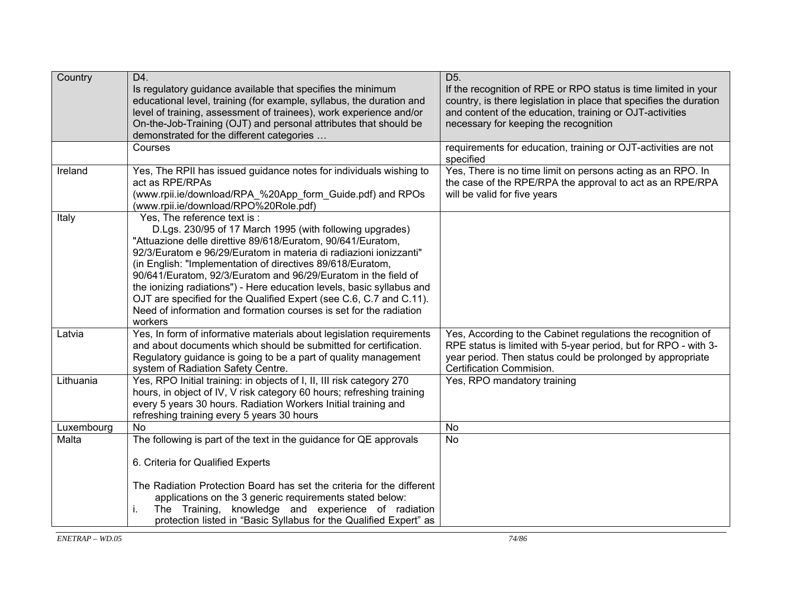| Country    | D4.<br>Is regulatory guidance available that specifies the minimum<br>educational level, training (for example, syllabus, the duration and<br>level of training, assessment of trainees), work experience and/or<br>On-the-Job-Training (OJT) and personal attributes that should be<br>demonstrated for the different categories                                                                                                                                                                                                                                                             | D <sub>5</sub> .<br>If the recognition of RPE or RPO status is time limited in your<br>country, is there legislation in place that specifies the duration<br>and content of the education, training or OJT-activities<br>necessary for keeping the recognition |  |
|------------|-----------------------------------------------------------------------------------------------------------------------------------------------------------------------------------------------------------------------------------------------------------------------------------------------------------------------------------------------------------------------------------------------------------------------------------------------------------------------------------------------------------------------------------------------------------------------------------------------|----------------------------------------------------------------------------------------------------------------------------------------------------------------------------------------------------------------------------------------------------------------|--|
|            | Courses                                                                                                                                                                                                                                                                                                                                                                                                                                                                                                                                                                                       | requirements for education, training or OJT-activities are not<br>specified                                                                                                                                                                                    |  |
| Ireland    | Yes, The RPII has issued guidance notes for individuals wishing to<br>act as RPE/RPAs<br>(www.rpii.ie/download/RPA_%20App_form_Guide.pdf) and RPOs<br>(www.rpii.ie/download/RPO%20Role.pdf)                                                                                                                                                                                                                                                                                                                                                                                                   | Yes, There is no time limit on persons acting as an RPO. In<br>the case of the RPE/RPA the approval to act as an RPE/RPA<br>will be valid for five years                                                                                                       |  |
| Italy      | Yes. The reference text is :<br>D.Lgs. 230/95 of 17 March 1995 (with following upgrades)<br>"Attuazione delle direttive 89/618/Euratom, 90/641/Euratom,<br>92/3/Euratom e 96/29/Euratom in materia di radiazioni ionizzanti"<br>(in English: "Implementation of directives 89/618/Euratom,<br>90/641/Euratom, 92/3/Euratom and 96/29/Euratom in the field of<br>the ionizing radiations") - Here education levels, basic syllabus and<br>OJT are specified for the Qualified Expert (see C.6, C.7 and C.11).<br>Need of information and formation courses is set for the radiation<br>workers |                                                                                                                                                                                                                                                                |  |
| Latvia     | Yes, In form of informative materials about legislation requirements<br>and about documents which should be submitted for certification.<br>Regulatory guidance is going to be a part of quality management<br>system of Radiation Safety Centre.                                                                                                                                                                                                                                                                                                                                             | Yes, According to the Cabinet regulations the recognition of<br>RPE status is limited with 5-year period, but for RPO - with 3-<br>year period. Then status could be prolonged by appropriate<br>Certification Commision.                                      |  |
| Lithuania  | Yes, RPO Initial training: in objects of I, II, III risk category 270<br>hours, in object of IV, V risk category 60 hours; refreshing training<br>every 5 years 30 hours. Radiation Workers Initial training and<br>refreshing training every 5 years 30 hours                                                                                                                                                                                                                                                                                                                                | Yes, RPO mandatory training                                                                                                                                                                                                                                    |  |
| Luxembourg | <b>No</b>                                                                                                                                                                                                                                                                                                                                                                                                                                                                                                                                                                                     | <b>No</b>                                                                                                                                                                                                                                                      |  |
| Malta      | The following is part of the text in the guidance for QE approvals                                                                                                                                                                                                                                                                                                                                                                                                                                                                                                                            | <b>No</b>                                                                                                                                                                                                                                                      |  |
|            | 6. Criteria for Qualified Experts                                                                                                                                                                                                                                                                                                                                                                                                                                                                                                                                                             |                                                                                                                                                                                                                                                                |  |
|            | The Radiation Protection Board has set the criteria for the different<br>applications on the 3 generic requirements stated below:<br>The Training, knowledge and experience of radiation<br>i.<br>protection listed in "Basic Syllabus for the Qualified Expert" as                                                                                                                                                                                                                                                                                                                           |                                                                                                                                                                                                                                                                |  |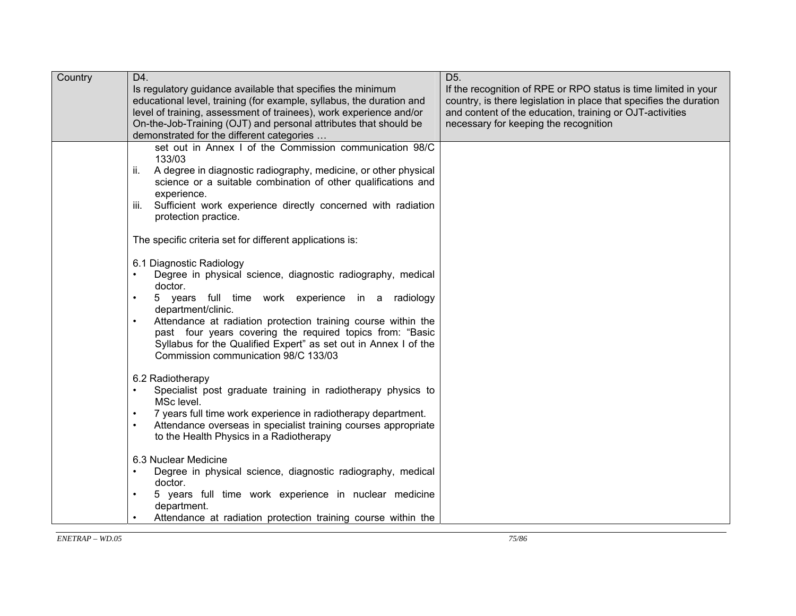| Country | D4.<br>Is regulatory guidance available that specifies the minimum<br>educational level, training (for example, syllabus, the duration and<br>level of training, assessment of trainees), work experience and/or<br>On-the-Job-Training (OJT) and personal attributes that should be<br>demonstrated for the different categories                                                                                                                                                                           | D <sub>5</sub> .<br>If the recognition of RPE or RPO status is time limited in your<br>country, is there legislation in place that specifies the duration<br>and content of the education, training or OJT-activities<br>necessary for keeping the recognition |
|---------|-------------------------------------------------------------------------------------------------------------------------------------------------------------------------------------------------------------------------------------------------------------------------------------------------------------------------------------------------------------------------------------------------------------------------------------------------------------------------------------------------------------|----------------------------------------------------------------------------------------------------------------------------------------------------------------------------------------------------------------------------------------------------------------|
|         | set out in Annex I of the Commission communication 98/C<br>133/03<br>ii.<br>A degree in diagnostic radiography, medicine, or other physical<br>science or a suitable combination of other qualifications and<br>experience.<br>Sufficient work experience directly concerned with radiation<br>iii.<br>protection practice.                                                                                                                                                                                 |                                                                                                                                                                                                                                                                |
|         | The specific criteria set for different applications is:<br>6.1 Diagnostic Radiology<br>Degree in physical science, diagnostic radiography, medical<br>doctor.<br>5 years full time work experience in a radiology<br>$\bullet$<br>department/clinic.<br>Attendance at radiation protection training course within the<br>$\bullet$<br>past four years covering the required topics from: "Basic<br>Syllabus for the Qualified Expert" as set out in Annex I of the<br>Commission communication 98/C 133/03 |                                                                                                                                                                                                                                                                |
|         | 6.2 Radiotherapy<br>Specialist post graduate training in radiotherapy physics to<br>MSc level.<br>7 years full time work experience in radiotherapy department.<br>$\bullet$<br>Attendance overseas in specialist training courses appropriate<br>$\bullet$<br>to the Health Physics in a Radiotherapy                                                                                                                                                                                                      |                                                                                                                                                                                                                                                                |
|         | 6.3 Nuclear Medicine<br>Degree in physical science, diagnostic radiography, medical<br>$\bullet$<br>doctor.<br>5 years full time work experience in nuclear medicine<br>$\bullet$<br>department.<br>Attendance at radiation protection training course within the<br>$\bullet$                                                                                                                                                                                                                              |                                                                                                                                                                                                                                                                |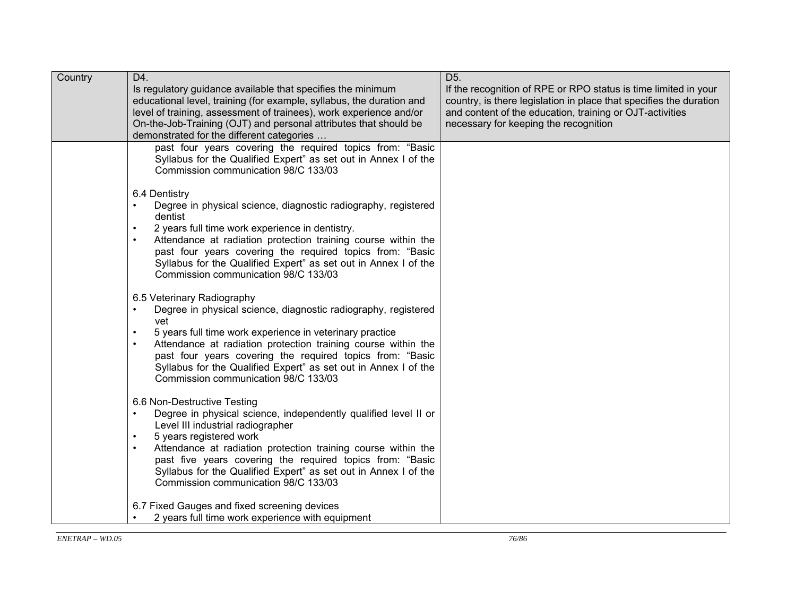| Country | D4.<br>Is regulatory guidance available that specifies the minimum<br>educational level, training (for example, syllabus, the duration and<br>level of training, assessment of trainees), work experience and/or<br>On-the-Job-Training (OJT) and personal attributes that should be<br>demonstrated for the different categories                                                                                     | D <sub>5</sub> .<br>If the recognition of RPE or RPO status is time limited in your<br>country, is there legislation in place that specifies the duration<br>and content of the education, training or OJT-activities<br>necessary for keeping the recognition |
|---------|-----------------------------------------------------------------------------------------------------------------------------------------------------------------------------------------------------------------------------------------------------------------------------------------------------------------------------------------------------------------------------------------------------------------------|----------------------------------------------------------------------------------------------------------------------------------------------------------------------------------------------------------------------------------------------------------------|
|         | past four years covering the required topics from: "Basic<br>Syllabus for the Qualified Expert" as set out in Annex I of the<br>Commission communication 98/C 133/03                                                                                                                                                                                                                                                  |                                                                                                                                                                                                                                                                |
|         | 6.4 Dentistry<br>Degree in physical science, diagnostic radiography, registered<br>dentist<br>2 years full time work experience in dentistry.<br>$\bullet$<br>Attendance at radiation protection training course within the<br>past four years covering the required topics from: "Basic<br>Syllabus for the Qualified Expert" as set out in Annex I of the<br>Commission communication 98/C 133/03                   |                                                                                                                                                                                                                                                                |
|         | 6.5 Veterinary Radiography<br>Degree in physical science, diagnostic radiography, registered<br>vet<br>5 years full time work experience in veterinary practice<br>Attendance at radiation protection training course within the<br>$\bullet$<br>past four years covering the required topics from: "Basic<br>Syllabus for the Qualified Expert" as set out in Annex I of the<br>Commission communication 98/C 133/03 |                                                                                                                                                                                                                                                                |
|         | 6.6 Non-Destructive Testing<br>Degree in physical science, independently qualified level II or<br>Level III industrial radiographer<br>5 years registered work<br>Attendance at radiation protection training course within the<br>$\bullet$<br>past five years covering the required topics from: "Basic<br>Syllabus for the Qualified Expert" as set out in Annex I of the<br>Commission communication 98/C 133/03  |                                                                                                                                                                                                                                                                |
|         | 6.7 Fixed Gauges and fixed screening devices<br>2 years full time work experience with equipment                                                                                                                                                                                                                                                                                                                      |                                                                                                                                                                                                                                                                |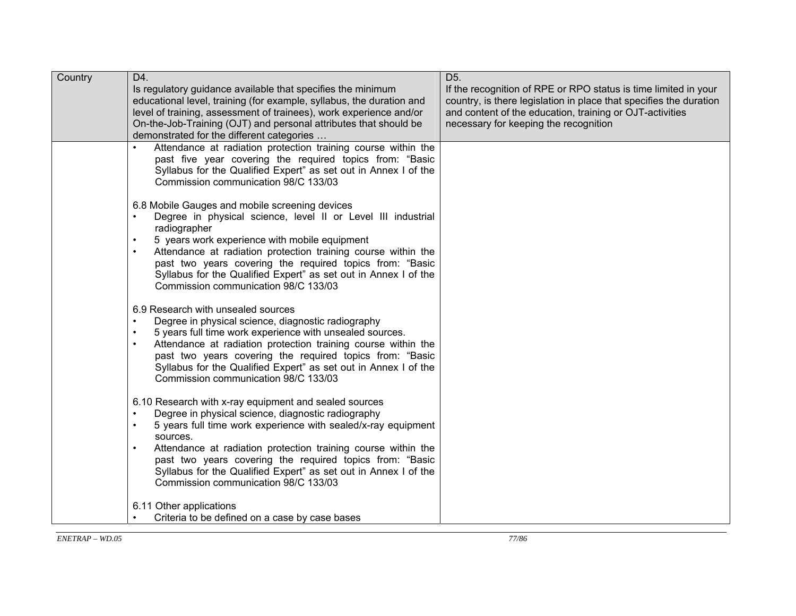| Country | D4.<br>Is regulatory guidance available that specifies the minimum<br>educational level, training (for example, syllabus, the duration and<br>level of training, assessment of trainees), work experience and/or<br>On-the-Job-Training (OJT) and personal attributes that should be<br>demonstrated for the different categories                                                                                                                                       | D <sub>5</sub> .<br>If the recognition of RPE or RPO status is time limited in your<br>country, is there legislation in place that specifies the duration<br>and content of the education, training or OJT-activities<br>necessary for keeping the recognition |
|---------|-------------------------------------------------------------------------------------------------------------------------------------------------------------------------------------------------------------------------------------------------------------------------------------------------------------------------------------------------------------------------------------------------------------------------------------------------------------------------|----------------------------------------------------------------------------------------------------------------------------------------------------------------------------------------------------------------------------------------------------------------|
|         | Attendance at radiation protection training course within the<br>$\bullet$<br>past five year covering the required topics from: "Basic<br>Syllabus for the Qualified Expert" as set out in Annex I of the<br>Commission communication 98/C 133/03                                                                                                                                                                                                                       |                                                                                                                                                                                                                                                                |
|         | 6.8 Mobile Gauges and mobile screening devices<br>Degree in physical science, level II or Level III industrial<br>radiographer<br>5 years work experience with mobile equipment<br>Attendance at radiation protection training course within the<br>$\bullet$<br>past two years covering the required topics from: "Basic<br>Syllabus for the Qualified Expert" as set out in Annex I of the<br>Commission communication 98/C 133/03                                    |                                                                                                                                                                                                                                                                |
|         | 6.9 Research with unsealed sources<br>Degree in physical science, diagnostic radiography<br>$\bullet$<br>5 years full time work experience with unsealed sources.<br>Attendance at radiation protection training course within the<br>$\bullet$<br>past two years covering the required topics from: "Basic<br>Syllabus for the Qualified Expert" as set out in Annex I of the<br>Commission communication 98/C 133/03                                                  |                                                                                                                                                                                                                                                                |
|         | 6.10 Research with x-ray equipment and sealed sources<br>Degree in physical science, diagnostic radiography<br>$\bullet$<br>5 years full time work experience with sealed/x-ray equipment<br>$\bullet$<br>sources.<br>Attendance at radiation protection training course within the<br>$\bullet$<br>past two years covering the required topics from: "Basic<br>Syllabus for the Qualified Expert" as set out in Annex I of the<br>Commission communication 98/C 133/03 |                                                                                                                                                                                                                                                                |
|         | 6.11 Other applications<br>Criteria to be defined on a case by case bases                                                                                                                                                                                                                                                                                                                                                                                               |                                                                                                                                                                                                                                                                |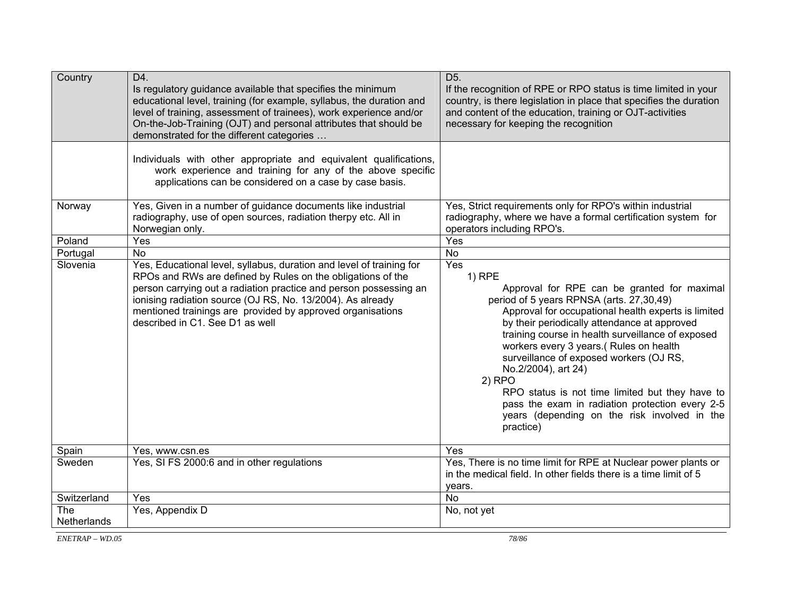| Country            | D4.<br>Is regulatory guidance available that specifies the minimum<br>educational level, training (for example, syllabus, the duration and<br>level of training, assessment of trainees), work experience and/or<br>On-the-Job-Training (OJT) and personal attributes that should be<br>demonstrated for the different categories                                       | D <sub>5</sub> .<br>If the recognition of RPE or RPO status is time limited in your<br>country, is there legislation in place that specifies the duration<br>and content of the education, training or OJT-activities<br>necessary for keeping the recognition                                                                                                                                                                                                                                                                                                     |  |
|--------------------|-------------------------------------------------------------------------------------------------------------------------------------------------------------------------------------------------------------------------------------------------------------------------------------------------------------------------------------------------------------------------|--------------------------------------------------------------------------------------------------------------------------------------------------------------------------------------------------------------------------------------------------------------------------------------------------------------------------------------------------------------------------------------------------------------------------------------------------------------------------------------------------------------------------------------------------------------------|--|
|                    | Individuals with other appropriate and equivalent qualifications,<br>work experience and training for any of the above specific<br>applications can be considered on a case by case basis.                                                                                                                                                                              |                                                                                                                                                                                                                                                                                                                                                                                                                                                                                                                                                                    |  |
| Norway             | Yes, Given in a number of guidance documents like industrial<br>radiography, use of open sources, radiation therpy etc. All in<br>Norwegian only.                                                                                                                                                                                                                       | Yes, Strict requirements only for RPO's within industrial<br>radiography, where we have a formal certification system for<br>operators including RPO's.                                                                                                                                                                                                                                                                                                                                                                                                            |  |
| Poland             | Yes                                                                                                                                                                                                                                                                                                                                                                     | Yes                                                                                                                                                                                                                                                                                                                                                                                                                                                                                                                                                                |  |
| Portugal           | <b>No</b>                                                                                                                                                                                                                                                                                                                                                               | <b>No</b>                                                                                                                                                                                                                                                                                                                                                                                                                                                                                                                                                          |  |
| Slovenia           | Yes, Educational level, syllabus, duration and level of training for<br>RPOs and RWs are defined by Rules on the obligations of the<br>person carrying out a radiation practice and person possessing an<br>ionising radiation source (OJ RS, No. 13/2004). As already<br>mentioned trainings are provided by approved organisations<br>described in C1. See D1 as well | Yes<br>$1)$ RPE<br>Approval for RPE can be granted for maximal<br>period of 5 years RPNSA (arts. 27,30,49)<br>Approval for occupational health experts is limited<br>by their periodically attendance at approved<br>training course in health surveillance of exposed<br>workers every 3 years.( Rules on health<br>surveillance of exposed workers (OJ RS,<br>No.2/2004), art 24)<br>$2)$ RPO<br>RPO status is not time limited but they have to<br>pass the exam in radiation protection every 2-5<br>years (depending on the risk involved in the<br>practice) |  |
| Spain              | Yes, www.csn.es                                                                                                                                                                                                                                                                                                                                                         | Yes                                                                                                                                                                                                                                                                                                                                                                                                                                                                                                                                                                |  |
| Sweden             | Yes, SI FS 2000:6 and in other regulations                                                                                                                                                                                                                                                                                                                              | Yes, There is no time limit for RPE at Nuclear power plants or<br>in the medical field. In other fields there is a time limit of 5<br>years.                                                                                                                                                                                                                                                                                                                                                                                                                       |  |
| Switzerland        | Yes                                                                                                                                                                                                                                                                                                                                                                     | <b>No</b>                                                                                                                                                                                                                                                                                                                                                                                                                                                                                                                                                          |  |
| The<br>Netherlands | Yes, Appendix D                                                                                                                                                                                                                                                                                                                                                         | No, not yet                                                                                                                                                                                                                                                                                                                                                                                                                                                                                                                                                        |  |

*ENETRAP – WD.05*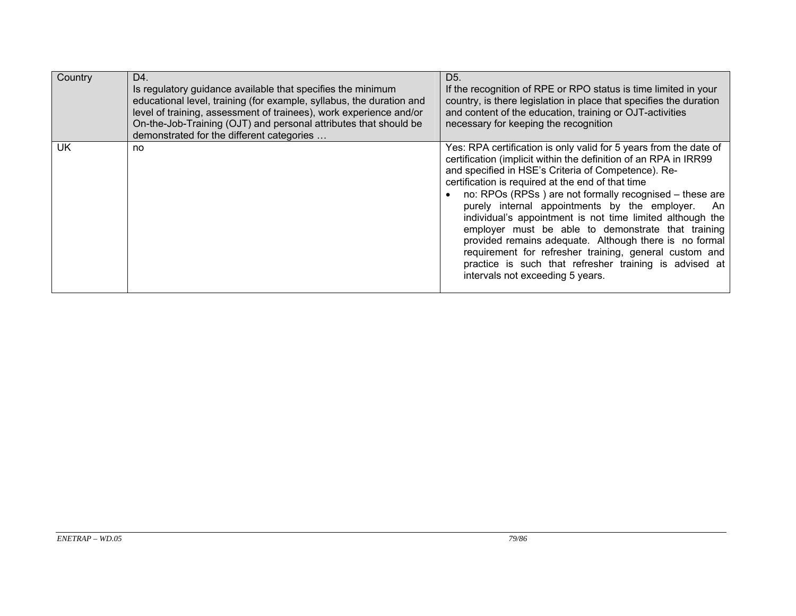| Country   | D4.<br>Is regulatory guidance available that specifies the minimum<br>educational level, training (for example, syllabus, the duration and<br>level of training, assessment of trainees), work experience and/or<br>On-the-Job-Training (OJT) and personal attributes that should be<br>demonstrated for the different categories | D <sub>5</sub> .<br>If the recognition of RPE or RPO status is time limited in your<br>country, is there legislation in place that specifies the duration<br>and content of the education, training or OJT-activities<br>necessary for keeping the recognition                                                                                                                                                                                                                                                                                                                                                                                                                                        |  |
|-----------|-----------------------------------------------------------------------------------------------------------------------------------------------------------------------------------------------------------------------------------------------------------------------------------------------------------------------------------|-------------------------------------------------------------------------------------------------------------------------------------------------------------------------------------------------------------------------------------------------------------------------------------------------------------------------------------------------------------------------------------------------------------------------------------------------------------------------------------------------------------------------------------------------------------------------------------------------------------------------------------------------------------------------------------------------------|--|
| <b>UK</b> | no                                                                                                                                                                                                                                                                                                                                | Yes: RPA certification is only valid for 5 years from the date of<br>certification (implicit within the definition of an RPA in IRR99<br>and specified in HSE's Criteria of Competence). Re-<br>certification is required at the end of that time<br>no: RPOs (RPSs) are not formally recognised – these are<br>purely internal appointments by the employer. An<br>individual's appointment is not time limited although the<br>employer must be able to demonstrate that training<br>provided remains adequate. Although there is no formal<br>requirement for refresher training, general custom and<br>practice is such that refresher training is advised at<br>intervals not exceeding 5 years. |  |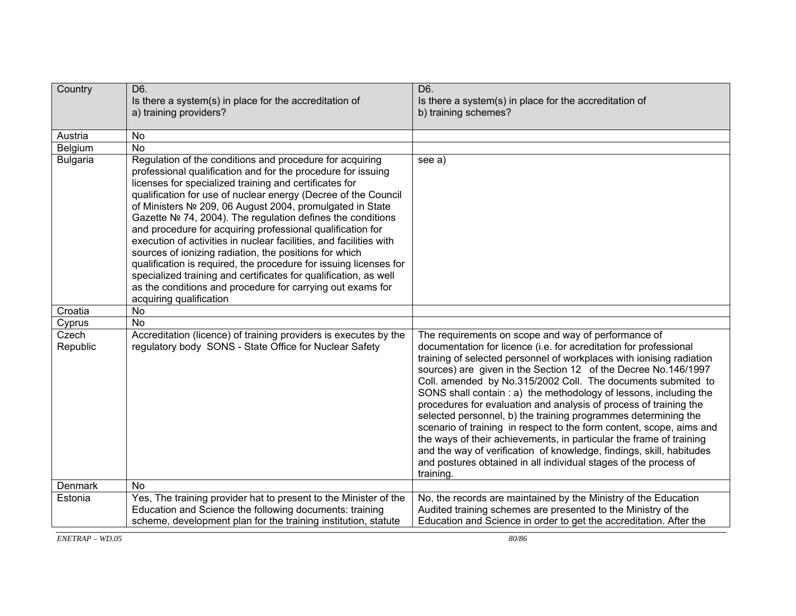| Country           | D6.<br>Is there a system(s) in place for the accreditation of<br>a) training providers?                                                                                                                                                                                                                                                                                                                                                                                                                                                                                                                                                                                                                                                                                                                        | D6.<br>Is there a system(s) in place for the accreditation of<br>b) training schemes?                                                                                                                                                                                                                                                                                                                                                                                                                                                                                                                                                                                                                                                                                                                                                                 |
|-------------------|----------------------------------------------------------------------------------------------------------------------------------------------------------------------------------------------------------------------------------------------------------------------------------------------------------------------------------------------------------------------------------------------------------------------------------------------------------------------------------------------------------------------------------------------------------------------------------------------------------------------------------------------------------------------------------------------------------------------------------------------------------------------------------------------------------------|-------------------------------------------------------------------------------------------------------------------------------------------------------------------------------------------------------------------------------------------------------------------------------------------------------------------------------------------------------------------------------------------------------------------------------------------------------------------------------------------------------------------------------------------------------------------------------------------------------------------------------------------------------------------------------------------------------------------------------------------------------------------------------------------------------------------------------------------------------|
| Austria           | <b>No</b>                                                                                                                                                                                                                                                                                                                                                                                                                                                                                                                                                                                                                                                                                                                                                                                                      |                                                                                                                                                                                                                                                                                                                                                                                                                                                                                                                                                                                                                                                                                                                                                                                                                                                       |
| Belgium           | <b>No</b>                                                                                                                                                                                                                                                                                                                                                                                                                                                                                                                                                                                                                                                                                                                                                                                                      |                                                                                                                                                                                                                                                                                                                                                                                                                                                                                                                                                                                                                                                                                                                                                                                                                                                       |
| <b>Bulgaria</b>   | Regulation of the conditions and procedure for acquiring<br>professional qualification and for the procedure for issuing<br>licenses for specialized training and certificates for<br>qualification for use of nuclear energy (Decree of the Council<br>of Ministers № 209, 06 August 2004, promulgated in State<br>Gazette № 74, 2004). The regulation defines the conditions<br>and procedure for acquiring professional qualification for<br>execution of activities in nuclear facilities, and facilities with<br>sources of ionizing radiation, the positions for which<br>qualification is required, the procedure for issuing licenses for<br>specialized training and certificates for qualification, as well<br>as the conditions and procedure for carrying out exams for<br>acquiring qualification | see a)                                                                                                                                                                                                                                                                                                                                                                                                                                                                                                                                                                                                                                                                                                                                                                                                                                                |
| Croatia           | <b>No</b>                                                                                                                                                                                                                                                                                                                                                                                                                                                                                                                                                                                                                                                                                                                                                                                                      |                                                                                                                                                                                                                                                                                                                                                                                                                                                                                                                                                                                                                                                                                                                                                                                                                                                       |
| Cyprus            | <b>No</b>                                                                                                                                                                                                                                                                                                                                                                                                                                                                                                                                                                                                                                                                                                                                                                                                      |                                                                                                                                                                                                                                                                                                                                                                                                                                                                                                                                                                                                                                                                                                                                                                                                                                                       |
| Czech<br>Republic | Accreditation (licence) of training providers is executes by the<br>regulatory body SONS - State Office for Nuclear Safety                                                                                                                                                                                                                                                                                                                                                                                                                                                                                                                                                                                                                                                                                     | The requirements on scope and way of performance of<br>documentation for licence (i.e. for acreditation for professional<br>training of selected personnel of workplaces with ionising radiation<br>sources) are given in the Section 12 of the Decree No.146/1997<br>Coll. amended by No.315/2002 Coll. The documents submited to<br>SONS shall contain: a) the methodology of lessons, including the<br>procedures for evaluation and analysis of process of training the<br>selected personnel, b) the training programmes determining the<br>scenario of training in respect to the form content, scope, aims and<br>the ways of their achievements, in particular the frame of training<br>and the way of verification of knowledge, findings, skill, habitudes<br>and postures obtained in all individual stages of the process of<br>training. |
| Denmark           | <b>No</b>                                                                                                                                                                                                                                                                                                                                                                                                                                                                                                                                                                                                                                                                                                                                                                                                      |                                                                                                                                                                                                                                                                                                                                                                                                                                                                                                                                                                                                                                                                                                                                                                                                                                                       |
| Estonia           | Yes, The training provider hat to present to the Minister of the<br>Education and Science the following documents: training<br>scheme, development plan for the training institution, statute                                                                                                                                                                                                                                                                                                                                                                                                                                                                                                                                                                                                                  | No, the records are maintained by the Ministry of the Education<br>Audited training schemes are presented to the Ministry of the<br>Education and Science in order to get the accreditation. After the                                                                                                                                                                                                                                                                                                                                                                                                                                                                                                                                                                                                                                                |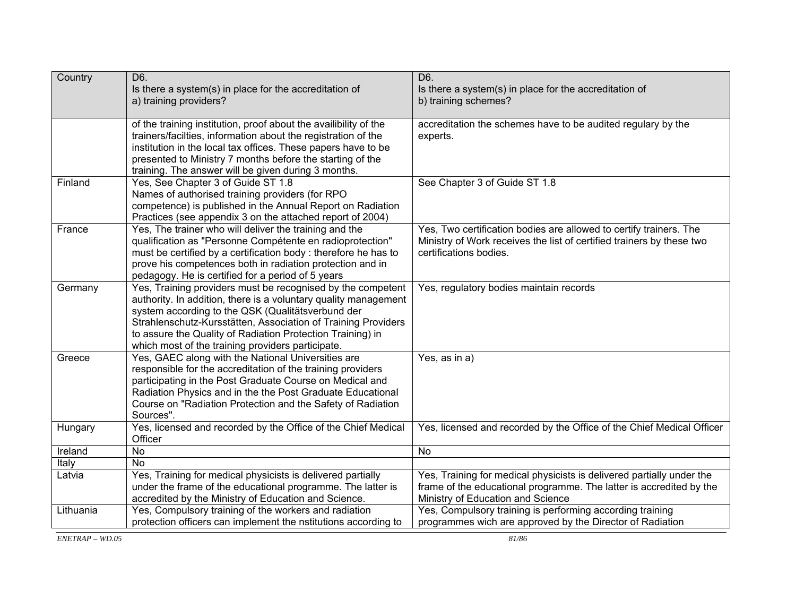| Country   | D6.<br>Is there a system(s) in place for the accreditation of<br>a) training providers?                                                                                                                                                                                                                                                                                 | D6.<br>Is there a system(s) in place for the accreditation of<br>b) training schemes?                                                                                             |  |
|-----------|-------------------------------------------------------------------------------------------------------------------------------------------------------------------------------------------------------------------------------------------------------------------------------------------------------------------------------------------------------------------------|-----------------------------------------------------------------------------------------------------------------------------------------------------------------------------------|--|
|           | of the training institution, proof about the availibility of the<br>trainers/facilties, information about the registration of the<br>institution in the local tax offices. These papers have to be<br>presented to Ministry 7 months before the starting of the<br>training. The answer will be given during 3 months.                                                  | accreditation the schemes have to be audited regulary by the<br>experts.                                                                                                          |  |
| Finland   | Yes, See Chapter 3 of Guide ST 1.8<br>Names of authorised training providers (for RPO<br>competence) is published in the Annual Report on Radiation<br>Practices (see appendix 3 on the attached report of 2004)                                                                                                                                                        | See Chapter 3 of Guide ST 1.8                                                                                                                                                     |  |
| France    | Yes, The trainer who will deliver the training and the<br>qualification as "Personne Compétente en radioprotection"<br>must be certified by a certification body: therefore he has to<br>prove his competences both in radiation protection and in<br>pedagogy. He is certified for a period of 5 years                                                                 | Yes, Two certification bodies are allowed to certify trainers. The<br>Ministry of Work receives the list of certified trainers by these two<br>certifications bodies.             |  |
| Germany   | Yes, Training providers must be recognised by the competent<br>authority. In addition, there is a voluntary quality management<br>system according to the QSK (Qualitätsverbund der<br>Strahlenschutz-Kursstätten, Association of Training Providers<br>to assure the Quality of Radiation Protection Training) in<br>which most of the training providers participate. | Yes, regulatory bodies maintain records                                                                                                                                           |  |
| Greece    | Yes, GAEC along with the National Universities are<br>responsible for the accreditation of the training providers<br>participating in the Post Graduate Course on Medical and<br>Radiation Physics and in the the Post Graduate Educational<br>Course on "Radiation Protection and the Safety of Radiation<br>Sources".                                                 | Yes, as in a)                                                                                                                                                                     |  |
| Hungary   | Yes, licensed and recorded by the Office of the Chief Medical<br>Officer                                                                                                                                                                                                                                                                                                | Yes, licensed and recorded by the Office of the Chief Medical Officer                                                                                                             |  |
| Ireland   | <b>No</b>                                                                                                                                                                                                                                                                                                                                                               | <b>No</b>                                                                                                                                                                         |  |
| Italy     | <b>No</b>                                                                                                                                                                                                                                                                                                                                                               |                                                                                                                                                                                   |  |
| Latvia    | Yes, Training for medical physicists is delivered partially<br>under the frame of the educational programme. The latter is<br>accredited by the Ministry of Education and Science.                                                                                                                                                                                      | Yes, Training for medical physicists is delivered partially under the<br>frame of the educational programme. The latter is accredited by the<br>Ministry of Education and Science |  |
| Lithuania | Yes, Compulsory training of the workers and radiation<br>protection officers can implement the nstitutions according to                                                                                                                                                                                                                                                 | Yes, Compulsory training is performing according training<br>programmes wich are approved by the Director of Radiation                                                            |  |

 $EXETRAP - WD.05$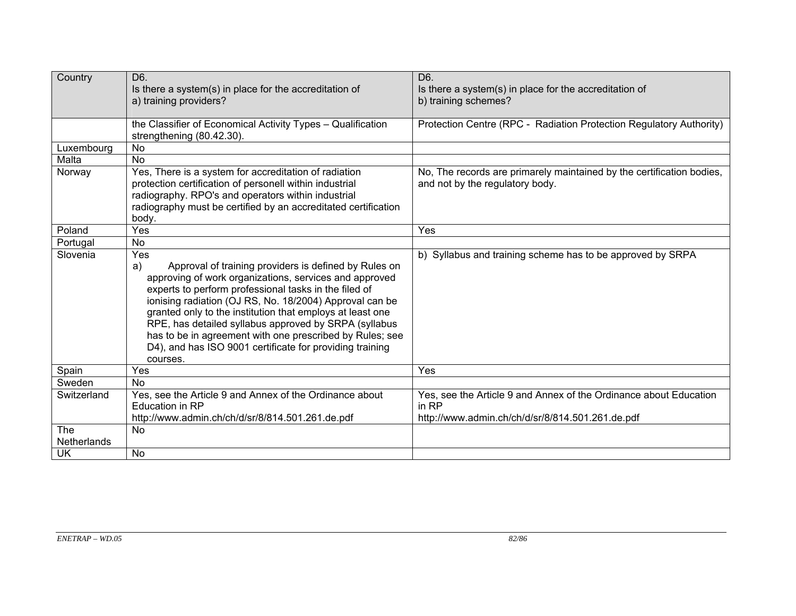| Country     | D6.<br>Is there a system(s) in place for the accreditation of<br>a) training providers?                                                                                                                                                                                                                                                                                                                                                                                                                    | D6.<br>Is there a system(s) in place for the accreditation of<br>b) training schemes?                                          |  |
|-------------|------------------------------------------------------------------------------------------------------------------------------------------------------------------------------------------------------------------------------------------------------------------------------------------------------------------------------------------------------------------------------------------------------------------------------------------------------------------------------------------------------------|--------------------------------------------------------------------------------------------------------------------------------|--|
|             | the Classifier of Economical Activity Types - Qualification<br>strengthening (80.42.30).                                                                                                                                                                                                                                                                                                                                                                                                                   | Protection Centre (RPC - Radiation Protection Regulatory Authority)                                                            |  |
| Luxembourg  | <b>No</b>                                                                                                                                                                                                                                                                                                                                                                                                                                                                                                  |                                                                                                                                |  |
| Malta       | <b>No</b>                                                                                                                                                                                                                                                                                                                                                                                                                                                                                                  |                                                                                                                                |  |
| Norway      | Yes, There is a system for accreditation of radiation<br>protection certification of personell within industrial<br>radiography. RPO's and operators within industrial<br>radiography must be certified by an accreditated certification<br>body.                                                                                                                                                                                                                                                          | No, The records are primarely maintained by the certification bodies,<br>and not by the regulatory body.                       |  |
| Poland      | Yes                                                                                                                                                                                                                                                                                                                                                                                                                                                                                                        | Yes                                                                                                                            |  |
| Portugal    | <b>No</b>                                                                                                                                                                                                                                                                                                                                                                                                                                                                                                  |                                                                                                                                |  |
| Slovenia    | Yes<br>Approval of training providers is defined by Rules on<br>a)<br>approving of work organizations, services and approved<br>experts to perform professional tasks in the filed of<br>ionising radiation (OJ RS, No. 18/2004) Approval can be<br>granted only to the institution that employs at least one<br>RPE, has detailed syllabus approved by SRPA (syllabus<br>has to be in agreement with one prescribed by Rules; see<br>D4), and has ISO 9001 certificate for providing training<br>courses. | b) Syllabus and training scheme has to be approved by SRPA                                                                     |  |
| Spain       | Yes                                                                                                                                                                                                                                                                                                                                                                                                                                                                                                        | Yes                                                                                                                            |  |
| Sweden      | <b>No</b>                                                                                                                                                                                                                                                                                                                                                                                                                                                                                                  |                                                                                                                                |  |
| Switzerland | Yes, see the Article 9 and Annex of the Ordinance about<br><b>Education in RP</b><br>http://www.admin.ch/ch/d/sr/8/814.501.261.de.pdf                                                                                                                                                                                                                                                                                                                                                                      | Yes, see the Article 9 and Annex of the Ordinance about Education<br>in RP<br>http://www.admin.ch/ch/d/sr/8/814.501.261.de.pdf |  |
| <b>The</b>  | <b>No</b>                                                                                                                                                                                                                                                                                                                                                                                                                                                                                                  |                                                                                                                                |  |
| Netherlands |                                                                                                                                                                                                                                                                                                                                                                                                                                                                                                            |                                                                                                                                |  |
| <b>UK</b>   | No                                                                                                                                                                                                                                                                                                                                                                                                                                                                                                         |                                                                                                                                |  |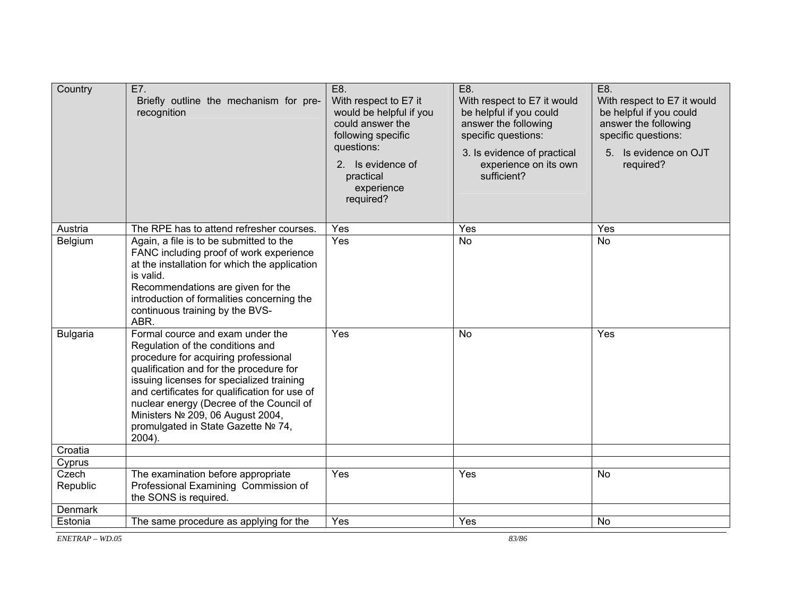| Country           | E7.<br>Briefly outline the mechanism for pre-<br>recognition                                                                                                                                                                                                                                                                                                                           | E8.<br>With respect to E7 it<br>would be helpful if you<br>could answer the<br>following specific<br>questions:<br>2. Is evidence of<br>practical<br>experience<br>required? | E8.<br>With respect to E7 it would<br>be helpful if you could<br>answer the following<br>specific questions:<br>3. Is evidence of practical<br>experience on its own<br>sufficient? | E8.<br>With respect to E7 it would<br>be helpful if you could<br>answer the following<br>specific questions:<br>5. Is evidence on OJT<br>required? |
|-------------------|----------------------------------------------------------------------------------------------------------------------------------------------------------------------------------------------------------------------------------------------------------------------------------------------------------------------------------------------------------------------------------------|------------------------------------------------------------------------------------------------------------------------------------------------------------------------------|-------------------------------------------------------------------------------------------------------------------------------------------------------------------------------------|----------------------------------------------------------------------------------------------------------------------------------------------------|
| Austria           | The RPE has to attend refresher courses.                                                                                                                                                                                                                                                                                                                                               | Yes                                                                                                                                                                          | Yes                                                                                                                                                                                 | Yes                                                                                                                                                |
| Belgium           | Again, a file is to be submitted to the<br>FANC including proof of work experience<br>at the installation for which the application<br>is valid.<br>Recommendations are given for the<br>introduction of formalities concerning the<br>continuous training by the BVS-<br>ABR.                                                                                                         | Yes                                                                                                                                                                          | <b>No</b>                                                                                                                                                                           | <b>No</b>                                                                                                                                          |
| <b>Bulgaria</b>   | Formal cource and exam under the<br>Regulation of the conditions and<br>procedure for acquiring professional<br>qualification and for the procedure for<br>issuing licenses for specialized training<br>and certificates for qualification for use of<br>nuclear energy (Decree of the Council of<br>Ministers Nº 209, 06 August 2004,<br>promulgated in State Gazette № 74,<br>2004). | Yes                                                                                                                                                                          | No                                                                                                                                                                                  | Yes                                                                                                                                                |
| Croatia           |                                                                                                                                                                                                                                                                                                                                                                                        |                                                                                                                                                                              |                                                                                                                                                                                     |                                                                                                                                                    |
| Cyprus            |                                                                                                                                                                                                                                                                                                                                                                                        |                                                                                                                                                                              |                                                                                                                                                                                     |                                                                                                                                                    |
| Czech<br>Republic | The examination before appropriate<br>Professional Examining Commission of<br>the SONS is required.                                                                                                                                                                                                                                                                                    | Yes                                                                                                                                                                          | Yes                                                                                                                                                                                 | No                                                                                                                                                 |
| Denmark           |                                                                                                                                                                                                                                                                                                                                                                                        |                                                                                                                                                                              |                                                                                                                                                                                     |                                                                                                                                                    |
| Estonia           | The same procedure as applying for the                                                                                                                                                                                                                                                                                                                                                 | Yes                                                                                                                                                                          | Yes                                                                                                                                                                                 | No                                                                                                                                                 |

*ENETRAP – WD.05*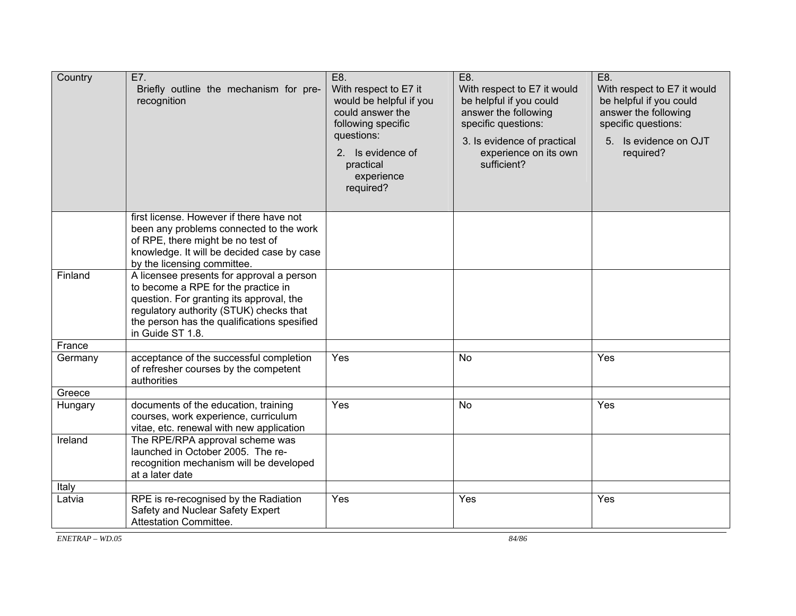| Country | E7.<br>Briefly outline the mechanism for pre-<br>recognition                                                                                                                                                                               | E8.<br>With respect to E7 it<br>would be helpful if you<br>could answer the<br>following specific<br>questions:<br>2. Is evidence of<br>practical<br>experience<br>required? | E8.<br>With respect to E7 it would<br>be helpful if you could<br>answer the following<br>specific questions:<br>3. Is evidence of practical<br>experience on its own<br>sufficient? | E8.<br>With respect to E7 it would<br>be helpful if you could<br>answer the following<br>specific questions:<br>5. Is evidence on OJT<br>required? |
|---------|--------------------------------------------------------------------------------------------------------------------------------------------------------------------------------------------------------------------------------------------|------------------------------------------------------------------------------------------------------------------------------------------------------------------------------|-------------------------------------------------------------------------------------------------------------------------------------------------------------------------------------|----------------------------------------------------------------------------------------------------------------------------------------------------|
|         | first license. However if there have not<br>been any problems connected to the work<br>of RPE, there might be no test of<br>knowledge. It will be decided case by case<br>by the licensing committee.                                      |                                                                                                                                                                              |                                                                                                                                                                                     |                                                                                                                                                    |
| Finland | A licensee presents for approval a person<br>to become a RPE for the practice in<br>question. For granting its approval, the<br>regulatory authority (STUK) checks that<br>the person has the qualifications spesified<br>in Guide ST 1.8. |                                                                                                                                                                              |                                                                                                                                                                                     |                                                                                                                                                    |
| France  |                                                                                                                                                                                                                                            |                                                                                                                                                                              |                                                                                                                                                                                     |                                                                                                                                                    |
| Germany | acceptance of the successful completion<br>of refresher courses by the competent<br>authorities                                                                                                                                            | Yes                                                                                                                                                                          | <b>No</b>                                                                                                                                                                           | Yes                                                                                                                                                |
| Greece  |                                                                                                                                                                                                                                            |                                                                                                                                                                              |                                                                                                                                                                                     |                                                                                                                                                    |
| Hungary | documents of the education, training<br>courses, work experience, curriculum<br>vitae, etc. renewal with new application                                                                                                                   | Yes                                                                                                                                                                          | <b>No</b>                                                                                                                                                                           | Yes                                                                                                                                                |
| Ireland | The RPE/RPA approval scheme was<br>launched in October 2005. The re-<br>recognition mechanism will be developed<br>at a later date                                                                                                         |                                                                                                                                                                              |                                                                                                                                                                                     |                                                                                                                                                    |
| Italy   |                                                                                                                                                                                                                                            |                                                                                                                                                                              |                                                                                                                                                                                     |                                                                                                                                                    |
| Latvia  | RPE is re-recognised by the Radiation<br>Safety and Nuclear Safety Expert<br>Attestation Committee.                                                                                                                                        | Yes                                                                                                                                                                          | Yes                                                                                                                                                                                 | Yes                                                                                                                                                |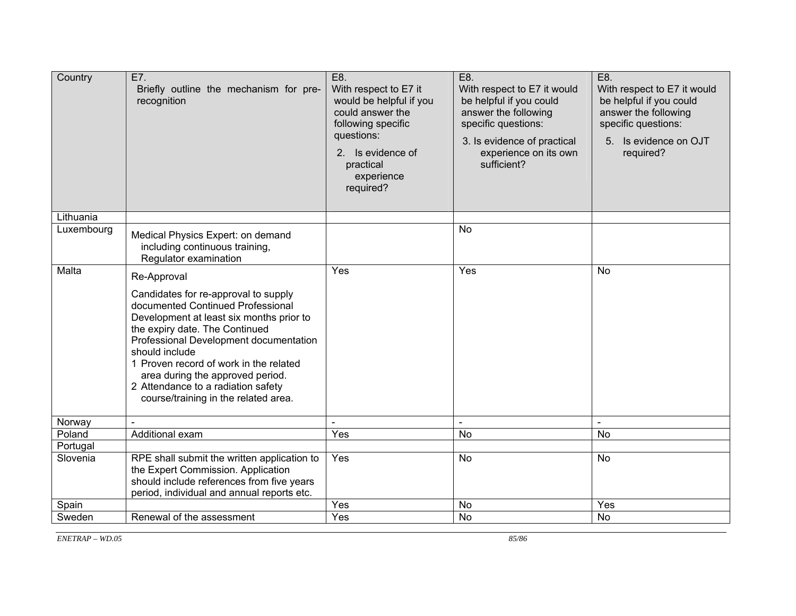| Country    | E7.<br>Briefly outline the mechanism for pre-<br>recognition                                                                                                                                                                                                                                                                                                                    | E8.<br>With respect to E7 it<br>would be helpful if you<br>could answer the<br>following specific<br>questions:<br>2. Is evidence of<br>practical<br>experience<br>required? | E8.<br>With respect to E7 it would<br>be helpful if you could<br>answer the following<br>specific questions:<br>3. Is evidence of practical<br>experience on its own<br>sufficient? | E8.<br>With respect to E7 it would<br>be helpful if you could<br>answer the following<br>specific questions:<br>5. Is evidence on OJT<br>required? |
|------------|---------------------------------------------------------------------------------------------------------------------------------------------------------------------------------------------------------------------------------------------------------------------------------------------------------------------------------------------------------------------------------|------------------------------------------------------------------------------------------------------------------------------------------------------------------------------|-------------------------------------------------------------------------------------------------------------------------------------------------------------------------------------|----------------------------------------------------------------------------------------------------------------------------------------------------|
| Lithuania  |                                                                                                                                                                                                                                                                                                                                                                                 |                                                                                                                                                                              |                                                                                                                                                                                     |                                                                                                                                                    |
| Luxembourg | Medical Physics Expert: on demand<br>including continuous training,<br>Regulator examination                                                                                                                                                                                                                                                                                    |                                                                                                                                                                              | No                                                                                                                                                                                  |                                                                                                                                                    |
| Malta      | Re-Approval                                                                                                                                                                                                                                                                                                                                                                     | Yes                                                                                                                                                                          | Yes                                                                                                                                                                                 | <b>No</b>                                                                                                                                          |
|            | Candidates for re-approval to supply<br>documented Continued Professional<br>Development at least six months prior to<br>the expiry date. The Continued<br>Professional Development documentation<br>should include<br>1 Proven record of work in the related<br>area during the approved period.<br>2 Attendance to a radiation safety<br>course/training in the related area. |                                                                                                                                                                              |                                                                                                                                                                                     |                                                                                                                                                    |
| Norway     |                                                                                                                                                                                                                                                                                                                                                                                 |                                                                                                                                                                              |                                                                                                                                                                                     |                                                                                                                                                    |
| Poland     | Additional exam                                                                                                                                                                                                                                                                                                                                                                 | Yes                                                                                                                                                                          | <b>No</b>                                                                                                                                                                           | <b>No</b>                                                                                                                                          |
| Portugal   |                                                                                                                                                                                                                                                                                                                                                                                 |                                                                                                                                                                              |                                                                                                                                                                                     |                                                                                                                                                    |
| Slovenia   | RPE shall submit the written application to<br>the Expert Commission. Application<br>should include references from five years<br>period, individual and annual reports etc.                                                                                                                                                                                                    | Yes                                                                                                                                                                          | No                                                                                                                                                                                  | No                                                                                                                                                 |
| Spain      |                                                                                                                                                                                                                                                                                                                                                                                 | Yes                                                                                                                                                                          | No                                                                                                                                                                                  | Yes                                                                                                                                                |
| Sweden     | Renewal of the assessment                                                                                                                                                                                                                                                                                                                                                       | Yes                                                                                                                                                                          | No                                                                                                                                                                                  | <b>No</b>                                                                                                                                          |